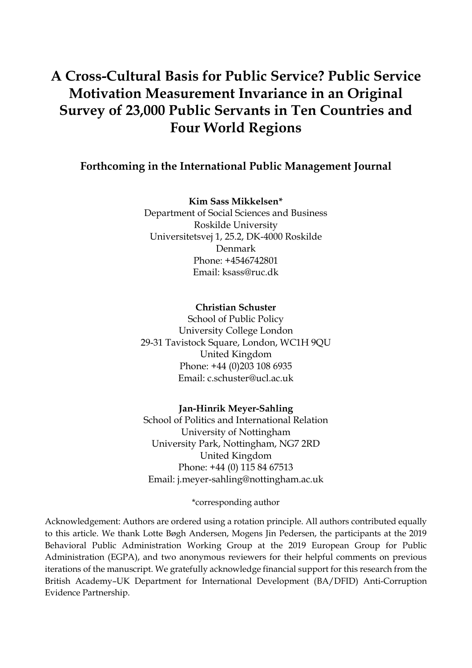# **A Cross-Cultural Basis for Public Service? Public Service Motivation Measurement Invariance in an Original Survey of 23,000 Public Servants in Ten Countries and Four World Regions**

# **Forthcoming in the International Public Management Journal**

## **Kim Sass Mikkelsen\***

Department of Social Sciences and Business Roskilde University Universitetsvej 1, 25.2, DK-4000 Roskilde Denmark Phone: +4546742801 Email: ksass@ruc.dk

## **Christian Schuster**

School of Public Policy University College London 29-31 Tavistock Square, London, WC1H 9QU United Kingdom Phone: +44 (0)203 108 6935 Email: c.schuster@ucl.ac.uk

## **Jan-Hinrik Meyer-Sahling**

School of Politics and International Relation University of Nottingham University Park, Nottingham, NG7 2RD United Kingdom Phone: +44 (0) 115 84 67513 Email: j.meyer-sahling@nottingham.ac.uk

# \*corresponding author

Acknowledgement: Authors are ordered using a rotation principle. All authors contributed equally to this article. We thank Lotte Bøgh Andersen, Mogens Jin Pedersen, the participants at the 2019 Behavioral Public Administration Working Group at the 2019 European Group for Public Administration (EGPA), and two anonymous reviewers for their helpful comments on previous iterations of the manuscript. We gratefully acknowledge financial support for this research from the British Academy–UK Department for International Development (BA/DFID) Anti-Corruption Evidence Partnership.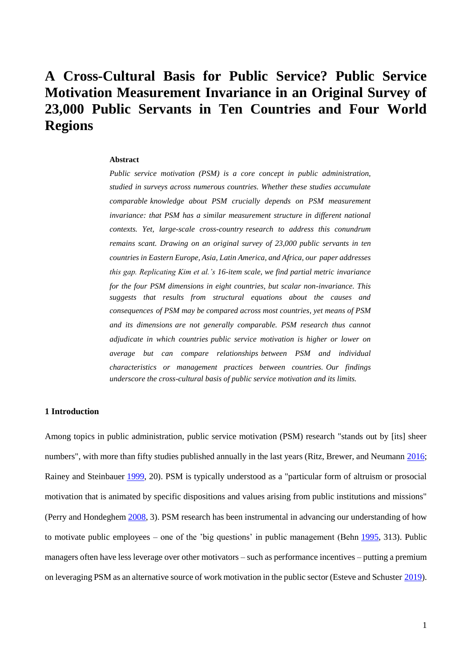# **A Cross-Cultural Basis for Public Service? Public Service Motivation Measurement Invariance in an Original Survey of 23,000 Public Servants in Ten Countries and Four World Regions**

#### **Abstract**

*Public service motivation (PSM) is a core concept in public administration, studied in surveys across numerous countries. Whether these studies accumulate comparable knowledge about PSM crucially depends on PSM measurement invariance: that PSM has a similar measurement structure in different national contexts. Yet, large-scale cross-country research to address this conundrum remains scant. Drawing on an original survey of 23,000 public servants in ten countries in Eastern Europe, Asia, Latin America, and Africa, our paper addresses this gap. Replicating Kim et al.'s 16-item scale, we find partial metric invariance for the four PSM dimensions in eight countries, but scalar non-invariance. This suggests that results from structural equations about the causes and consequences of PSM may be compared across most countries, yet means of PSM and its dimensions are not generally comparable. PSM research thus cannot adjudicate in which countries public service motivation is higher or lower on average but can compare relationships between PSM and individual characteristics or management practices between countries. Our findings underscore the cross-cultural basis of public service motivation and its limits.*

# **1 Introduction**

Among topics in public administration, public service motivation (PSM) research "stands out by [its] sheer numbers", with more than fifty studies published annually in the last years (Ritz, Brewer, and Neumann [2016;](file:///C:/Users/ksass/OneDrive%20-%20Roskilde%20Universitet/DFID/PSM%20measure/Measurement_Invariance_resubmission_no_tables_and_figures.html%23X0-ritz2016public) Rainey and Steinbauer [1999,](file:///C:/Users/ksass/OneDrive%20-%20Roskilde%20Universitet/DFID/PSM%20measure/Measurement_Invariance_resubmission_no_tables_and_figures.html%23X0-rainey1999galloping) 20). PSM is typically understood as a "particular form of altruism or prosocial motivation that is animated by specific dispositions and values arising from public institutions and missions" (Perry and Hondeghem [2008,](file:///C:/Users/ksass/OneDrive%20-%20Roskilde%20Universitet/DFID/PSM%20measure/Measurement_Invariance_resubmission_no_tables_and_figures.html%23X0-perry2008motivation) 3). PSM research has been instrumental in advancing our understanding of how to motivate public employees – one of the 'big questions' in public management (Behn [1995,](file:///C:/Users/ksass/OneDrive%20-%20Roskilde%20Universitet/DFID/PSM%20measure/Measurement_Invariance_resubmission_no_tables_and_figures.html%23X0-behn1995big) 313). Public managers often have less leverage over other motivators – such as performance incentives – putting a premium on leveraging PSM as an alternative source of work motivation in the public sector (Esteve and Schuster [2019\)](file:///C:/Users/ksass/OneDrive%20-%20Roskilde%20Universitet/DFID/PSM%20measure/Measurement_Invariance_resubmission_no_tables_and_figures.html%23X0-esteve2019motivating).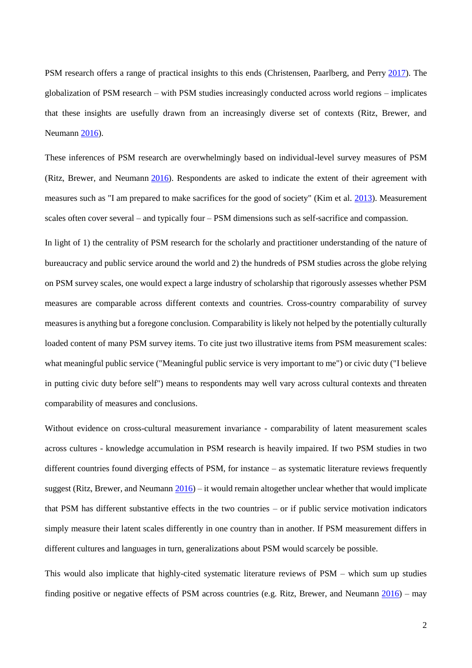PSM research offers a range of practical insights to this ends (Christensen, Paarlberg, and Perry [2017\)](file:///C:/Users/ksass/OneDrive%20-%20Roskilde%20Universitet/DFID/PSM%20measure/Measurement_Invariance_resubmission_no_tables_and_figures.html%23X0-christensen2017public). The globalization of PSM research – with PSM studies increasingly conducted across world regions – implicates that these insights are usefully drawn from an increasingly diverse set of contexts (Ritz, Brewer, and Neumann [2016\)](file:///C:/Users/ksass/OneDrive%20-%20Roskilde%20Universitet/DFID/PSM%20measure/Measurement_Invariance_resubmission_no_tables_and_figures.html%23X0-ritz2016public).

These inferences of PSM research are overwhelmingly based on individual-level survey measures of PSM (Ritz, Brewer, and Neumann [2016\)](file:///C:/Users/ksass/OneDrive%20-%20Roskilde%20Universitet/DFID/PSM%20measure/Measurement_Invariance_resubmission_no_tables_and_figures.html%23X0-ritz2016public). Respondents are asked to indicate the extent of their agreement with measures such as "I am prepared to make sacrifices for the good of society" (Kim et al. [2013\)](file:///C:/Users/ksass/OneDrive%20-%20Roskilde%20Universitet/DFID/PSM%20measure/Measurement_Invariance_resubmission_no_tables_and_figures.html%23X0-kim2012investigating). Measurement scales often cover several – and typically four – PSM dimensions such as self-sacrifice and compassion.

In light of 1) the centrality of PSM research for the scholarly and practitioner understanding of the nature of bureaucracy and public service around the world and 2) the hundreds of PSM studies across the globe relying on PSM survey scales, one would expect a large industry of scholarship that rigorously assesses whether PSM measures are comparable across different contexts and countries. Cross-country comparability of survey measures is anything but a foregone conclusion. Comparability is likely not helped by the potentially culturally loaded content of many PSM survey items. To cite just two illustrative items from PSM measurement scales: what meaningful public service ("Meaningful public service is very important to me") or civic duty ("I believe in putting civic duty before self") means to respondents may well vary across cultural contexts and threaten comparability of measures and conclusions.

Without evidence on cross-cultural measurement invariance - comparability of latent measurement scales across cultures - knowledge accumulation in PSM research is heavily impaired. If two PSM studies in two different countries found diverging effects of PSM, for instance – as systematic literature reviews frequently suggest (Ritz, Brewer, and Neumann  $\frac{2016}{ }$  – it would remain altogether unclear whether that would implicate that PSM has different substantive effects in the two countries – or if public service motivation indicators simply measure their latent scales differently in one country than in another. If PSM measurement differs in different cultures and languages in turn, generalizations about PSM would scarcely be possible.

This would also implicate that highly-cited systematic literature reviews of PSM – which sum up studies finding positive or negative effects of PSM across countries (e.g. Ritz, Brewer, and Neumann  $2016$ ) – may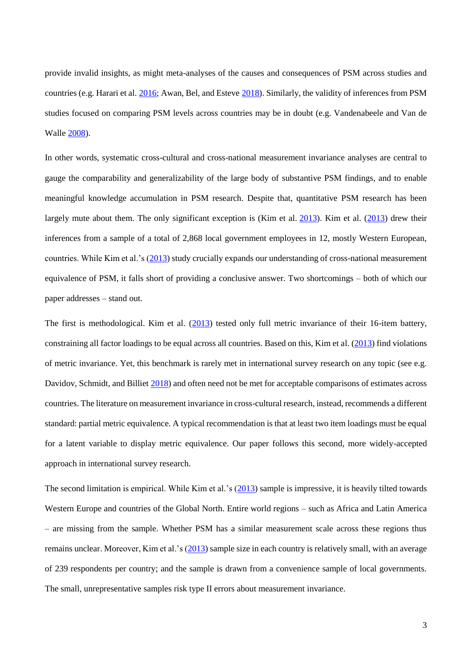provide invalid insights, as might meta-analyses of the causes and consequences of PSM across studies and countries (e.g. Harari et al. [2016;](file:///C:/Users/ksass/OneDrive%20-%20Roskilde%20Universitet/DFID/PSM%20measure/Measurement_Invariance_resubmission_no_tables_and_figures.html%23X0-harari2016organizational) Awan, Bel, and Esteve [2018\)](file:///C:/Users/ksass/OneDrive%20-%20Roskilde%20Universitet/DFID/PSM%20measure/Measurement_Invariance_resubmission_no_tables_and_figures.html%23X0-awan2018benefits). Similarly, the validity of inferences from PSM studies focused on comparing PSM levels across countries may be in doubt (e.g. Vandenabeele and Van de Walle [2008\)](file:///C:/Users/ksass/OneDrive%20-%20Roskilde%20Universitet/DFID/PSM%20measure/Measurement_Invariance_resubmission_no_tables_and_figures.html%23X0-vandenabeele2008international).

In other words, systematic cross-cultural and cross-national measurement invariance analyses are central to gauge the comparability and generalizability of the large body of substantive PSM findings, and to enable meaningful knowledge accumulation in PSM research. Despite that, quantitative PSM research has been largely mute about them. The only significant exception is (Kim et al. [2013\)](file:///C:/Users/ksass/OneDrive%20-%20Roskilde%20Universitet/DFID/PSM%20measure/Measurement_Invariance_resubmission_no_tables_and_figures.html%23X0-kim2012investigating). Kim et al. [\(2013\)](file:///C:/Users/ksass/OneDrive%20-%20Roskilde%20Universitet/DFID/PSM%20measure/Measurement_Invariance_resubmission_no_tables_and_figures.html%23X0-kim2012investigating) drew their inferences from a sample of a total of 2,868 local government employees in 12, mostly Western European, countries. While Kim et al.'s [\(2013\)](file:///C:/Users/ksass/OneDrive%20-%20Roskilde%20Universitet/DFID/PSM%20measure/Measurement_Invariance_resubmission_no_tables_and_figures.html%23X0-kim2012investigating) study crucially expands our understanding of cross-national measurement equivalence of PSM, it falls short of providing a conclusive answer. Two shortcomings – both of which our paper addresses – stand out.

The first is methodological. Kim et al. [\(2013\)](file:///C:/Users/ksass/OneDrive%20-%20Roskilde%20Universitet/DFID/PSM%20measure/Measurement_Invariance_resubmission_no_tables_and_figures.html%23X0-kim2012investigating) tested only full metric invariance of their 16-item battery, constraining all factor loadings to be equal across all countries. Based on this, Kim et al. [\(2013\)](file:///C:/Users/ksass/OneDrive%20-%20Roskilde%20Universitet/DFID/PSM%20measure/Measurement_Invariance_resubmission_no_tables_and_figures.html%23X0-kim2012investigating) find violations of metric invariance. Yet, this benchmark is rarely met in international survey research on any topic (see e.g. Davidov, Schmidt, and Billiet [2018\)](file:///C:/Users/ksass/OneDrive%20-%20Roskilde%20Universitet/DFID/PSM%20measure/Measurement_Invariance_resubmission_no_tables_and_figures.html%23X0-davidov2018cross) and often need not be met for acceptable comparisons of estimates across countries. The literature on measurement invariance in cross-cultural research, instead, recommends a different standard: partial metric equivalence. A typical recommendation is that at least two item loadings must be equal for a latent variable to display metric equivalence. Our paper follows this second, more widely-accepted approach in international survey research.

The second limitation is empirical. While Kim et al.'s [\(2013\)](file:///C:/Users/ksass/OneDrive%20-%20Roskilde%20Universitet/DFID/PSM%20measure/Measurement_Invariance_resubmission_no_tables_and_figures.html%23X0-kim2012investigating) sample is impressive, it is heavily tilted towards Western Europe and countries of the Global North. Entire world regions – such as Africa and Latin America – are missing from the sample. Whether PSM has a similar measurement scale across these regions thus remains unclear. Moreover, Kim et al.'s [\(2013\)](file:///C:/Users/ksass/OneDrive%20-%20Roskilde%20Universitet/DFID/PSM%20measure/Measurement_Invariance_resubmission_no_tables_and_figures.html%23X0-kim2012investigating) sample size in each country is relatively small, with an average of 239 respondents per country; and the sample is drawn from a convenience sample of local governments. The small, unrepresentative samples risk type II errors about measurement invariance.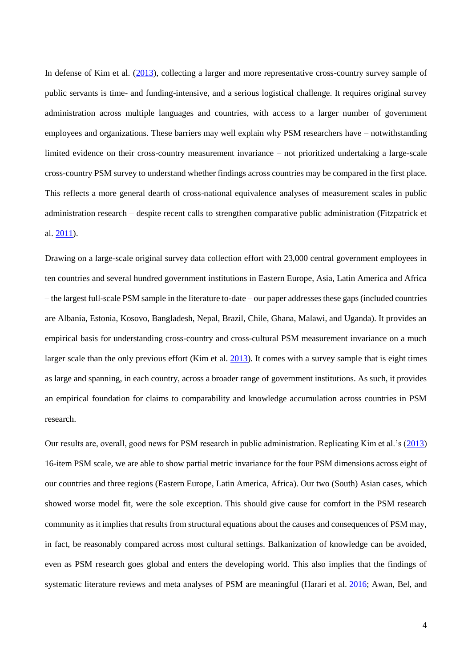In defense of Kim et al. [\(2013\)](file:///C:/Users/ksass/OneDrive%20-%20Roskilde%20Universitet/DFID/PSM%20measure/Measurement_Invariance_resubmission_no_tables_and_figures.html%23X0-kim2012investigating), collecting a larger and more representative cross-country survey sample of public servants is time- and funding-intensive, and a serious logistical challenge. It requires original survey administration across multiple languages and countries, with access to a larger number of government employees and organizations. These barriers may well explain why PSM researchers have – notwithstanding limited evidence on their cross-country measurement invariance – not prioritized undertaking a large-scale cross-country PSM survey to understand whether findings across countries may be compared in the first place. This reflects a more general dearth of cross-national equivalence analyses of measurement scales in public administration research – despite recent calls to strengthen comparative public administration (Fitzpatrick et al. [2011\)](file:///C:/Users/ksass/OneDrive%20-%20Roskilde%20Universitet/DFID/PSM%20measure/Measurement_Invariance_resubmission_no_tables_and_figures.html%23X0-fitzpatrick2011new).

Drawing on a large-scale original survey data collection effort with 23,000 central government employees in ten countries and several hundred government institutions in Eastern Europe, Asia, Latin America and Africa – the largest full-scale PSM sample in the literature to-date – our paper addresses these gaps (included countries are Albania, Estonia, Kosovo, Bangladesh, Nepal, Brazil, Chile, Ghana, Malawi, and Uganda). It provides an empirical basis for understanding cross-country and cross-cultural PSM measurement invariance on a much larger scale than the only previous effort (Kim et al. [2013\)](file:///C:/Users/ksass/OneDrive%20-%20Roskilde%20Universitet/DFID/PSM%20measure/Measurement_Invariance_resubmission_no_tables_and_figures.html%23X0-kim2012investigating). It comes with a survey sample that is eight times as large and spanning, in each country, across a broader range of government institutions. As such, it provides an empirical foundation for claims to comparability and knowledge accumulation across countries in PSM research.

Our results are, overall, good news for PSM research in public administration. Replicating Kim et al.'s [\(2013\)](file:///C:/Users/ksass/OneDrive%20-%20Roskilde%20Universitet/DFID/PSM%20measure/Measurement_Invariance_resubmission_no_tables_and_figures.html%23X0-kim2012investigating) 16-item PSM scale, we are able to show partial metric invariance for the four PSM dimensions across eight of our countries and three regions (Eastern Europe, Latin America, Africa). Our two (South) Asian cases, which showed worse model fit, were the sole exception. This should give cause for comfort in the PSM research community as it implies that results from structural equations about the causes and consequences of PSM may, in fact, be reasonably compared across most cultural settings. Balkanization of knowledge can be avoided, even as PSM research goes global and enters the developing world. This also implies that the findings of systematic literature reviews and meta analyses of PSM are meaningful (Harari et al. [2016;](file:///C:/Users/ksass/OneDrive%20-%20Roskilde%20Universitet/DFID/PSM%20measure/Measurement_Invariance_resubmission_no_tables_and_figures.html%23X0-harari2016organizational) Awan, Bel, and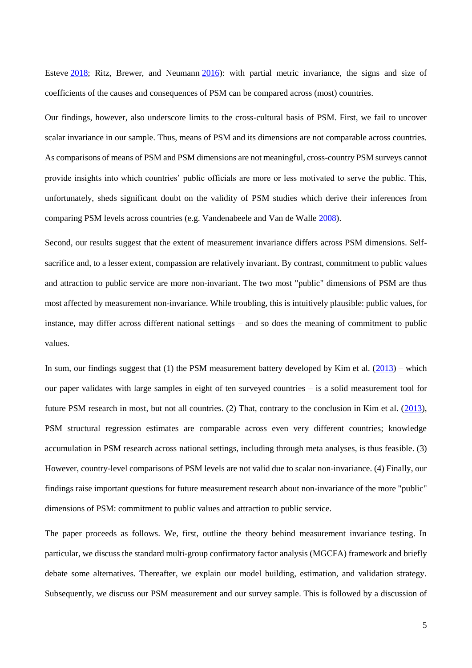Esteve [2018;](file:///C:/Users/ksass/OneDrive%20-%20Roskilde%20Universitet/DFID/PSM%20measure/Measurement_Invariance_resubmission_no_tables_and_figures.html%23X0-awan2018benefits) Ritz, Brewer, and Neumann [2016\)](file:///C:/Users/ksass/OneDrive%20-%20Roskilde%20Universitet/DFID/PSM%20measure/Measurement_Invariance_resubmission_no_tables_and_figures.html%23X0-ritz2016public): with partial metric invariance, the signs and size of coefficients of the causes and consequences of PSM can be compared across (most) countries.

Our findings, however, also underscore limits to the cross-cultural basis of PSM. First, we fail to uncover scalar invariance in our sample. Thus, means of PSM and its dimensions are not comparable across countries. As comparisons of means of PSM and PSM dimensions are not meaningful, cross-country PSM surveys cannot provide insights into which countries' public officials are more or less motivated to serve the public. This, unfortunately, sheds significant doubt on the validity of PSM studies which derive their inferences from comparing PSM levels across countries (e.g. Vandenabeele and Van de Walle [2008\)](file:///C:/Users/ksass/OneDrive%20-%20Roskilde%20Universitet/DFID/PSM%20measure/Measurement_Invariance_resubmission_no_tables_and_figures.html%23X0-vandenabeele2008international).

Second, our results suggest that the extent of measurement invariance differs across PSM dimensions. Selfsacrifice and, to a lesser extent, compassion are relatively invariant. By contrast, commitment to public values and attraction to public service are more non-invariant. The two most "public" dimensions of PSM are thus most affected by measurement non-invariance. While troubling, this is intuitively plausible: public values, for instance, may differ across different national settings – and so does the meaning of commitment to public values.

In sum, our findings suggest that  $(1)$  the PSM measurement battery developed by Kim et al.  $(2013)$  – which our paper validates with large samples in eight of ten surveyed countries – is a solid measurement tool for future PSM research in most, but not all countries. (2) That, contrary to the conclusion in Kim et al. [\(2013\)](file:///C:/Users/ksass/OneDrive%20-%20Roskilde%20Universitet/DFID/PSM%20measure/Measurement_Invariance_resubmission_no_tables_and_figures.html%23X0-kim2012investigating), PSM structural regression estimates are comparable across even very different countries; knowledge accumulation in PSM research across national settings, including through meta analyses, is thus feasible. (3) However, country-level comparisons of PSM levels are not valid due to scalar non-invariance. (4) Finally, our findings raise important questions for future measurement research about non-invariance of the more "public" dimensions of PSM: commitment to public values and attraction to public service.

The paper proceeds as follows. We, first, outline the theory behind measurement invariance testing. In particular, we discuss the standard multi-group confirmatory factor analysis (MGCFA) framework and briefly debate some alternatives. Thereafter, we explain our model building, estimation, and validation strategy. Subsequently, we discuss our PSM measurement and our survey sample. This is followed by a discussion of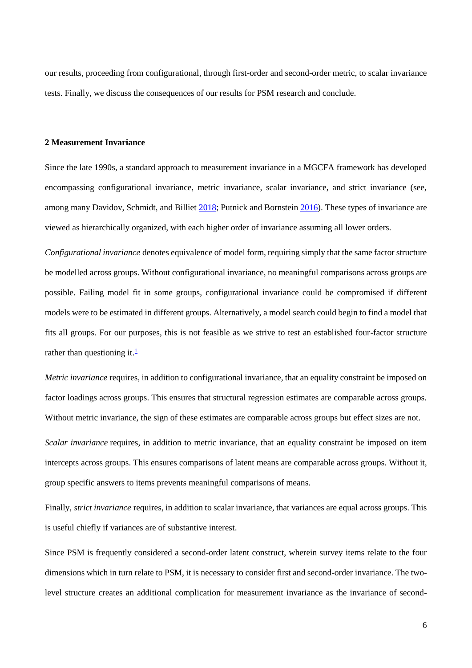our results, proceeding from configurational, through first-order and second-order metric, to scalar invariance tests. Finally, we discuss the consequences of our results for PSM research and conclude.

#### **2 Measurement Invariance**

Since the late 1990s, a standard approach to measurement invariance in a MGCFA framework has developed encompassing configurational invariance, metric invariance, scalar invariance, and strict invariance (see, among many Davidov, Schmidt, and Billiet [2018;](file:///C:/Users/ksass/OneDrive%20-%20Roskilde%20Universitet/DFID/PSM%20measure/Measurement_Invariance_resubmission_no_tables_and_figures.html%23X0-davidov2018cross) Putnick and Bornstein [2016\)](file:///C:/Users/ksass/OneDrive%20-%20Roskilde%20Universitet/DFID/PSM%20measure/Measurement_Invariance_resubmission_no_tables_and_figures.html%23X0-putnick2016measurement). These types of invariance are viewed as hierarchically organized, with each higher order of invariance assuming all lower orders.

*Configurational invariance* denotes equivalence of model form, requiring simply that the same factor structure be modelled across groups. Without configurational invariance, no meaningful comparisons across groups are possible. Failing model fit in some groups, configurational invariance could be compromised if different models were to be estimated in different groups. Alternatively, a model search could begin to find a model that fits all groups. For our purposes, this is not feasible as we strive to test an established four-factor structure rather than questioning it[.](file:///C:/Users/ksass/OneDrive%20-%20Roskilde%20Universitet/DFID/PSM%20measure/Measurement_Invariance_resubmission_no_tables_and_figures.html%23ennote-1) $\frac{1}{1}$ 

*Metric invariance* requires, in addition to configurational invariance, that an equality constraint be imposed on factor loadings across groups. This ensures that structural regression estimates are comparable across groups. Without metric invariance, the sign of these estimates are comparable across groups but effect sizes are not.

*Scalar invariance* requires, in addition to metric invariance, that an equality constraint be imposed on item intercepts across groups. This ensures comparisons of latent means are comparable across groups. Without it, group specific answers to items prevents meaningful comparisons of means.

Finally, *strict invariance* requires, in addition to scalar invariance, that variances are equal across groups. This is useful chiefly if variances are of substantive interest.

Since PSM is frequently considered a second-order latent construct, wherein survey items relate to the four dimensions which in turn relate to PSM, it is necessary to consider first and second-order invariance. The twolevel structure creates an additional complication for measurement invariance as the invariance of second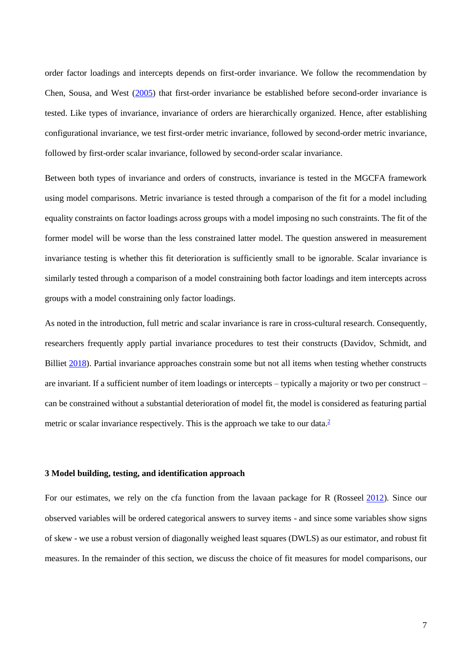order factor loadings and intercepts depends on first-order invariance. We follow the recommendation by Chen, Sousa, and West [\(2005\)](file:///C:/Users/ksass/OneDrive%20-%20Roskilde%20Universitet/DFID/PSM%20measure/Measurement_Invariance_resubmission_no_tables_and_figures.html%23X0-chen2005teacher) that first-order invariance be established before second-order invariance is tested. Like types of invariance, invariance of orders are hierarchically organized. Hence, after establishing configurational invariance, we test first-order metric invariance, followed by second-order metric invariance, followed by first-order scalar invariance, followed by second-order scalar invariance.

Between both types of invariance and orders of constructs, invariance is tested in the MGCFA framework using model comparisons. Metric invariance is tested through a comparison of the fit for a model including equality constraints on factor loadings across groups with a model imposing no such constraints. The fit of the former model will be worse than the less constrained latter model. The question answered in measurement invariance testing is whether this fit deterioration is sufficiently small to be ignorable. Scalar invariance is similarly tested through a comparison of a model constraining both factor loadings and item intercepts across groups with a model constraining only factor loadings.

As noted in the introduction, full metric and scalar invariance is rare in cross-cultural research. Consequently, researchers frequently apply partial invariance procedures to test their constructs (Davidov, Schmidt, and Billiet [2018\)](file:///C:/Users/ksass/OneDrive%20-%20Roskilde%20Universitet/DFID/PSM%20measure/Measurement_Invariance_resubmission_no_tables_and_figures.html%23X0-davidov2018cross). Partial invariance approaches constrain some but not all items when testing whether constructs are invariant. If a sufficient number of item loadings or intercepts – typically a majority or two per construct – can be constrained without a substantial deterioration of model fit, the model is considered as featuring partial metric or scalar invariance respectively[.](file:///C:/Users/ksass/OneDrive%20-%20Roskilde%20Universitet/DFID/PSM%20measure/Measurement_Invariance_resubmission_no_tables_and_figures.html%23ennote-2) This is the approach we take to our data.<sup>2</sup>

## **3 Model building, testing, and identification approach**

For our estimates, we rely on the cfa function from the lavaan package for R (Rosseel [2012\)](file:///C:/Users/ksass/OneDrive%20-%20Roskilde%20Universitet/DFID/PSM%20measure/Measurement_Invariance_resubmission_no_tables_and_figures.html%23X0-rosseel2012lavaan). Since our observed variables will be ordered categorical answers to survey items - and since some variables show signs of skew - we use a robust version of diagonally weighed least squares (DWLS) as our estimator, and robust fit measures. In the remainder of this section, we discuss the choice of fit measures for model comparisons, our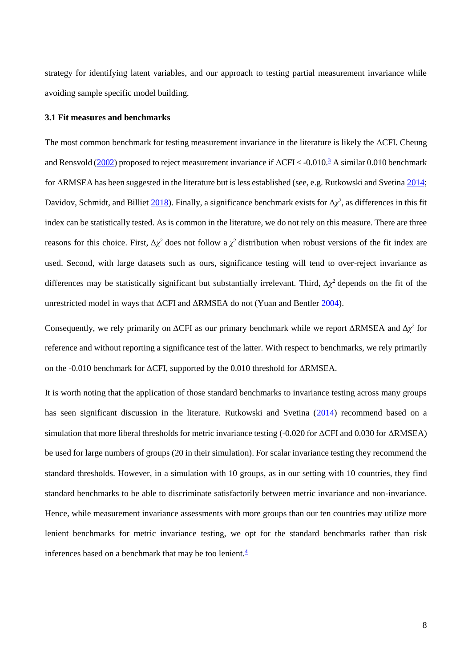strategy for identifying latent variables, and our approach to testing partial measurement invariance while avoiding sample specific model building.

## **3.1 Fit measures and benchmarks**

The most common benchmark for testing measurement invariance in the literature is likely the ΔCFI. Cheung and Rensvold [\(2002\)](file:///C:/Users/ksass/OneDrive%20-%20Roskilde%20Universitet/DFID/PSM%20measure/Measurement_Invariance_resubmission_no_tables_and_figures.html%23X0-cheung2002evaluating) proposed to reject measurement invariance if ΔCFI < -0.010.[3](file:///C:/Users/ksass/OneDrive%20-%20Roskilde%20Universitet/DFID/PSM%20measure/Measurement_Invariance_resubmission_no_tables_and_figures.html%23ennote-3) A similar 0.010 benchmark for ΔRMSEA has been suggested in the literature but is less established (see, e.g. Rutkowski and Svetina [2014;](file:///C:/Users/ksass/OneDrive%20-%20Roskilde%20Universitet/DFID/PSM%20measure/Measurement_Invariance_resubmission_no_tables_and_figures.html%23X0-rutkowski2014assessing) Davidov, Schmidt, and Billiet  $\frac{2018}{2018}$ . Finally, a significance benchmark exists for  $\Delta \chi^2$ , as differences in this fit index can be statistically tested. As is common in the literature, we do not rely on this measure. There are three reasons for this choice. First,  $\Delta \chi^2$  does not follow a  $\chi^2$  distribution when robust versions of the fit index are used. Second, with large datasets such as ours, significance testing will tend to over-reject invariance as differences may be statistically significant but substantially irrelevant. Third,  $\Delta \chi^2$  depends on the fit of the unrestricted model in ways that ΔCFI and ΔRMSEA do not (Yuan and Bentler [2004\)](file:///C:/Users/ksass/OneDrive%20-%20Roskilde%20Universitet/DFID/PSM%20measure/Measurement_Invariance_resubmission_no_tables_and_figures.html%23X0-yuan2004chi).

Consequently, we rely primarily on  $\Delta$ CFI as our primary benchmark while we report  $\Delta$ RMSEA and  $\Delta \chi^2$  for reference and without reporting a significance test of the latter. With respect to benchmarks, we rely primarily on the -0.010 benchmark for ΔCFI, supported by the 0.010 threshold for ΔRMSEA.

It is worth noting that the application of those standard benchmarks to invariance testing across many groups has seen significant discussion in the literature. Rutkowski and Svetina [\(2014\)](file:///C:/Users/ksass/OneDrive%20-%20Roskilde%20Universitet/DFID/PSM%20measure/Measurement_Invariance_resubmission_no_tables_and_figures.html%23X0-rutkowski2014assessing) recommend based on a simulation that more liberal thresholds for metric invariance testing (-0.020 for ΔCFI and 0.030 for ΔRMSEA) be used for large numbers of groups (20 in their simulation). For scalar invariance testing they recommend the standard thresholds. However, in a simulation with 10 groups, as in our setting with 10 countries, they find standard benchmarks to be able to discriminate satisfactorily between metric invariance and non-invariance. Hence, while measurement invariance assessments with more groups than our ten countries may utilize more lenient benchmarks for metric invariance testing, we opt for the standard benchmarks rather than risk inferences based on a benchmark that may be too lenient. $\frac{4}{3}$  $\frac{4}{3}$  $\frac{4}{3}$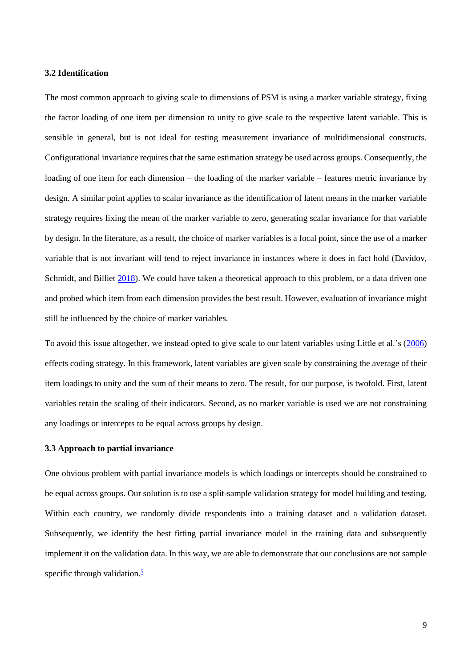#### **3.2 Identification**

The most common approach to giving scale to dimensions of PSM is using a marker variable strategy, fixing the factor loading of one item per dimension to unity to give scale to the respective latent variable. This is sensible in general, but is not ideal for testing measurement invariance of multidimensional constructs. Configurational invariance requires that the same estimation strategy be used across groups. Consequently, the loading of one item for each dimension – the loading of the marker variable – features metric invariance by design. A similar point applies to scalar invariance as the identification of latent means in the marker variable strategy requires fixing the mean of the marker variable to zero, generating scalar invariance for that variable by design. In the literature, as a result, the choice of marker variables is a focal point, since the use of a marker variable that is not invariant will tend to reject invariance in instances where it does in fact hold (Davidov, Schmidt, and Billiet [2018\)](file:///C:/Users/ksass/OneDrive%20-%20Roskilde%20Universitet/DFID/PSM%20measure/Measurement_Invariance_resubmission_no_tables_and_figures.html%23X0-davidov2018cross). We could have taken a theoretical approach to this problem, or a data driven one and probed which item from each dimension provides the best result. However, evaluation of invariance might still be influenced by the choice of marker variables.

To avoid this issue altogether, we instead opted to give scale to our latent variables using Little et al.'s [\(2006\)](file:///C:/Users/ksass/OneDrive%20-%20Roskilde%20Universitet/DFID/PSM%20measure/Measurement_Invariance_resubmission_no_tables_and_figures.html%23X0-little2006non) effects coding strategy. In this framework, latent variables are given scale by constraining the average of their item loadings to unity and the sum of their means to zero. The result, for our purpose, is twofold. First, latent variables retain the scaling of their indicators. Second, as no marker variable is used we are not constraining any loadings or intercepts to be equal across groups by design.

# **3.3 Approach to partial invariance**

One obvious problem with partial invariance models is which loadings or intercepts should be constrained to be equal across groups. Our solution is to use a split-sample validation strategy for model building and testing. Within each country, we randomly divide respondents into a training dataset and a validation dataset. Subsequently, we identify the best fitting partial invariance model in the training data and subsequently implement it on the validation data. In this way, we are able to demonstrate that our conclusions are not sample specific through validation[.](file:///C:/Users/ksass/OneDrive%20-%20Roskilde%20Universitet/DFID/PSM%20measure/Measurement_Invariance_resubmission_no_tables_and_figures.html%23ennote-5) $\frac{5}{5}$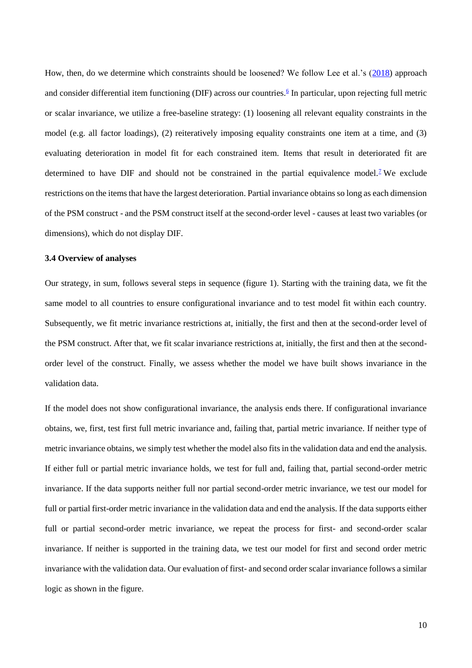How, then, do we determine which constraints should be loosened? We follow Lee et al.'s [\(2018\)](file:///C:/Users/ksass/OneDrive%20-%20Roskilde%20Universitet/DFID/PSM%20measure/Measurement_Invariance_resubmission_no_tables_and_figures.html%23X0-lee2011methodological) approach and consider differential item functioning (DIF) across our countries.<sup>[6](file:///C:/Users/ksass/OneDrive%20-%20Roskilde%20Universitet/DFID/PSM%20measure/Measurement_Invariance_resubmission_no_tables_and_figures.html%23ennote-6)</sup> In particular, upon rejecting full metric or scalar invariance, we utilize a free-baseline strategy: (1) loosening all relevant equality constraints in the model (e.g. all factor loadings), (2) reiteratively imposing equality constraints one item at a time, and (3) evaluating deterioration in model fit for each constrained item. Items that result in deteriorated fit are determined to have DIF and should not be constrained in the partial equivalence model[.](file:///C:/Users/ksass/OneDrive%20-%20Roskilde%20Universitet/DFID/PSM%20measure/Measurement_Invariance_resubmission_no_tables_and_figures.html%23ennote-7)<sup>7</sup> We exclude restrictions on the items that have the largest deterioration. Partial invariance obtains so long as each dimension of the PSM construct - and the PSM construct itself at the second-order level - causes at least two variables (or dimensions), which do not display DIF.

#### **3.4 Overview of analyses**

Our strategy, in sum, follows several steps in sequence (figure 1). Starting with the training data, we fit the same model to all countries to ensure configurational invariance and to test model fit within each country. Subsequently, we fit metric invariance restrictions at, initially, the first and then at the second-order level of the PSM construct. After that, we fit scalar invariance restrictions at, initially, the first and then at the secondorder level of the construct. Finally, we assess whether the model we have built shows invariance in the validation data.

If the model does not show configurational invariance, the analysis ends there. If configurational invariance obtains, we, first, test first full metric invariance and, failing that, partial metric invariance. If neither type of metric invariance obtains, we simply test whether the model also fits in the validation data and end the analysis. If either full or partial metric invariance holds, we test for full and, failing that, partial second-order metric invariance. If the data supports neither full nor partial second-order metric invariance, we test our model for full or partial first-order metric invariance in the validation data and end the analysis. If the data supports either full or partial second-order metric invariance, we repeat the process for first- and second-order scalar invariance. If neither is supported in the training data, we test our model for first and second order metric invariance with the validation data. Our evaluation of first- and second order scalar invariance follows a similar logic as shown in the figure.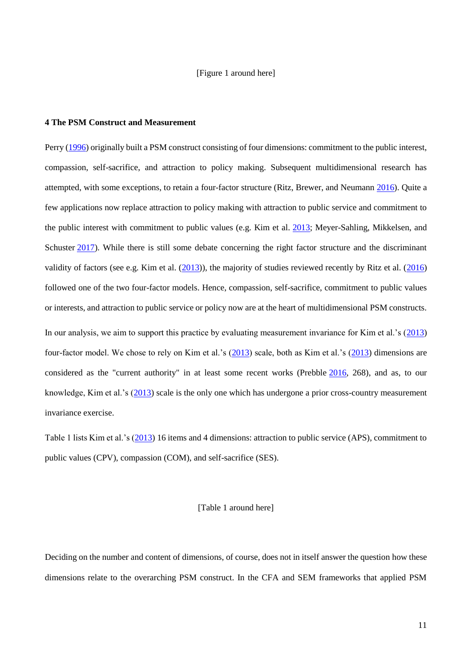#### [Figure 1 around here]

#### **4 The PSM Construct and Measurement**

Perry [\(1996\)](file:///C:/Users/ksass/OneDrive%20-%20Roskilde%20Universitet/DFID/PSM%20measure/Measurement_Invariance_resubmission_no_tables_and_figures.html%23X0-perry1996measuring) originally built a PSM construct consisting of four dimensions: commitment to the public interest, compassion, self-sacrifice, and attraction to policy making. Subsequent multidimensional research has attempted, with some exceptions, to retain a four-factor structure (Ritz, Brewer, and Neumann [2016\)](file:///C:/Users/ksass/OneDrive%20-%20Roskilde%20Universitet/DFID/PSM%20measure/Measurement_Invariance_resubmission_no_tables_and_figures.html%23X0-ritz2016public). Quite a few applications now replace attraction to policy making with attraction to public service and commitment to the public interest with commitment to public values (e.g. Kim et al. [2013;](file:///C:/Users/ksass/OneDrive%20-%20Roskilde%20Universitet/DFID/PSM%20measure/Measurement_Invariance_resubmission_no_tables_and_figures.html%23X0-kim2012investigating) Meyer-Sahling, Mikkelsen, and Schuster [2017\)](file:///C:/Users/ksass/OneDrive%20-%20Roskilde%20Universitet/DFID/PSM%20measure/Measurement_Invariance_resubmission_no_tables_and_figures.html%23X0-meyer2017causal). While there is still some debate concerning the right factor structure and the discriminant validity of factors (see e.g. Kim et al. [\(2013\)](file:///C:/Users/ksass/OneDrive%20-%20Roskilde%20Universitet/DFID/PSM%20measure/Measurement_Invariance_resubmission_no_tables_and_figures.html%23X0-kim2012investigating)), the majority of studies reviewed recently by Ritz et al. [\(2016\)](file:///C:/Users/ksass/OneDrive%20-%20Roskilde%20Universitet/DFID/PSM%20measure/Measurement_Invariance_resubmission_no_tables_and_figures.html%23X0-ritz2016public) followed one of the two four-factor models. Hence, compassion, self-sacrifice, commitment to public values or interests, and attraction to public service or policy now are at the heart of multidimensional PSM constructs. In our analysis, we aim to support this practice by evaluating measurement invariance for Kim et al.'s [\(2013\)](file:///C:/Users/ksass/OneDrive%20-%20Roskilde%20Universitet/DFID/PSM%20measure/Measurement_Invariance_resubmission_no_tables_and_figures.html%23X0-kim2012investigating) four-factor model. We chose to rely on Kim et al.'s [\(2013\)](file:///C:/Users/ksass/OneDrive%20-%20Roskilde%20Universitet/DFID/PSM%20measure/Measurement_Invariance_resubmission_no_tables_and_figures.html%23X0-kim2012investigating) scale, both as Kim et al.'s [\(2013\)](file:///C:/Users/ksass/OneDrive%20-%20Roskilde%20Universitet/DFID/PSM%20measure/Measurement_Invariance_resubmission_no_tables_and_figures.html%23X0-kim2012investigating) dimensions are considered as the "current authority" in at least some recent works (Prebble [2016,](file:///C:/Users/ksass/OneDrive%20-%20Roskilde%20Universitet/DFID/PSM%20measure/Measurement_Invariance_resubmission_no_tables_and_figures.html%23X0-prebble2016has) 268), and as, to our knowledge, Kim et al.'s [\(2013\)](file:///C:/Users/ksass/OneDrive%20-%20Roskilde%20Universitet/DFID/PSM%20measure/Measurement_Invariance_resubmission_no_tables_and_figures.html%23X0-kim2012investigating) scale is the only one which has undergone a prior cross-country measurement invariance exercise.

Table 1 lists Kim et al.'s [\(2013\)](file:///C:/Users/ksass/OneDrive%20-%20Roskilde%20Universitet/DFID/PSM%20measure/Measurement_Invariance_resubmission_no_tables_and_figures.html%23X0-kim2012investigating) 16 items and 4 dimensions: attraction to public service (APS), commitment to public values (CPV), compassion (COM), and self-sacrifice (SES).

#### [Table 1 around here]

Deciding on the number and content of dimensions, of course, does not in itself answer the question how these dimensions relate to the overarching PSM construct. In the CFA and SEM frameworks that applied PSM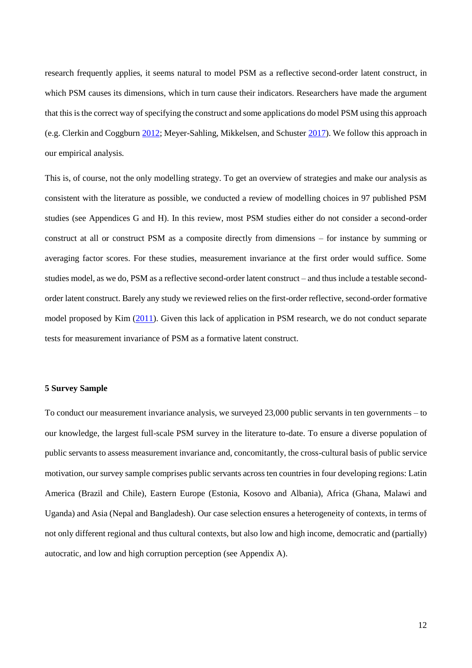research frequently applies, it seems natural to model PSM as a reflective second-order latent construct, in which PSM causes its dimensions, which in turn cause their indicators. Researchers have made the argument that this is the correct way of specifying the construct and some applications do model PSM using this approach (e.g. Clerkin and Coggburn [2012;](file:///C:/Users/ksass/OneDrive%20-%20Roskilde%20Universitet/DFID/PSM%20measure/Measurement_Invariance_resubmission_no_tables_and_figures.html%23X0-clerkin2012dimensions) Meyer-Sahling, Mikkelsen, and Schuster [2017\)](file:///C:/Users/ksass/OneDrive%20-%20Roskilde%20Universitet/DFID/PSM%20measure/Measurement_Invariance_resubmission_no_tables_and_figures.html%23X0-meyer2017causal). We follow this approach in our empirical analysis.

This is, of course, not the only modelling strategy. To get an overview of strategies and make our analysis as consistent with the literature as possible, we conducted a review of modelling choices in 97 published PSM studies (see Appendices G and H). In this review, most PSM studies either do not consider a second-order construct at all or construct PSM as a composite directly from dimensions – for instance by summing or averaging factor scores. For these studies, measurement invariance at the first order would suffice. Some studies model, as we do, PSM as a reflective second-order latent construct – and thus include a testable secondorder latent construct. Barely any study we reviewed relies on the first-order reflective, second-order formative model proposed by Kim [\(2011\)](file:///C:/Users/ksass/OneDrive%20-%20Roskilde%20Universitet/DFID/PSM%20measure/Measurement_Invariance_resubmission_no_tables_and_figures.html%23X0-kim2010testing). Given this lack of application in PSM research, we do not conduct separate tests for measurement invariance of PSM as a formative latent construct.

## **5 Survey Sample**

To conduct our measurement invariance analysis, we surveyed 23,000 public servants in ten governments – to our knowledge, the largest full-scale PSM survey in the literature to-date. To ensure a diverse population of public servants to assess measurement invariance and, concomitantly, the cross-cultural basis of public service motivation, our survey sample comprises public servants across ten countries in four developing regions: Latin America (Brazil and Chile), Eastern Europe (Estonia, Kosovo and Albania), Africa (Ghana, Malawi and Uganda) and Asia (Nepal and Bangladesh). Our case selection ensures a heterogeneity of contexts, in terms of not only different regional and thus cultural contexts, but also low and high income, democratic and (partially) autocratic, and low and high corruption perception (see Appendix A).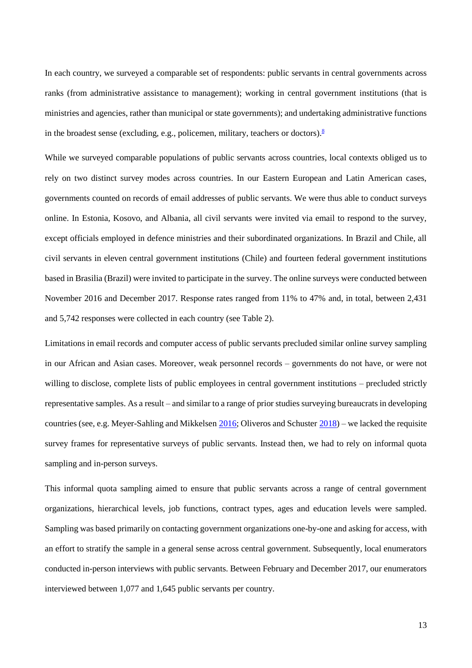In each country, we surveyed a comparable set of respondents: public servants in central governments across ranks (from administrative assistance to management); working in central government institutions (that is ministries and agencies, rather than municipal or state governments); and undertaking administrative functions in the broadest sense (excluding, e.g., policemen, military, teachers or doctors). $\frac{8}{3}$  $\frac{8}{3}$  $\frac{8}{3}$ 

While we surveyed comparable populations of public servants across countries, local contexts obliged us to rely on two distinct survey modes across countries. In our Eastern European and Latin American cases, governments counted on records of email addresses of public servants. We were thus able to conduct surveys online. In Estonia, Kosovo, and Albania, all civil servants were invited via email to respond to the survey, except officials employed in defence ministries and their subordinated organizations. In Brazil and Chile, all civil servants in eleven central government institutions (Chile) and fourteen federal government institutions based in Brasilia (Brazil) were invited to participate in the survey. The online surveys were conducted between November 2016 and December 2017. Response rates ranged from 11% to 47% and, in total, between 2,431 and 5,742 responses were collected in each country (see Table 2).

Limitations in email records and computer access of public servants precluded similar online survey sampling in our African and Asian cases. Moreover, weak personnel records – governments do not have, or were not willing to disclose, complete lists of public employees in central government institutions – precluded strictly representative samples. As a result – and similar to a range of prior studies surveying bureaucrats in developing countries (see, e.g. Meyer-Sahling and Mikkelsen [2016;](file:///C:/Users/ksass/OneDrive%20-%20Roskilde%20Universitet/DFID/PSM%20measure/Measurement_Invariance_resubmission_no_tables_and_figures.html%23X0-meyer2016civil) Oliveros and Schuster [2018\)](file:///C:/Users/ksass/OneDrive%20-%20Roskilde%20Universitet/DFID/PSM%20measure/Measurement_Invariance_resubmission_no_tables_and_figures.html%23X0-oliveros2018merit) – we lacked the requisite survey frames for representative surveys of public servants. Instead then, we had to rely on informal quota sampling and in-person surveys.

This informal quota sampling aimed to ensure that public servants across a range of central government organizations, hierarchical levels, job functions, contract types, ages and education levels were sampled. Sampling was based primarily on contacting government organizations one-by-one and asking for access, with an effort to stratify the sample in a general sense across central government. Subsequently, local enumerators conducted in-person interviews with public servants. Between February and December 2017, our enumerators interviewed between 1,077 and 1,645 public servants per country.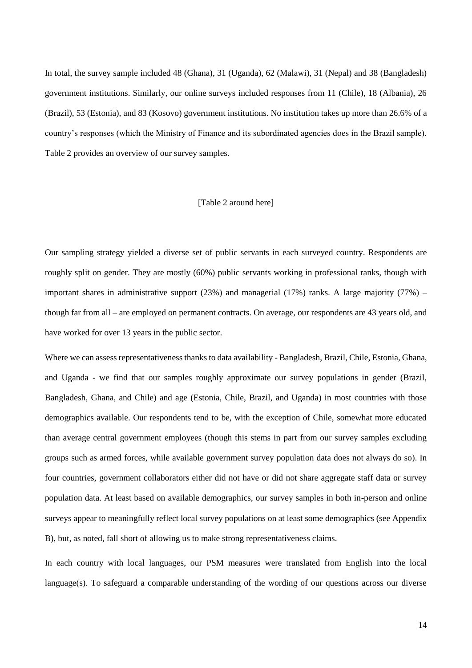In total, the survey sample included 48 (Ghana), 31 (Uganda), 62 (Malawi), 31 (Nepal) and 38 (Bangladesh) government institutions. Similarly, our online surveys included responses from 11 (Chile), 18 (Albania), 26 (Brazil), 53 (Estonia), and 83 (Kosovo) government institutions. No institution takes up more than 26.6% of a country's responses (which the Ministry of Finance and its subordinated agencies does in the Brazil sample). Table 2 provides an overview of our survey samples.

### [Table 2 around here]

Our sampling strategy yielded a diverse set of public servants in each surveyed country. Respondents are roughly split on gender. They are mostly (60%) public servants working in professional ranks, though with important shares in administrative support  $(23%)$  and managerial  $(17%)$  ranks. A large majority  $(77%)$  – though far from all – are employed on permanent contracts. On average, our respondents are 43 years old, and have worked for over 13 years in the public sector.

Where we can assess representativeness thanks to data availability - Bangladesh, Brazil, Chile, Estonia, Ghana, and Uganda - we find that our samples roughly approximate our survey populations in gender (Brazil, Bangladesh, Ghana, and Chile) and age (Estonia, Chile, Brazil, and Uganda) in most countries with those demographics available. Our respondents tend to be, with the exception of Chile, somewhat more educated than average central government employees (though this stems in part from our survey samples excluding groups such as armed forces, while available government survey population data does not always do so). In four countries, government collaborators either did not have or did not share aggregate staff data or survey population data. At least based on available demographics, our survey samples in both in-person and online surveys appear to meaningfully reflect local survey populations on at least some demographics (see Appendix B), but, as noted, fall short of allowing us to make strong representativeness claims.

In each country with local languages, our PSM measures were translated from English into the local language(s). To safeguard a comparable understanding of the wording of our questions across our diverse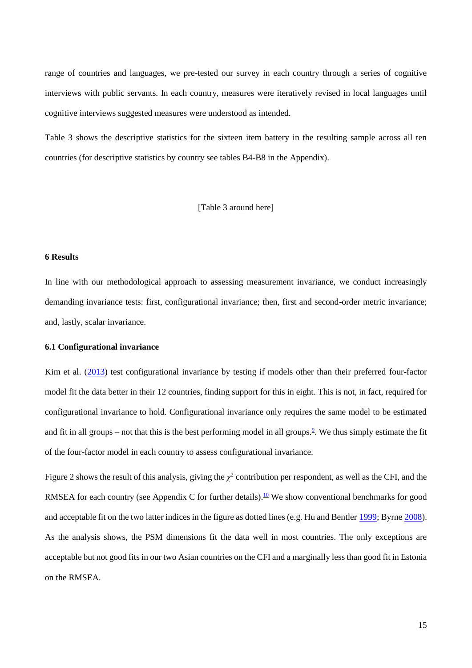range of countries and languages, we pre-tested our survey in each country through a series of cognitive interviews with public servants. In each country, measures were iteratively revised in local languages until cognitive interviews suggested measures were understood as intended.

Table 3 shows the descriptive statistics for the sixteen item battery in the resulting sample across all ten countries (for descriptive statistics by country see tables B4-B8 in the Appendix).

[Table 3 around here]

## **6 Results**

In line with our methodological approach to assessing measurement invariance, we conduct increasingly demanding invariance tests: first, configurational invariance; then, first and second-order metric invariance; and, lastly, scalar invariance.

#### **6.1 Configurational invariance**

Kim et al. [\(2013\)](file:///C:/Users/ksass/OneDrive%20-%20Roskilde%20Universitet/DFID/PSM%20measure/Measurement_Invariance_resubmission_no_tables_and_figures.html%23X0-kim2012investigating) test configurational invariance by testing if models other than their preferred four-factor model fit the data better in their 12 countries, finding support for this in eight. This is not, in fact, required for configurational invariance to hold. Configurational invariance only requires the same model to be estimated and fit in all groups – not that this is the best performing model in all groups[.](file:///C:/Users/ksass/OneDrive%20-%20Roskilde%20Universitet/DFID/PSM%20measure/Measurement_Invariance_resubmission_no_tables_and_figures.html%23ennote-9)<sup>9</sup>. We thus simply estimate the fit of the four-factor model in each country to assess configurational invariance.

Figure 2 shows the result of this analysis, giving the  $\chi^2$  contribution per respondent, as well as the CFI, and the RMSEA for each country (see Appendix C for further details).<sup>[10](file:///C:/Users/ksass/OneDrive%20-%20Roskilde%20Universitet/DFID/PSM%20measure/Measurement_Invariance_resubmission_no_tables_and_figures.html%23ennote-10)</sup> We show conventional benchmarks for good and acceptable fit on the two latter indices in the figure as dotted lines (e.g. Hu and Bentler [1999;](file:///C:/Users/ksass/OneDrive%20-%20Roskilde%20Universitet/DFID/PSM%20measure/Measurement_Invariance_resubmission_no_tables_and_figures.html%23X0-hu1999cutoff) Byrne [2008\)](file:///C:/Users/ksass/OneDrive%20-%20Roskilde%20Universitet/DFID/PSM%20measure/Measurement_Invariance_resubmission_no_tables_and_figures.html%23X0-byrne2008testing). As the analysis shows, the PSM dimensions fit the data well in most countries. The only exceptions are acceptable but not good fits in our two Asian countries on the CFI and a marginally less than good fit in Estonia on the RMSEA.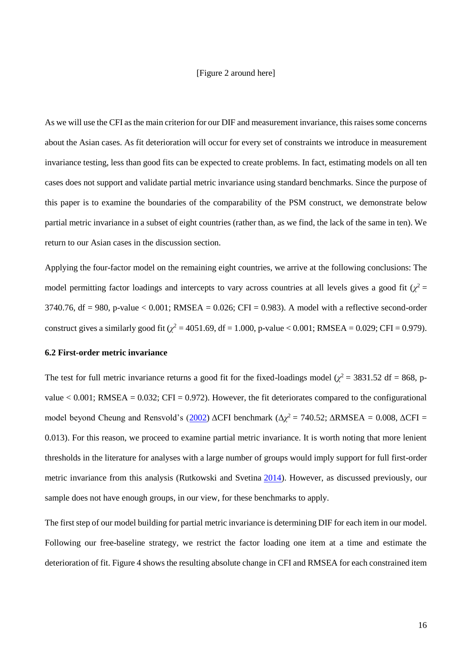#### [Figure 2 around here]

As we will use the CFI as the main criterion for our DIF and measurement invariance, this raises some concerns about the Asian cases. As fit deterioration will occur for every set of constraints we introduce in measurement invariance testing, less than good fits can be expected to create problems. In fact, estimating models on all ten cases does not support and validate partial metric invariance using standard benchmarks. Since the purpose of this paper is to examine the boundaries of the comparability of the PSM construct, we demonstrate below partial metric invariance in a subset of eight countries (rather than, as we find, the lack of the same in ten). We return to our Asian cases in the discussion section.

Applying the four-factor model on the remaining eight countries, we arrive at the following conclusions: The model permitting factor loadings and intercepts to vary across countries at all levels gives a good fit  $(\chi^2 =$ 3740.76, df = 980, p-value < 0.001; RMSEA = 0.026; CFI = 0.983). A model with a reflective second-order construct gives a similarly good fit ( $\chi^2$  = 4051.69, df = 1.000, p-value < 0.001; RMSEA = 0.029; CFI = 0.979).

## **6.2 First-order metric invariance**

The test for full metric invariance returns a good fit for the fixed-loadings model  $(\chi^2 = 3831.52 \text{ df} = 868, \text{ p}$ value  $< 0.001$ ; RMSEA = 0.032; CFI = 0.972). However, the fit deteriorates compared to the configurational model beyond Cheung and Rensvold's ( $\frac{2002}{2}$ ) ΔCFI benchmark ( $Δχ² = 740.52$ ; ΔRMSEA = 0.008, ΔCFI = 0.013). For this reason, we proceed to examine partial metric invariance. It is worth noting that more lenient thresholds in the literature for analyses with a large number of groups would imply support for full first-order metric invariance from this analysis (Rutkowski and Svetina [2014\)](file:///C:/Users/ksass/OneDrive%20-%20Roskilde%20Universitet/DFID/PSM%20measure/Measurement_Invariance_resubmission_no_tables_and_figures.html%23X0-rutkowski2014assessing). However, as discussed previously, our sample does not have enough groups, in our view, for these benchmarks to apply.

The first step of our model building for partial metric invariance is determining DIF for each item in our model. Following our free-baseline strategy, we restrict the factor loading one item at a time and estimate the deterioration of fit. Figure 4 shows the resulting absolute change in CFI and RMSEA for each constrained item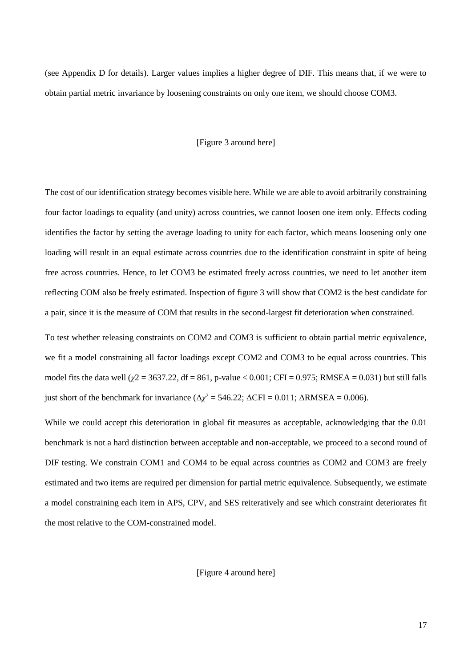(see Appendix D for details). Larger values implies a higher degree of DIF. This means that, if we were to obtain partial metric invariance by loosening constraints on only one item, we should choose COM3.

#### [Figure 3 around here]

The cost of our identification strategy becomes visible here. While we are able to avoid arbitrarily constraining four factor loadings to equality (and unity) across countries, we cannot loosen one item only. Effects coding identifies the factor by setting the average loading to unity for each factor, which means loosening only one loading will result in an equal estimate across countries due to the identification constraint in spite of being free across countries. Hence, to let COM3 be estimated freely across countries, we need to let another item reflecting COM also be freely estimated. Inspection of figure 3 will show that COM2 is the best candidate for a pair, since it is the measure of COM that results in the second-largest fit deterioration when constrained.

To test whether releasing constraints on COM2 and COM3 is sufficient to obtain partial metric equivalence, we fit a model constraining all factor loadings except COM2 and COM3 to be equal across countries. This model fits the data well ( $\chi$ 2 = 3637.22, df = 861, p-value < 0.001; CFI = 0.975; RMSEA = 0.031) but still falls just short of the benchmark for invariance ( $\Delta \chi^2$  = 546.22;  $\Delta$ CFI = 0.011;  $\Delta$ RMSEA = 0.006).

While we could accept this deterioration in global fit measures as acceptable, acknowledging that the 0.01 benchmark is not a hard distinction between acceptable and non-acceptable, we proceed to a second round of DIF testing. We constrain COM1 and COM4 to be equal across countries as COM2 and COM3 are freely estimated and two items are required per dimension for partial metric equivalence. Subsequently, we estimate a model constraining each item in APS, CPV, and SES reiteratively and see which constraint deteriorates fit the most relative to the COM-constrained model.

[Figure 4 around here]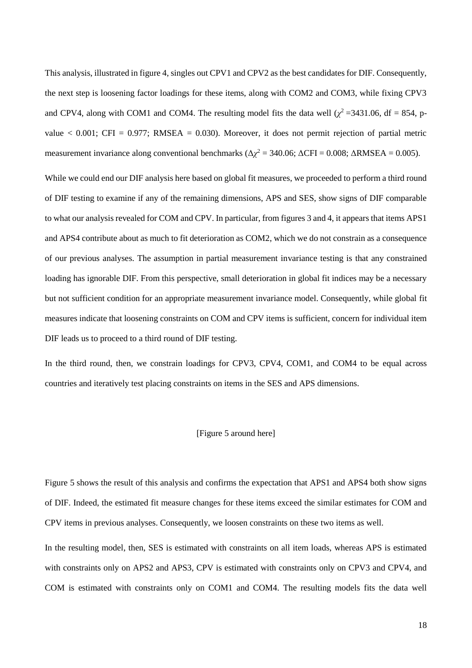This analysis, illustrated in figure 4, singles out CPV1 and CPV2 as the best candidates for DIF. Consequently, the next step is loosening factor loadings for these items, along with COM2 and COM3, while fixing CPV3 and CPV4, along with COM1 and COM4. The resulting model fits the data well  $(\chi^2 = 3431.06)$ , df = 854, pvalue  $< 0.001$ ; CFI = 0.977; RMSEA = 0.030). Moreover, it does not permit rejection of partial metric measurement invariance along conventional benchmarks ( $\Delta \chi^2$  = 340.06;  $\Delta$ CFI = 0.008;  $\Delta$ RMSEA = 0.005).

While we could end our DIF analysis here based on global fit measures, we proceeded to perform a third round of DIF testing to examine if any of the remaining dimensions, APS and SES, show signs of DIF comparable to what our analysis revealed for COM and CPV. In particular, from figures 3 and 4, it appears that items APS1 and APS4 contribute about as much to fit deterioration as COM2, which we do not constrain as a consequence of our previous analyses. The assumption in partial measurement invariance testing is that any constrained loading has ignorable DIF. From this perspective, small deterioration in global fit indices may be a necessary but not sufficient condition for an appropriate measurement invariance model. Consequently, while global fit measures indicate that loosening constraints on COM and CPV items is sufficient, concern for individual item DIF leads us to proceed to a third round of DIF testing.

In the third round, then, we constrain loadings for CPV3, CPV4, COM1, and COM4 to be equal across countries and iteratively test placing constraints on items in the SES and APS dimensions.

#### [Figure 5 around here]

Figure 5 shows the result of this analysis and confirms the expectation that APS1 and APS4 both show signs of DIF. Indeed, the estimated fit measure changes for these items exceed the similar estimates for COM and CPV items in previous analyses. Consequently, we loosen constraints on these two items as well.

In the resulting model, then, SES is estimated with constraints on all item loads, whereas APS is estimated with constraints only on APS2 and APS3, CPV is estimated with constraints only on CPV3 and CPV4, and COM is estimated with constraints only on COM1 and COM4. The resulting models fits the data well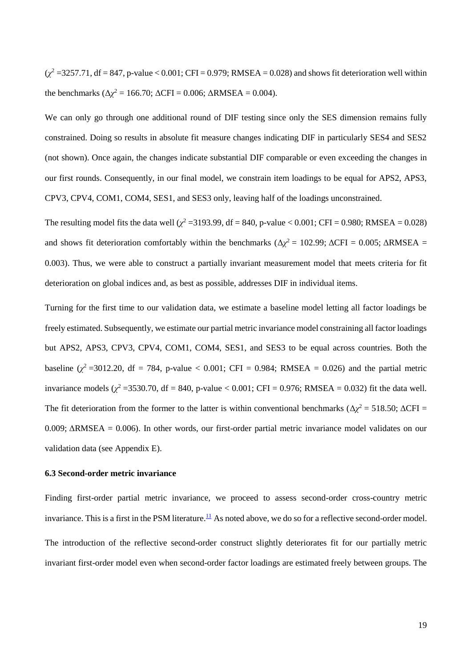$(\chi^2 = 3257.71, df = 847, p-value < 0.001$ ; CFI = 0.979; RMSEA = 0.028) and shows fit deterioration well within the benchmarks ( $\Delta \chi^2 = 166.70$ ;  $\Delta$ CFI = 0.006;  $\Delta$ RMSEA = 0.004).

We can only go through one additional round of DIF testing since only the SES dimension remains fully constrained. Doing so results in absolute fit measure changes indicating DIF in particularly SES4 and SES2 (not shown). Once again, the changes indicate substantial DIF comparable or even exceeding the changes in our first rounds. Consequently, in our final model, we constrain item loadings to be equal for APS2, APS3, CPV3, CPV4, COM1, COM4, SES1, and SES3 only, leaving half of the loadings unconstrained.

The resulting model fits the data well  $(\chi^2 = 3193.99)$ , df = 840, p-value < 0.001; CFI = 0.980; RMSEA = 0.028) and shows fit deterioration comfortably within the benchmarks ( $\Delta \chi^2 = 102.99$ ;  $\Delta$ CFI = 0.005;  $\Delta$ RMSEA = 0.003). Thus, we were able to construct a partially invariant measurement model that meets criteria for fit deterioration on global indices and, as best as possible, addresses DIF in individual items.

Turning for the first time to our validation data, we estimate a baseline model letting all factor loadings be freely estimated. Subsequently, we estimate our partial metric invariance model constraining all factor loadings but APS2, APS3, CPV3, CPV4, COM1, COM4, SES1, and SES3 to be equal across countries. Both the baseline  $(\chi^2 = 3012.20, df = 784, p-value < 0.001$ ; CFI = 0.984; RMSEA = 0.026) and the partial metric invariance models ( $\chi^2$  =3530.70, df = 840, p-value < 0.001; CFI = 0.976; RMSEA = 0.032) fit the data well. The fit deterioration from the former to the latter is within conventional benchmarks ( $\Delta \chi^2 = 518.50$ ;  $\Delta$ CFI = 0.009;  $\triangle$ RMSEA = 0.006). In other words, our first-order partial metric invariance model validates on our validation data (see Appendix E).

### **6.3 Second-order metric invariance**

Finding first-order partial metric invariance, we proceed to assess second-order cross-country metric invariance. This is a first in the PSM literature.<sup>[11](file:///C:/Users/ksass/OneDrive%20-%20Roskilde%20Universitet/DFID/PSM%20measure/Measurement_Invariance_resubmission_no_tables_and_figures.html%23ennote-11)</sup> As noted above, we do so for a reflective second-order model. The introduction of the reflective second-order construct slightly deteriorates fit for our partially metric invariant first-order model even when second-order factor loadings are estimated freely between groups. The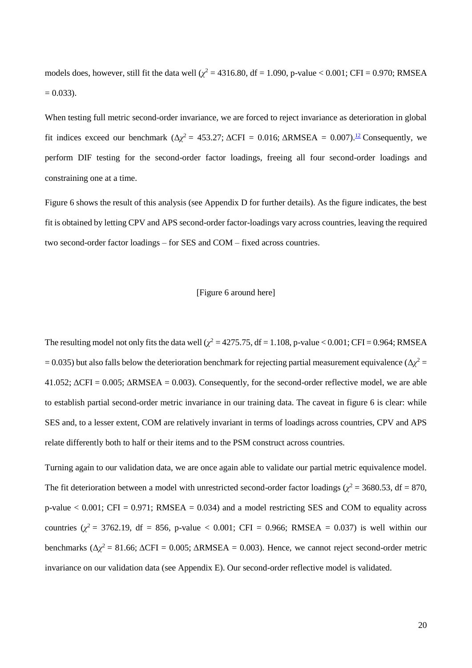models does, however, still fit the data well  $(\chi^2 = 4316.80, df = 1.090, p-value < 0.001$ ; CFI = 0.970; RMSEA  $= 0.033$ ).

When testing full metric second-order invariance, we are forced to reject invariance as deterioration in global fit indices exceed our benchmark ( $\Delta \chi^2$  = 453.27;  $\Delta$ CFI = 0.016;  $\Delta$ RMSEA = 0.007).<sup>[12](file:///C:/Users/ksass/OneDrive%20-%20Roskilde%20Universitet/DFID/PSM%20measure/Measurement_Invariance_resubmission_no_tables_and_figures.html%23ennote-12)</sup> Consequently, we perform DIF testing for the second-order factor loadings, freeing all four second-order loadings and constraining one at a time.

Figure 6 shows the result of this analysis (see Appendix D for further details). As the figure indicates, the best fit is obtained by letting CPV and APS second-order factor-loadings vary across countries, leaving the required two second-order factor loadings – for SES and COM – fixed across countries.

## [Figure 6 around here]

The resulting model not only fits the data well ( $\chi^2$  = 4275.75, df = 1.108, p-value < 0.001; CFI = 0.964; RMSEA  $= 0.035$ ) but also falls below the deterioration benchmark for rejecting partial measurement equivalence ( $\Delta \chi^2 =$ 41.052;  $\triangle$ CFI = 0.005;  $\triangle$ RMSEA = 0.003). Consequently, for the second-order reflective model, we are able to establish partial second-order metric invariance in our training data. The caveat in figure 6 is clear: while SES and, to a lesser extent, COM are relatively invariant in terms of loadings across countries, CPV and APS relate differently both to half or their items and to the PSM construct across countries.

Turning again to our validation data, we are once again able to validate our partial metric equivalence model. The fit deterioration between a model with unrestricted second-order factor loadings ( $\chi^2$  = 3680.53, df = 870, p-value  $< 0.001$ ; CFI = 0.971; RMSEA = 0.034) and a model restricting SES and COM to equality across countries  $(\chi^2 = 3762.19)$ , df = 856, p-value < 0.001; CFI = 0.966; RMSEA = 0.037) is well within our benchmarks ( $\Delta \chi^2$  = 81.66;  $\Delta$ CFI = 0.005;  $\Delta$ RMSEA = 0.003). Hence, we cannot reject second-order metric invariance on our validation data (see Appendix E). Our second-order reflective model is validated.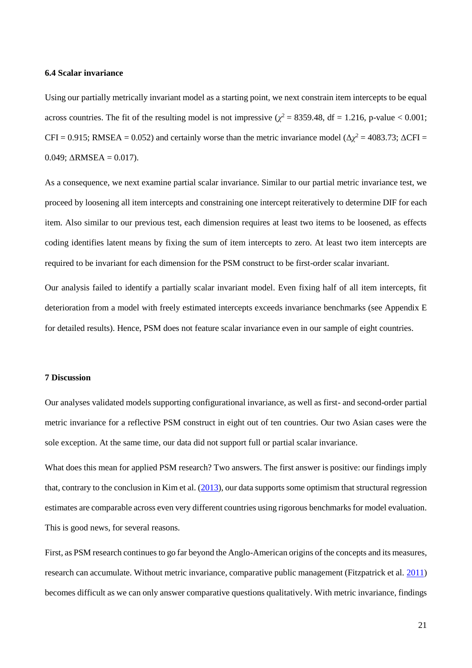#### **6.4 Scalar invariance**

Using our partially metrically invariant model as a starting point, we next constrain item intercepts to be equal across countries. The fit of the resulting model is not impressive  $(\chi^2 = 8359.48, df = 1.216, p-value < 0.001;$ CFI = 0.915; RMSEA = 0.052) and certainly worse than the metric invariance model ( $Δχ² = 4083.73$ ;  $ΔCFI =$  $0.049$ ;  $\triangle$ RMSEA = 0.017).

As a consequence, we next examine partial scalar invariance. Similar to our partial metric invariance test, we proceed by loosening all item intercepts and constraining one intercept reiteratively to determine DIF for each item. Also similar to our previous test, each dimension requires at least two items to be loosened, as effects coding identifies latent means by fixing the sum of item intercepts to zero. At least two item intercepts are required to be invariant for each dimension for the PSM construct to be first-order scalar invariant.

Our analysis failed to identify a partially scalar invariant model. Even fixing half of all item intercepts, fit deterioration from a model with freely estimated intercepts exceeds invariance benchmarks (see Appendix E for detailed results). Hence, PSM does not feature scalar invariance even in our sample of eight countries.

# **7 Discussion**

Our analyses validated models supporting configurational invariance, as well as first- and second-order partial metric invariance for a reflective PSM construct in eight out of ten countries. Our two Asian cases were the sole exception. At the same time, our data did not support full or partial scalar invariance.

What does this mean for applied PSM research? Two answers. The first answer is positive: our findings imply that, contrary to the conclusion in Kim et al. [\(2013\)](file:///C:/Users/ksass/OneDrive%20-%20Roskilde%20Universitet/DFID/PSM%20measure/Measurement_Invariance_resubmission_no_tables_and_figures.html%23X0-kim2012investigating), our data supports some optimism that structural regression estimates are comparable across even very different countries using rigorous benchmarks for model evaluation. This is good news, for several reasons.

First, as PSM research continues to go far beyond the Anglo-American origins of the concepts and its measures, research can accumulate. Without metric invariance, comparative public management (Fitzpatrick et al. [2011\)](file:///C:/Users/ksass/OneDrive%20-%20Roskilde%20Universitet/DFID/PSM%20measure/Measurement_Invariance_resubmission_no_tables_and_figures.html%23X0-fitzpatrick2011new) becomes difficult as we can only answer comparative questions qualitatively. With metric invariance, findings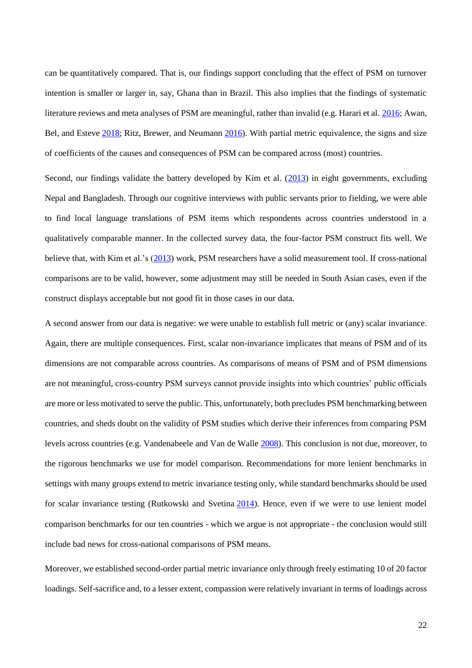can be quantitatively compared. That is, our findings support concluding that the effect of PSM on turnover intention is smaller or larger in, say, Ghana than in Brazil. This also implies that the findings of systematic literature reviews and meta analyses of PSM are meaningful, rather than invalid (e.g. Harari et al. [2016;](file:///C:/Users/ksass/OneDrive%20-%20Roskilde%20Universitet/DFID/PSM%20measure/Measurement_Invariance_resubmission_no_tables_and_figures.html%23X0-harari2016organizational) Awan, Bel, and Esteve [2018;](file:///C:/Users/ksass/OneDrive%20-%20Roskilde%20Universitet/DFID/PSM%20measure/Measurement_Invariance_resubmission_no_tables_and_figures.html%23X0-awan2018benefits) Ritz, Brewer, and Neumann [2016\)](file:///C:/Users/ksass/OneDrive%20-%20Roskilde%20Universitet/DFID/PSM%20measure/Measurement_Invariance_resubmission_no_tables_and_figures.html%23X0-ritz2016public). With partial metric equivalence, the signs and size of coefficients of the causes and consequences of PSM can be compared across (most) countries.

Second, our findings validate the battery developed by Kim et al. [\(2013\)](file:///C:/Users/ksass/OneDrive%20-%20Roskilde%20Universitet/DFID/PSM%20measure/Measurement_Invariance_resubmission_no_tables_and_figures.html%23X0-kim2012investigating) in eight governments, excluding Nepal and Bangladesh. Through our cognitive interviews with public servants prior to fielding, we were able to find local language translations of PSM items which respondents across countries understood in a qualitatively comparable manner. In the collected survey data, the four-factor PSM construct fits well. We believe that, with Kim et al.'s [\(2013\)](file:///C:/Users/ksass/OneDrive%20-%20Roskilde%20Universitet/DFID/PSM%20measure/Measurement_Invariance_resubmission_no_tables_and_figures.html%23X0-kim2012investigating) work, PSM researchers have a solid measurement tool. If cross-national comparisons are to be valid, however, some adjustment may still be needed in South Asian cases, even if the construct displays acceptable but not good fit in those cases in our data.

A second answer from our data is negative: we were unable to establish full metric or (any) scalar invariance. Again, there are multiple consequences. First, scalar non-invariance implicates that means of PSM and of its dimensions are not comparable across countries. As comparisons of means of PSM and of PSM dimensions are not meaningful, cross-country PSM surveys cannot provide insights into which countries' public officials are more or less motivated to serve the public. This, unfortunately, both precludes PSM benchmarking between countries, and sheds doubt on the validity of PSM studies which derive their inferences from comparing PSM levels across countries (e.g. Vandenabeele and Van de Walle [2008\)](file:///C:/Users/ksass/OneDrive%20-%20Roskilde%20Universitet/DFID/PSM%20measure/Measurement_Invariance_resubmission_no_tables_and_figures.html%23X0-vandenabeele2008international). This conclusion is not due, moreover, to the rigorous benchmarks we use for model comparison. Recommendations for more lenient benchmarks in settings with many groups extend to metric invariance testing only, while standard benchmarks should be used for scalar invariance testing (Rutkowski and Svetina [2014\)](file:///C:/Users/ksass/OneDrive%20-%20Roskilde%20Universitet/DFID/PSM%20measure/Measurement_Invariance_resubmission_no_tables_and_figures.html%23X0-rutkowski2014assessing). Hence, even if we were to use lenient model comparison benchmarks for our ten countries - which we argue is not appropriate - the conclusion would still include bad news for cross-national comparisons of PSM means.

Moreover, we established second-order partial metric invariance only through freely estimating 10 of 20 factor loadings. Self-sacrifice and, to a lesser extent, compassion were relatively invariant in terms of loadings across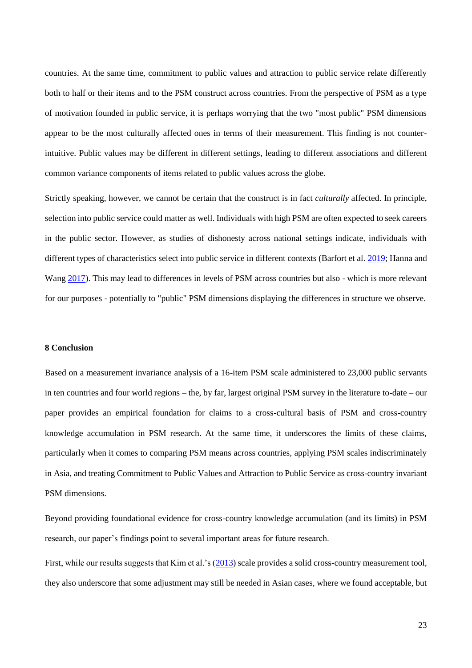countries. At the same time, commitment to public values and attraction to public service relate differently both to half or their items and to the PSM construct across countries. From the perspective of PSM as a type of motivation founded in public service, it is perhaps worrying that the two "most public" PSM dimensions appear to be the most culturally affected ones in terms of their measurement. This finding is not counterintuitive. Public values may be different in different settings, leading to different associations and different common variance components of items related to public values across the globe.

Strictly speaking, however, we cannot be certain that the construct is in fact *culturally* affected. In principle, selection into public service could matter as well. Individuals with high PSM are often expected to seek careers in the public sector. However, as studies of dishonesty across national settings indicate, individuals with different types of characteristics select into public service in different contexts (Barfort et al. [2019;](file:///C:/Users/ksass/OneDrive%20-%20Roskilde%20Universitet/DFID/PSM%20measure/Measurement_Invariance_resubmission_no_tables_and_figures.html%23X0-barfort2019sustaining) Hanna and Wang [2017\)](file:///C:/Users/ksass/OneDrive%20-%20Roskilde%20Universitet/DFID/PSM%20measure/Measurement_Invariance_resubmission_no_tables_and_figures.html%23X0-hanna2017dishonesty). This may lead to differences in levels of PSM across countries but also - which is more relevant for our purposes - potentially to "public" PSM dimensions displaying the differences in structure we observe.

### **8 Conclusion**

Based on a measurement invariance analysis of a 16-item PSM scale administered to 23,000 public servants in ten countries and four world regions – the, by far, largest original PSM survey in the literature to-date – our paper provides an empirical foundation for claims to a cross-cultural basis of PSM and cross-country knowledge accumulation in PSM research. At the same time, it underscores the limits of these claims, particularly when it comes to comparing PSM means across countries, applying PSM scales indiscriminately in Asia, and treating Commitment to Public Values and Attraction to Public Service as cross-country invariant PSM dimensions.

Beyond providing foundational evidence for cross-country knowledge accumulation (and its limits) in PSM research, our paper's findings point to several important areas for future research.

First, while our results suggests that Kim et al.'s [\(2013\)](file:///C:/Users/ksass/OneDrive%20-%20Roskilde%20Universitet/DFID/PSM%20measure/Measurement_Invariance_resubmission_no_tables_and_figures.html%23X0-kim2012investigating) scale provides a solid cross-country measurement tool, they also underscore that some adjustment may still be needed in Asian cases, where we found acceptable, but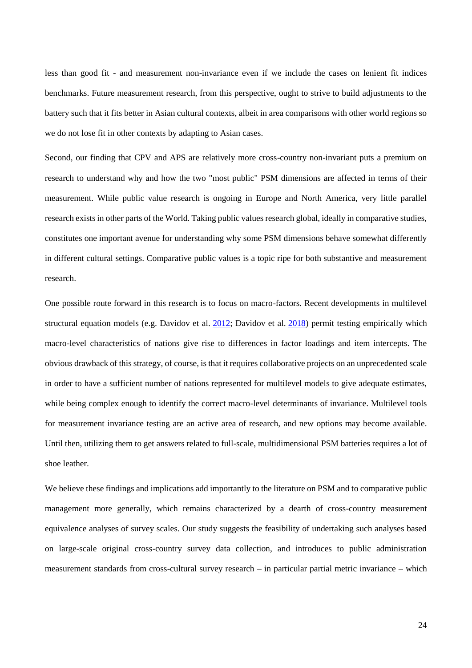less than good fit - and measurement non-invariance even if we include the cases on lenient fit indices benchmarks. Future measurement research, from this perspective, ought to strive to build adjustments to the battery such that it fits better in Asian cultural contexts, albeit in area comparisons with other world regions so we do not lose fit in other contexts by adapting to Asian cases.

Second, our finding that CPV and APS are relatively more cross-country non-invariant puts a premium on research to understand why and how the two "most public" PSM dimensions are affected in terms of their measurement. While public value research is ongoing in Europe and North America, very little parallel research exists in other parts of the World. Taking public values research global, ideally in comparative studies, constitutes one important avenue for understanding why some PSM dimensions behave somewhat differently in different cultural settings. Comparative public values is a topic ripe for both substantive and measurement research.

One possible route forward in this research is to focus on macro-factors. Recent developments in multilevel structural equation models (e.g. Davidov et al. [2012;](file:///C:/Users/ksass/OneDrive%20-%20Roskilde%20Universitet/DFID/PSM%20measure/Measurement_Invariance_resubmission_no_tables_and_figures.html%23X0-davidov2012using) Davidov et al. [2018\)](file:///C:/Users/ksass/OneDrive%20-%20Roskilde%20Universitet/DFID/PSM%20measure/Measurement_Invariance_resubmission_no_tables_and_figures.html%23X0-davidov2018explaining) permit testing empirically which macro-level characteristics of nations give rise to differences in factor loadings and item intercepts. The obvious drawback of this strategy, of course, is that it requires collaborative projects on an unprecedented scale in order to have a sufficient number of nations represented for multilevel models to give adequate estimates, while being complex enough to identify the correct macro-level determinants of invariance. Multilevel tools for measurement invariance testing are an active area of research, and new options may become available. Until then, utilizing them to get answers related to full-scale, multidimensional PSM batteries requires a lot of shoe leather.

We believe these findings and implications add importantly to the literature on PSM and to comparative public management more generally, which remains characterized by a dearth of cross-country measurement equivalence analyses of survey scales. Our study suggests the feasibility of undertaking such analyses based on large-scale original cross-country survey data collection, and introduces to public administration measurement standards from cross-cultural survey research – in particular partial metric invariance – which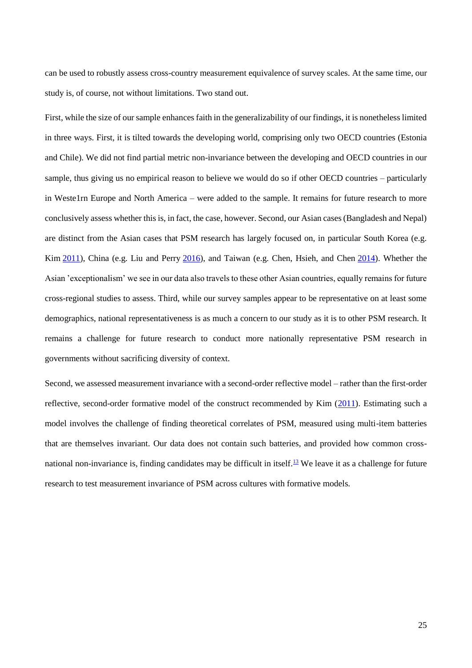can be used to robustly assess cross-country measurement equivalence of survey scales. At the same time, our study is, of course, not without limitations. Two stand out.

First, while the size of our sample enhances faith in the generalizability of our findings, it is nonetheless limited in three ways. First, it is tilted towards the developing world, comprising only two OECD countries (Estonia and Chile). We did not find partial metric non-invariance between the developing and OECD countries in our sample, thus giving us no empirical reason to believe we would do so if other OECD countries – particularly in Weste1rn Europe and North America – were added to the sample. It remains for future research to more conclusively assess whether this is, in fact, the case, however. Second, our Asian cases (Bangladesh and Nepal) are distinct from the Asian cases that PSM research has largely focused on, in particular South Korea (e.g. Kim [2011\)](file:///C:/Users/ksass/OneDrive%20-%20Roskilde%20Universitet/DFID/PSM%20measure/Measurement_Invariance_resubmission_no_tables_and_figures.html%23X0-kim2010testing), China (e.g. Liu and Perry [2016\)](file:///C:/Users/ksass/OneDrive%20-%20Roskilde%20Universitet/DFID/PSM%20measure/Measurement_Invariance_resubmission_no_tables_and_figures.html%23X0-liu2016psychological), and Taiwan (e.g. Chen, Hsieh, and Chen [2014\)](file:///C:/Users/ksass/OneDrive%20-%20Roskilde%20Universitet/DFID/PSM%20measure/Measurement_Invariance_resubmission_no_tables_and_figures.html%23X0-chen2014fostering). Whether the Asian 'exceptionalism' we see in our data also travels to these other Asian countries, equally remains for future cross-regional studies to assess. Third, while our survey samples appear to be representative on at least some demographics, national representativeness is as much a concern to our study as it is to other PSM research. It remains a challenge for future research to conduct more nationally representative PSM research in governments without sacrificing diversity of context.

Second, we assessed measurement invariance with a second-order reflective model – rather than the first-order reflective, second-order formative model of the construct recommended by Kim [\(2011\)](file:///C:/Users/ksass/OneDrive%20-%20Roskilde%20Universitet/DFID/PSM%20measure/Measurement_Invariance_resubmission_no_tables_and_figures.html%23X0-kim2010testing). Estimating such a model involves the challenge of finding theoretical correlates of PSM, measured using multi-item batteries that are themselves invariant. Our data does not contain such batteries, and provided how common cross-national non-invariance is, finding candidates may be difficult in itself.<sup>[13](file:///C:/Users/ksass/OneDrive%20-%20Roskilde%20Universitet/DFID/PSM%20measure/Measurement_Invariance_resubmission_no_tables_and_figures.html%23ennote-13)</sup> We leave it as a challenge for future research to test measurement invariance of PSM across cultures with formative models.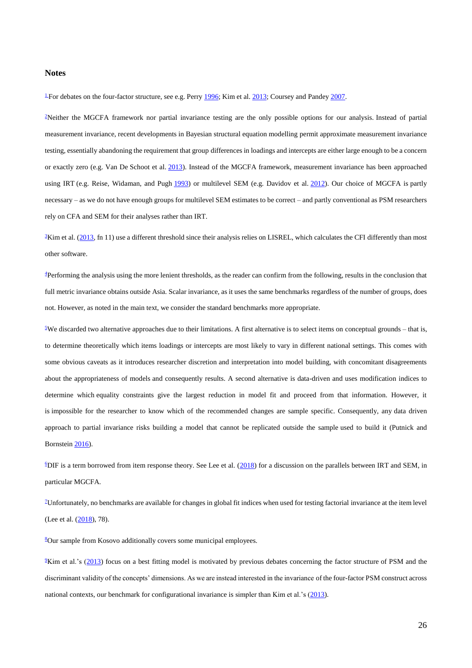#### **Notes**

<sup>[1](file:///C:/Users/ksass/OneDrive%20-%20Roskilde%20Universitet/DFID/PSM%20measure/Measurement_Invariance_resubmission_no_tables_and_figures.html%23enmark-1)</sup> For debates on the four-factor structure, see e.g. Perry [1996;](file:///C:/Users/ksass/OneDrive%20-%20Roskilde%20Universitet/DFID/PSM%20measure/Measurement_Invariance_resubmission_no_tables_and_figures.html%23X0-perry1996measuring) Kim et al. [2013;](file:///C:/Users/ksass/OneDrive%20-%20Roskilde%20Universitet/DFID/PSM%20measure/Measurement_Invariance_resubmission_no_tables_and_figures.html%23X0-kim2012investigating) Coursey and Pandey [2007.](file:///C:/Users/ksass/OneDrive%20-%20Roskilde%20Universitet/DFID/PSM%20measure/Measurement_Invariance_resubmission_no_tables_and_figures.html%23X0-coursey2007public)

<sup>2</sup>[N](file:///C:/Users/ksass/OneDrive%20-%20Roskilde%20Universitet/DFID/PSM%20measure/Measurement_Invariance_resubmission_no_tables_and_figures.html%23enmark-2)either the MGCFA framework nor partial invariance testing are the only possible options for our analysis. Instead of partial measurement invariance, recent developments in Bayesian structural equation modelling permit approximate measurement invariance testing, essentially abandoning the requirement that group differences in loadings and intercepts are either large enough to be a concern or exactly zero (e.g. Van De Schoot et al. [2013\)](file:///C:/Users/ksass/OneDrive%20-%20Roskilde%20Universitet/DFID/PSM%20measure/Measurement_Invariance_resubmission_no_tables_and_figures.html%23X0-van2013facing). Instead of the MGCFA framework, measurement invariance has been approached using IRT (e.g. Reise, Widaman, and Pugh [1993\)](file:///C:/Users/ksass/OneDrive%20-%20Roskilde%20Universitet/DFID/PSM%20measure/Measurement_Invariance_resubmission_no_tables_and_figures.html%23X0-reise1993confirmatory) or multilevel SEM (e.g. Davidov et al. [2012\)](file:///C:/Users/ksass/OneDrive%20-%20Roskilde%20Universitet/DFID/PSM%20measure/Measurement_Invariance_resubmission_no_tables_and_figures.html%23X0-davidov2012using). Our choice of MGCFA is partly necessary – as we do not have enough groups for multilevel SEM estimates to be correct – and partly conventional as PSM researchers rely on CFA and SEM for their analyses rather than IRT.

 ${}^{3}$ [K](file:///C:/Users/ksass/OneDrive%20-%20Roskilde%20Universitet/DFID/PSM%20measure/Measurement_Invariance_resubmission_no_tables_and_figures.html%23enmark-3)im et al. [\(2013,](file:///C:/Users/ksass/OneDrive%20-%20Roskilde%20Universitet/DFID/PSM%20measure/Measurement_Invariance_resubmission_no_tables_and_figures.html%23X0-kim2012investigating) fn 11) use a different threshold since their analysis relies on LISREL, which calculates the CFI differently than most other software.

 $4$ [P](file:///C:/Users/ksass/OneDrive%20-%20Roskilde%20Universitet/DFID/PSM%20measure/Measurement_Invariance_resubmission_no_tables_and_figures.html%23enmark-4)erforming the analysis using the more lenient thresholds, as the reader can confirm from the following, results in the conclusion that full metric invariance obtains outside Asia. Scalar invariance, as it uses the same benchmarks regardless of the number of groups, does not. However, as noted in the main text, we consider the standard benchmarks more appropriate.

<sup>5</sup>We discarded two alternative approaches due to their limitations. A first alternative is to select items on conceptual grounds – that is, to determine theoretically which items loadings or intercepts are most likely to vary in different national settings. This comes with some obvious caveats as it introduces researcher discretion and interpretation into model building, with concomitant disagreements about the appropriateness of models and consequently results. A second alternative is data-driven and uses modification indices to determine which equality constraints give the largest reduction in model fit and proceed from that information. However, it is impossible for the researcher to know which of the recommended changes are sample specific. Consequently, any data driven approach to partial invariance risks building a model that cannot be replicated outside the sample used to build it (Putnick and Bornstein [2016\)](file:///C:/Users/ksass/OneDrive%20-%20Roskilde%20Universitet/DFID/PSM%20measure/Measurement_Invariance_resubmission_no_tables_and_figures.html%23X0-putnick2016measurement).

 $\Phi$ [D](file:///C:/Users/ksass/OneDrive%20-%20Roskilde%20Universitet/DFID/PSM%20measure/Measurement_Invariance_resubmission_no_tables_and_figures.html%23enmark-6)IF is a term borrowed from item response theory. See Lee et al. [\(2018\)](file:///C:/Users/ksass/OneDrive%20-%20Roskilde%20Universitet/DFID/PSM%20measure/Measurement_Invariance_resubmission_no_tables_and_figures.html%23X0-lee2011methodological) for a discussion on the parallels between IRT and SEM, in particular MGCFA.

<sup>7</sup>[U](file:///C:/Users/ksass/OneDrive%20-%20Roskilde%20Universitet/DFID/PSM%20measure/Measurement_Invariance_resubmission_no_tables_and_figures.html%23enmark-7)nfortunately, no benchmarks are available for changes in global fit indices when used for testing factorial invariance at the item level (Lee et al. [\(2018\)](file:///C:/Users/ksass/OneDrive%20-%20Roskilde%20Universitet/DFID/PSM%20measure/Measurement_Invariance_resubmission_no_tables_and_figures.html%23X0-lee2011methodological), 78).

<sup>8</sup>[O](file:///C:/Users/ksass/OneDrive%20-%20Roskilde%20Universitet/DFID/PSM%20measure/Measurement_Invariance_resubmission_no_tables_and_figures.html%23enmark-8)ur sample from Kosovo additionally covers some municipal employees.

 $9K$  $9K$ im et al.'s [\(2013\)](file:///C:/Users/ksass/OneDrive%20-%20Roskilde%20Universitet/DFID/PSM%20measure/Measurement_Invariance_resubmission_no_tables_and_figures.html%23X0-kim2012investigating) focus on a best fitting model is motivated by previous debates concerning the factor structure of PSM and the discriminant validity of the concepts' dimensions. As we are instead interested in the invariance of the four-factor PSM construct across national contexts, our benchmark for configurational invariance is simpler than Kim et al.'s [\(2013\)](file:///C:/Users/ksass/OneDrive%20-%20Roskilde%20Universitet/DFID/PSM%20measure/Measurement_Invariance_resubmission_no_tables_and_figures.html%23X0-kim2012investigating).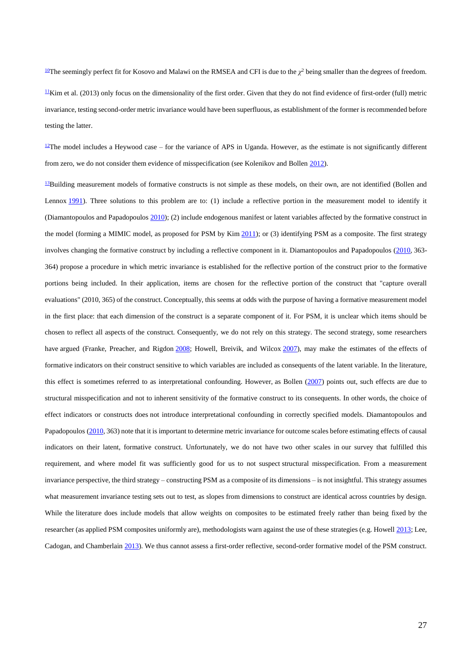<sup>[10](file:///C:/Users/ksass/OneDrive%20-%20Roskilde%20Universitet/DFID/PSM%20measure/Measurement_Invariance_resubmission_no_tables_and_figures.html%23enmark-10)</sup>The seemingly perfect fit for Kosovo and Malawi on the RMSEA and CFI is due to the  $\chi^2$  being smaller than the degrees of freedom.

 $\frac{11}{2}$  $\frac{11}{2}$  $\frac{11}{2}$ Kim et al. (2013) only focus on the dimensionality of the first order. Given that they do not find evidence of first-order (full) metric invariance, testing second-order metric invariance would have been superfluous, as establishment of the former is recommended before testing the latter.

 $\frac{12}{2}$  $\frac{12}{2}$  $\frac{12}{2}$ The model includes a Heywood case – for the variance of APS in Uganda. However, as the estimate is not significantly different from zero, we do not consider them evidence of misspecification (see Kolenikov and Bollen [2012\)](file:///C:/Users/ksass/OneDrive%20-%20Roskilde%20Universitet/DFID/PSM%20measure/Measurement_Invariance_resubmission_no_tables_and_figures.html%23X0-kolenikov2012testing).

 $13$ Building measurement models of formative constructs is not simple as these models, on their own, are not identified (Bollen and Lennox [1991\)](file:///C:/Users/ksass/OneDrive%20-%20Roskilde%20Universitet/DFID/PSM%20measure/Measurement_Invariance_resubmission_no_tables_and_figures.html%23X0-bollen1991conventional). Three solutions to this problem are to: (1) include a reflective portion in the measurement model to identify it (Diamantopoulos and Papadopoulos [2010\)](file:///C:/Users/ksass/OneDrive%20-%20Roskilde%20Universitet/DFID/PSM%20measure/Measurement_Invariance_resubmission_no_tables_and_figures.html%23X0-diamantopoulos2010assessing); (2) include endogenous manifest or latent variables affected by the formative construct in the model (forming a MIMIC model, as proposed for PSM by Kim [2011\)](file:///C:/Users/ksass/OneDrive%20-%20Roskilde%20Universitet/DFID/PSM%20measure/Measurement_Invariance_resubmission_no_tables_and_figures.html%23X0-kim2010testing); or (3) identifying PSM as a composite. The first strategy involves changing the formative construct by including a reflective component in it. Diamantopoulos and Papadopoulos [\(2010,](file:///C:/Users/ksass/OneDrive%20-%20Roskilde%20Universitet/DFID/PSM%20measure/Measurement_Invariance_resubmission_no_tables_and_figures.html%23X0-diamantopoulos2010assessing) 363- 364) propose a procedure in which metric invariance is established for the reflective portion of the construct prior to the formative portions being included. In their application, items are chosen for the reflective portion of the construct that "capture overall evaluations" (2010, 365) of the construct. Conceptually, this seems at odds with the purpose of having a formative measurement model in the first place: that each dimension of the construct is a separate component of it. For PSM, it is unclear which items should be chosen to reflect all aspects of the construct. Consequently, we do not rely on this strategy. The second strategy, some researchers have argued (Franke, Preacher, and Rigdon [2008;](file:///C:/Users/ksass/OneDrive%20-%20Roskilde%20Universitet/DFID/PSM%20measure/Measurement_Invariance_resubmission_no_tables_and_figures.html%23X0-franke2008proportional) Howell, Breivik, and Wilcox [2007\)](file:///C:/Users/ksass/OneDrive%20-%20Roskilde%20Universitet/DFID/PSM%20measure/Measurement_Invariance_resubmission_no_tables_and_figures.html%23X0-howell2007reconsidering), may make the estimates of the effects of formative indicators on their construct sensitive to which variables are included as consequents of the latent variable. In the literature, this effect is sometimes referred to as interpretational confounding. However, as Bollen [\(2007\)](file:///C:/Users/ksass/OneDrive%20-%20Roskilde%20Universitet/DFID/PSM%20measure/Measurement_Invariance_resubmission_no_tables_and_figures.html%23X0-bollen2007interpretational) points out, such effects are due to structural misspecification and not to inherent sensitivity of the formative construct to its consequents. In other words, the choice of effect indicators or constructs does not introduce interpretational confounding in correctly specified models. Diamantopoulos and Papadopoulos [\(2010,](file:///C:/Users/ksass/OneDrive%20-%20Roskilde%20Universitet/DFID/PSM%20measure/Measurement_Invariance_resubmission_no_tables_and_figures.html%23X0-diamantopoulos2010assessing) 363) note that it is important to determine metric invariance for outcome scales before estimating effects of causal indicators on their latent, formative construct. Unfortunately, we do not have two other scales in our survey that fulfilled this requirement, and where model fit was sufficiently good for us to not suspect structural misspecification. From a measurement invariance perspective, the third strategy – constructing PSM as a composite of its dimensions – is not insightful. This strategy assumes what measurement invariance testing sets out to test, as slopes from dimensions to construct are identical across countries by design. While the literature does include models that allow weights on composites to be estimated freely rather than being fixed by the researcher (as applied PSM composites uniformly are), methodologists warn against the use of these strategies (e.g. Howell [2013;](file:///C:/Users/ksass/OneDrive%20-%20Roskilde%20Universitet/DFID/PSM%20measure/Measurement_Invariance_resubmission_no_tables_and_figures.html%23X0-howell2013conceptual) Lee, Cadogan, and Chamberlain [2013\)](file:///C:/Users/ksass/OneDrive%20-%20Roskilde%20Universitet/DFID/PSM%20measure/Measurement_Invariance_resubmission_no_tables_and_figures.html%23X0-lee2013mimic). We thus cannot assess a first-order reflective, second-order formative model of the PSM construct.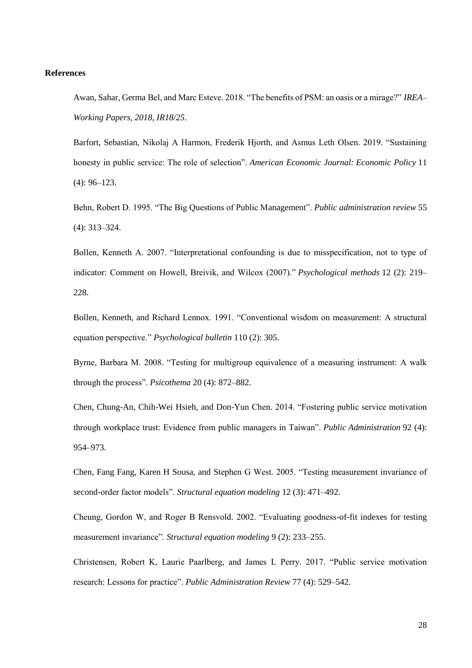#### **References**

Awan, Sahar, Germa Bel, and Marc Esteve. 2018. "The benefits of PSM: an oasis or a mirage?" *IREA– Working Papers, 2018, IR18/25*.

Barfort, Sebastian, Nikolaj A Harmon, Frederik Hjorth, and Asmus Leth Olsen. 2019. "Sustaining honesty in public service: The role of selection". *American Economic Journal: Economic Policy* 11 (4): 96–123.

Behn, Robert D. 1995. "The Big Questions of Public Management". *Public administration review* 55 (4): 313–324.

Bollen, Kenneth A. 2007. "Interpretational confounding is due to misspecification, not to type of indicator: Comment on Howell, Breivik, and Wilcox (2007)." *Psychological methods* 12 (2): 219– 228.

Bollen, Kenneth, and Richard Lennox. 1991. "Conventional wisdom on measurement: A structural equation perspective." *Psychological bulletin* 110 (2): 305.

Byrne, Barbara M. 2008. "Testing for multigroup equivalence of a measuring instrument: A walk through the process". *Psicothema* 20 (4): 872–882.

Chen, Chung-An, Chih-Wei Hsieh, and Don-Yun Chen. 2014. "Fostering public service motivation through workplace trust: Evidence from public managers in Taiwan". *Public Administration* 92 (4): 954–973.

Chen, Fang Fang, Karen H Sousa, and Stephen G West. 2005. "Testing measurement invariance of second-order factor models". *Structural equation modeling* 12 (3): 471–492.

Cheung, Gordon W, and Roger B Rensvold. 2002. "Evaluating goodness-of-fit indexes for testing measurement invariance". *Structural equation modeling* 9 (2): 233–255.

Christensen, Robert K, Laurie Paarlberg, and James L Perry. 2017. "Public service motivation research: Lessons for practice". *Public Administration Review* 77 (4): 529–542.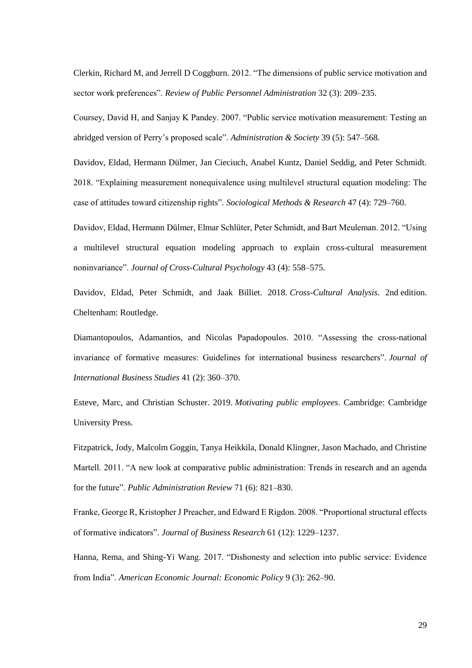Clerkin, Richard M, and Jerrell D Coggburn. 2012. "The dimensions of public service motivation and sector work preferences". *Review of Public Personnel Administration* 32 (3): 209–235.

Coursey, David H, and Sanjay K Pandey. 2007. "Public service motivation measurement: Testing an abridged version of Perry's proposed scale". *Administration & Society* 39 (5): 547–568.

Davidov, Eldad, Hermann Dülmer, Jan Cieciuch, Anabel Kuntz, Daniel Seddig, and Peter Schmidt. 2018. "Explaining measurement nonequivalence using multilevel structural equation modeling: The case of attitudes toward citizenship rights". *Sociological Methods & Research* 47 (4): 729–760.

Davidov, Eldad, Hermann Dülmer, Elmar Schlüter, Peter Schmidt, and Bart Meuleman. 2012. "Using a multilevel structural equation modeling approach to explain cross-cultural measurement noninvariance". *Journal of Cross-Cultural Psychology* 43 (4): 558–575.

Davidov, Eldad, Peter Schmidt, and Jaak Billiet. 2018. *Cross-Cultural Analysis*. 2nd edition. Cheltenham: Routledge.

Diamantopoulos, Adamantios, and Nicolas Papadopoulos. 2010. "Assessing the cross-national invariance of formative measures: Guidelines for international business researchers". *Journal of International Business Studies* 41 (2): 360–370.

Esteve, Marc, and Christian Schuster. 2019. *Motivating public employees*. Cambridge: Cambridge University Press.

Fitzpatrick, Jody, Malcolm Goggin, Tanya Heikkila, Donald Klingner, Jason Machado, and Christine Martell. 2011. "A new look at comparative public administration: Trends in research and an agenda for the future". *Public Administration Review* 71 (6): 821–830.

Franke, George R, Kristopher J Preacher, and Edward E Rigdon. 2008. "Proportional structural effects of formative indicators". *Journal of Business Research* 61 (12): 1229–1237.

Hanna, Rema, and Shing-Yi Wang. 2017. "Dishonesty and selection into public service: Evidence from India". *American Economic Journal: Economic Policy* 9 (3): 262–90.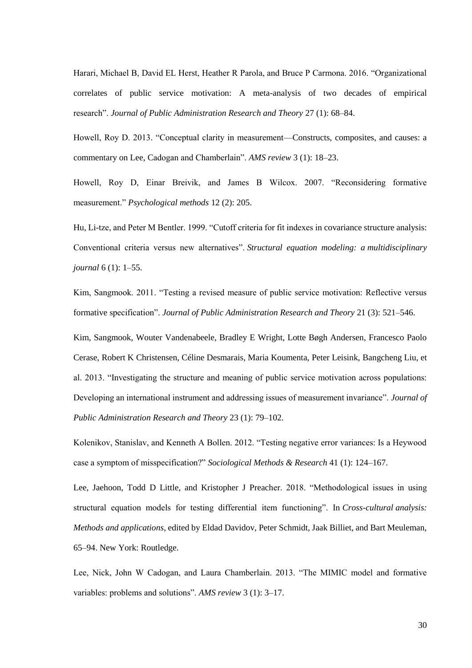Harari, Michael B, David EL Herst, Heather R Parola, and Bruce P Carmona. 2016. "Organizational correlates of public service motivation: A meta-analysis of two decades of empirical research". *Journal of Public Administration Research and Theory* 27 (1): 68–84.

Howell, Roy D. 2013. "Conceptual clarity in measurement—Constructs, composites, and causes: a commentary on Lee, Cadogan and Chamberlain". *AMS review* 3 (1): 18–23.

Howell, Roy D, Einar Breivik, and James B Wilcox. 2007. "Reconsidering formative measurement." *Psychological methods* 12 (2): 205.

Hu, Li-tze, and Peter M Bentler. 1999. "Cutoff criteria for fit indexes in covariance structure analysis: Conventional criteria versus new alternatives". *Structural equation modeling: a multidisciplinary journal* 6 (1): 1–55.

Kim, Sangmook. 2011. "Testing a revised measure of public service motivation: Reflective versus formative specification". *Journal of Public Administration Research and Theory* 21 (3): 521–546.

Kim, Sangmook, Wouter Vandenabeele, Bradley E Wright, Lotte Bøgh Andersen, Francesco Paolo Cerase, Robert K Christensen, Céline Desmarais, Maria Koumenta, Peter Leisink, Bangcheng Liu, et al. 2013. "Investigating the structure and meaning of public service motivation across populations: Developing an international instrument and addressing issues of measurement invariance". *Journal of Public Administration Research and Theory* 23 (1): 79–102.

Kolenikov, Stanislav, and Kenneth A Bollen. 2012. "Testing negative error variances: Is a Heywood case a symptom of misspecification?" *Sociological Methods & Research* 41 (1): 124–167.

Lee, Jaehoon, Todd D Little, and Kristopher J Preacher. 2018. "Methodological issues in using structural equation models for testing differential item functioning". In *Cross-cultural analysis: Methods and applications*, edited by Eldad Davidov, Peter Schmidt, Jaak Billiet, and Bart Meuleman, 65–94. New York: Routledge.

Lee, Nick, John W Cadogan, and Laura Chamberlain. 2013. "The MIMIC model and formative variables: problems and solutions". *AMS review* 3 (1): 3–17.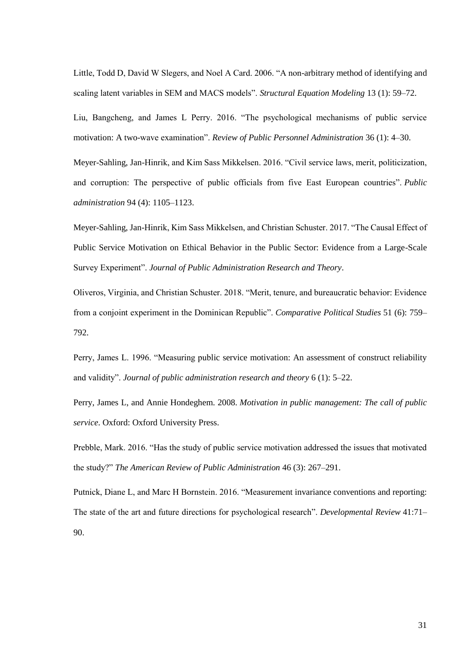Little, Todd D, David W Slegers, and Noel A Card. 2006. "A non-arbitrary method of identifying and scaling latent variables in SEM and MACS models". *Structural Equation Modeling* 13 (1): 59–72.

Liu, Bangcheng, and James L Perry. 2016. "The psychological mechanisms of public service motivation: A two-wave examination". *Review of Public Personnel Administration* 36 (1): 4–30.

Meyer-Sahling, Jan-Hinrik, and Kim Sass Mikkelsen. 2016. "Civil service laws, merit, politicization, and corruption: The perspective of public officials from five East European countries". *Public administration* 94 (4): 1105–1123.

Meyer-Sahling, Jan-Hinrik, Kim Sass Mikkelsen, and Christian Schuster. 2017. "The Causal Effect of Public Service Motivation on Ethical Behavior in the Public Sector: Evidence from a Large-Scale Survey Experiment". *Journal of Public Administration Research and Theory*.

Oliveros, Virginia, and Christian Schuster. 2018. "Merit, tenure, and bureaucratic behavior: Evidence from a conjoint experiment in the Dominican Republic". *Comparative Political Studies* 51 (6): 759– 792.

Perry, James L. 1996. "Measuring public service motivation: An assessment of construct reliability and validity". *Journal of public administration research and theory* 6 (1): 5–22.

Perry, James L, and Annie Hondeghem. 2008. *Motivation in public management: The call of public service*. Oxford: Oxford University Press.

Prebble, Mark. 2016. "Has the study of public service motivation addressed the issues that motivated the study?" *The American Review of Public Administration* 46 (3): 267–291.

Putnick, Diane L, and Marc H Bornstein. 2016. "Measurement invariance conventions and reporting: The state of the art and future directions for psychological research". *Developmental Review* 41:71– 90.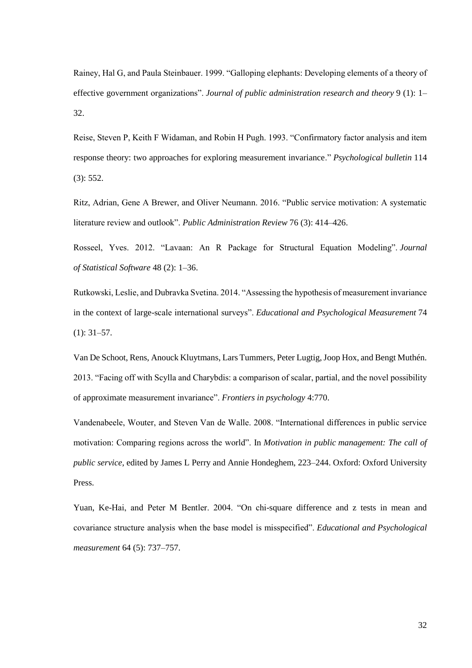Rainey, Hal G, and Paula Steinbauer. 1999. "Galloping elephants: Developing elements of a theory of effective government organizations". *Journal of public administration research and theory* 9 (1): 1– 32.

Reise, Steven P, Keith F Widaman, and Robin H Pugh. 1993. "Confirmatory factor analysis and item response theory: two approaches for exploring measurement invariance." *Psychological bulletin* 114 (3): 552.

Ritz, Adrian, Gene A Brewer, and Oliver Neumann. 2016. "Public service motivation: A systematic literature review and outlook". *Public Administration Review* 76 (3): 414–426.

Rosseel, Yves. 2012. "Lavaan: An R Package for Structural Equation Modeling". *Journal of Statistical Software* 48 (2): 1–36.

Rutkowski, Leslie, and Dubravka Svetina. 2014. "Assessing the hypothesis of measurement invariance in the context of large-scale international surveys". *Educational and Psychological Measurement* 74  $(1): 31-57.$ 

Van De Schoot, Rens, Anouck Kluytmans, Lars Tummers, Peter Lugtig, Joop Hox, and Bengt Muthén. 2013. "Facing off with Scylla and Charybdis: a comparison of scalar, partial, and the novel possibility of approximate measurement invariance". *Frontiers in psychology* 4:770.

Vandenabeele, Wouter, and Steven Van de Walle. 2008. "International differences in public service motivation: Comparing regions across the world". In *Motivation in public management: The call of public service*, edited by James L Perry and Annie Hondeghem, 223–244. Oxford: Oxford University Press.

Yuan, Ke-Hai, and Peter M Bentler. 2004. "On chi-square difference and z tests in mean and covariance structure analysis when the base model is misspecified". *Educational and Psychological measurement* 64 (5): 737–757.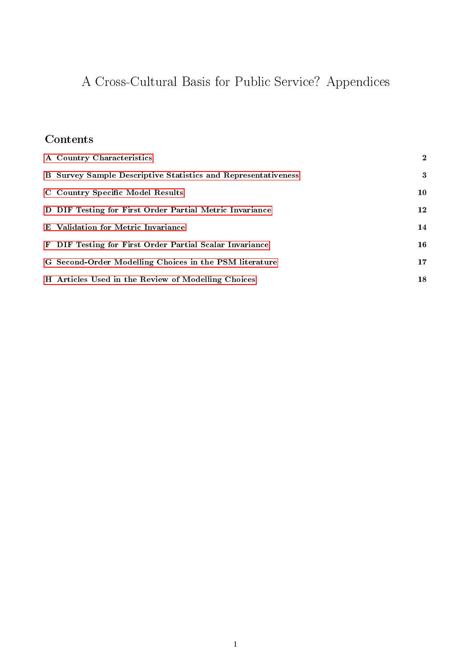# <span id="page-33-0"></span>A Cross-Cultural Basis for Public Service? Appendices

# Contents

| A Country Characteristics                                            | $\mathbf{2}$ |
|----------------------------------------------------------------------|--------------|
| <b>B</b> Survey Sample Descriptive Statistics and Representativeness | 3            |
| C Country Specific Model Results                                     | 10           |
| D DIF Testing for First Order Partial Metric Invariance              | 12           |
| E Validation for Metric Invariance                                   | 14           |
| F DIF Testing for First Order Partial Scalar Invariance              | 16           |
| G Second-Order Modelling Choices in the PSM literature               | 17           |
| H Articles Used in the Review of Modelling Choices                   | 18           |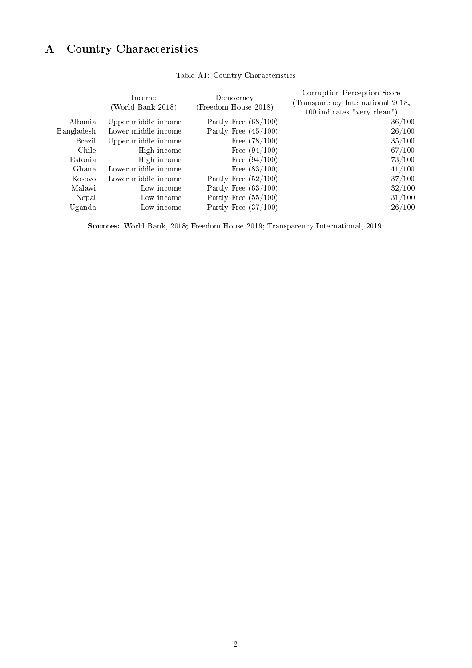# <span id="page-34-0"></span>A Country Characteristics

|            | <b>Income</b><br>(World Bank 2018) | Democracy<br>(Freedom House 2018) | Corruption Perception Score<br>Transparency International 2018,<br>100 indicates "very clean") |
|------------|------------------------------------|-----------------------------------|------------------------------------------------------------------------------------------------|
| Albania    | Upper middle income                | Partly Free $(68/100)$            | 36/100                                                                                         |
| Bangladesh | Lower middle income                | Partly Free $(45/100)$            | 26/100                                                                                         |
| Brazil     | Upper middle income                | Free $(78/100)$                   | 35/100                                                                                         |
| Chile      | High income                        | Free $(94/100)$                   | 67/100                                                                                         |
| Estonia    | High income                        | Free $(94/100)$                   | 73/100                                                                                         |
| Ghana      | Lower middle income                | Free $(83/100)$                   | 41/100                                                                                         |
| Kosovo     | Lower middle income                | Partly Free $(52/100)$            | 37/100                                                                                         |
| Malawi     | Low income                         | Partly Free $(63/100)$            | 32/100                                                                                         |
| Nepal      | Low income                         | Partly Free $(55/100)$            | 31/100                                                                                         |
| Uganda     | Low income                         | Partly Free $(37/100)$            | 26/100                                                                                         |

| Table A1: Country Characteristics |  |  |  |
|-----------------------------------|--|--|--|
|-----------------------------------|--|--|--|

Sources: World Bank, 2018; Freedom House 2019; Transparency International, 2019.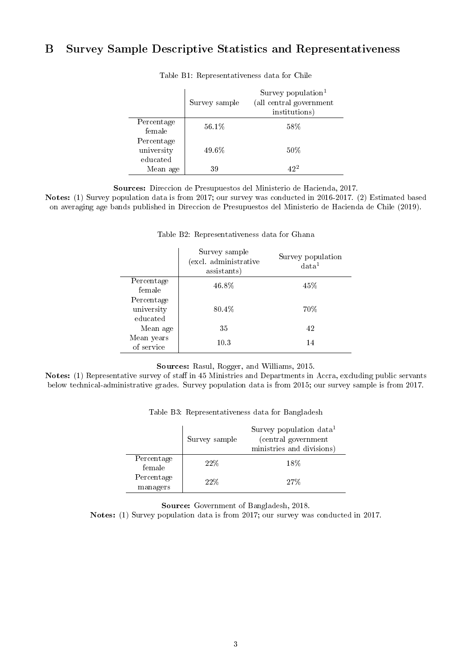# <span id="page-35-0"></span>B Survey Sample Descriptive Statistics and Representativeness

|                                      | Survey sample | Survey population <sup>1</sup><br>(all central government<br>institutions) |
|--------------------------------------|---------------|----------------------------------------------------------------------------|
| Percentage<br>female                 | 56.1%         | 58%                                                                        |
| Percentage<br>university<br>educated | 49.6%         | 50%                                                                        |
| Mean age                             | 39            | 192                                                                        |

Table B1: Representativeness data for Chile

Sources: Direccion de Presupuestos del Ministerio de Hacienda, 2017.

Notes: (1) Survey population data is from 2017; our survey was conducted in 2016-2017. (2) Estimated based on averaging age bands published in Direccion de Presupuestos del Ministerio de Hacienda de Chile (2019).

|            | Survey sample<br>(excl. administrative<br>assistants) | Survey population<br>data <sup>1</sup> |
|------------|-------------------------------------------------------|----------------------------------------|
| Percentage | 46.8%                                                 | $45\%$                                 |
| female     |                                                       |                                        |
| Percentage |                                                       |                                        |
| university | 80.4%                                                 | 70%                                    |
| educated   |                                                       |                                        |
| Mean age   | 35                                                    | 42                                     |
| Mean years | 10.3                                                  | 14                                     |
| of service |                                                       |                                        |

Table B2: Representativeness data for Ghana

Sources: Rasul, Rogger, and Williams, 2015.

Notes: (1) Representative survey of staff in 45 Ministries and Departments in Accra, excluding public servants below technical-administrative grades. Survey population data is from 2015; our survey sample is from 2017.

Table B3: Representativeness data for Bangladesh

|                        | Survey sample | Survey population data <sup>1</sup><br>(central government<br>ministries and divisions) |
|------------------------|---------------|-----------------------------------------------------------------------------------------|
| Percentage<br>female   | 22%           | $18\%$                                                                                  |
| Percentage<br>managers | 22%           | 27%                                                                                     |

Source: Government of Bangladesh, 2018.

Notes: (1) Survey population data is from 2017; our survey was conducted in 2017.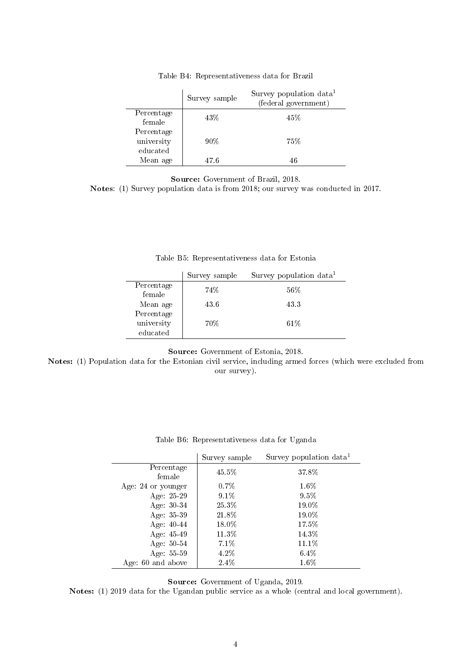|                                      | Survey sample | Survey population data <sup>1</sup><br>(federal government) |
|--------------------------------------|---------------|-------------------------------------------------------------|
| Percentage<br>female                 | 43\%          | 45%                                                         |
| Percentage<br>university<br>educated | 90%           | 75%                                                         |
| Mean age                             | 47.6          | 46                                                          |

Table B4: Representativeness data for Brazil

Source: Government of Brazil, 2018.

L,

Notes: (1) Survey population data is from 2018; our survey was conducted in 2017.

| Table B5: Representativeness data for Estonia |  |  |
|-----------------------------------------------|--|--|
|                                               |  |  |

|            | Survey sample | Survey population data <sup>1</sup> |
|------------|---------------|-------------------------------------|
| Percentage | 74%           | 56%                                 |
| female     |               |                                     |
| Mean age   | 43.6          | 43.3                                |
| Percentage |               |                                     |
| university | 70\%          | $61\%$                              |
| educated   |               |                                     |

Source: Government of Estonia, 2018.

Notes: (1) Population data for the Estonian civil service, including armed forces (which were excluded from our survey).

|                      | Survey sample | Survey population data <sup>1</sup> |
|----------------------|---------------|-------------------------------------|
| Percentage<br>female | 45.5%         | 37.8%                               |
| Age: 24 or younger   | $0.7\%$       | $1.6\%$                             |
| Age: 25-29           | 9.1%          | 9.5%                                |
| Age: 30-34           | 25.3%         | 19.0%                               |
| Age: 35-39           | 21.8%         | 19.0%                               |
| Age: 40-44           | 18.0%         | 17.5%                               |
| Age: 45-49           | 11.3%         | 14.3%                               |
| Age: 50-54           | 7.1%          | 11.1%                               |
| Age: 55-59           | $4.2\%$       | $6.4\%$                             |
| Age: 60 and above    | 2.4%          | $1.6\%$                             |

Table B6: Representativeness data for Uganda

Source: Government of Uganda, 2019.

Notes: (1) 2019 data for the Ugandan public service as a whole (central and local government).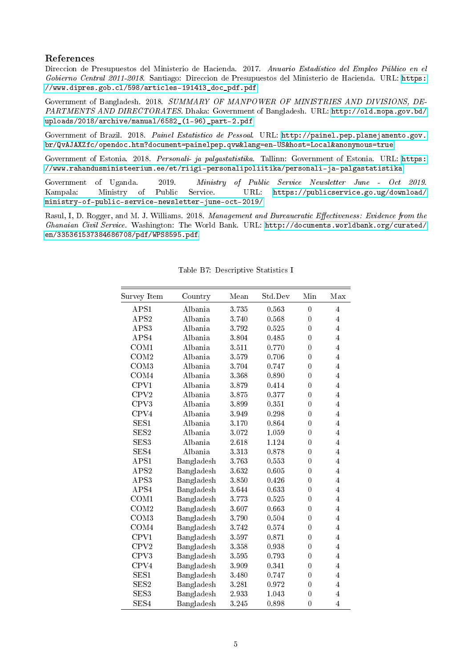#### References

Direccion de Presupuestos del Ministerio de Hacienda. 2017. Anuario Estadístico del Empleo Público en el Gobierno Central 2011-2018. Santiago: Direccion de Presupuestos del Ministerio de Hacienda. URL: [https:](https://www.dipres.gob.cl/598/articles-191413_doc_pdf.pdf) [//www.dipres.gob.cl/598/articles-191413\\_doc\\_pdf.pdf](https://www.dipres.gob.cl/598/articles-191413_doc_pdf.pdf)

Government of Bangladesh. 2018. SUMMARY OF MANPOWER OF MINISTRIES AND DIVISIONS, DEPARTMENTS AND DIRECTORATES. Dhaka: Government of Bangladesh. URL: [http://old.mopa.gov.bd/](http://old.mopa.gov.bd/uploads/2018/archive/manual/6582_(1-96)_part-2.pdf) [uploads/2018/archive/manual/6582\\_\(1-96\)\\_part-2.pdf](http://old.mopa.gov.bd/uploads/2018/archive/manual/6582_(1-96)_part-2.pdf)

Government of Brazil. 2018. Painel Estatistico de Pessoal. URL: [http://painel.pep.planejamento.gov.](http://painel.pep.planejamento.gov.br/QvAJAXZfc/opendoc.htm?document=painelpep.qvw&lang=en-US&host=Local&anonymous=true) [br/QvAJAXZfc/opendoc.htm?document=painelpep.qvw&lang=en-US&host=Local&anonymous=true](http://painel.pep.planejamento.gov.br/QvAJAXZfc/opendoc.htm?document=painelpep.qvw&lang=en-US&host=Local&anonymous=true)

Government of Estonia. 2018. Personali- ja palgastatistika. Tallinn: Government of Estonia. URL: [https:](https://www.rahandusministeerium.ee/et/riigi-personalipoliitika/personali-ja-palgastatistika) [//www.rahandusministeerium.ee/et/riigi-personalipoliitika/personali-ja-palgastatistika](https://www.rahandusministeerium.ee/et/riigi-personalipoliitika/personali-ja-palgastatistika)

Government of Uganda. 2019. Ministry of Public Service Newsletter June - Oct 2019. Kampala: Ministry of Public Service. URL: [https://publicservice.go.ug/download/](https://publicservice.go.ug/download/ministry-of-public-service-newsletter-june-oct-2019/) [ministry-of-public-service-newsletter-june-oct-2019/](https://publicservice.go.ug/download/ministry-of-public-service-newsletter-june-oct-2019/)

Rasul, I, D. Rogger, and M. J. Williams. 2018. Management and Bureaucratic Effectiveness: Evidence from the Ghanaian Civil Service. Washington: The World Bank. URL: [http://documents.worldbank.org/curated/](http://documents.worldbank.org/curated/en/335361537384686708/pdf/WPS8595.pdf) [en/335361537384686708/pdf/WPS8595.pdf.](http://documents.worldbank.org/curated/en/335361537384686708/pdf/WPS8595.pdf)

| Survey Item      | Country    | Mean  | Std.Dev | Min            | Max            |
|------------------|------------|-------|---------|----------------|----------------|
| APS1             | Albania    | 3.735 | 0.563   | $\Omega$       | $\overline{4}$ |
| APS2             | Albania    | 3.740 | 0.568   | $\theta$       | 4              |
| APS3             | Albania    | 3.792 | 0.525   | $\overline{0}$ | $\overline{4}$ |
| APS4             | Albania    | 3.804 | 0.485   | $\theta$       | $\overline{4}$ |
| COM1             | Albania    | 3.511 | 0.770   | $\overline{0}$ | $\overline{4}$ |
| COM2             | Albania    | 3.579 | 0.706   | $\overline{0}$ | $\overline{4}$ |
| COM <sub>3</sub> | Albania    | 3.704 | 0.747   | $\overline{0}$ | $\overline{4}$ |
| COM <sub>4</sub> | Albania    | 3.368 | 0.890   | $\overline{0}$ | $\overline{4}$ |
| CPV1             | Albania    | 3.879 | 0.414   | $\overline{0}$ | $\overline{4}$ |
| CPV2             | Albania    | 3.875 | 0.377   | $\overline{0}$ | $\overline{4}$ |
| CPV3             | Albania    | 3.899 | 0.351   | $\Omega$       | $\overline{4}$ |
| CPV4             | Albania    | 3.949 | 0.298   | $\overline{0}$ | $\overline{4}$ |
| SES <sub>1</sub> | Albania    | 3.170 | 0.864   | $\overline{0}$ | $\overline{4}$ |
| SES <sub>2</sub> | Albania    | 3.072 | 1.059   | $\overline{0}$ | $\overline{4}$ |
| SES <sub>3</sub> | Albania    | 2.618 | 1.124   | $\overline{0}$ | $\overline{4}$ |
| SES <sub>4</sub> | Albania    | 3.313 | 0.878   | $\overline{0}$ | $\overline{4}$ |
| APS1             | Bangladesh | 3.763 | 0.553   | $\overline{0}$ | $\overline{4}$ |
| APS2             | Bangladesh | 3.632 | 0.605   | $\theta$       | $\overline{4}$ |
| APS3             | Bangladesh | 3.850 | 0.426   | $\overline{0}$ | $\overline{4}$ |
| APS4             | Bangladesh | 3.644 | 0.633   | $\theta$       | $\overline{4}$ |
| COM1             | Bangladesh | 3.773 | 0.525   | $\overline{0}$ | $\overline{4}$ |
| COM2             | Bangladesh | 3.607 | 0.663   | $\overline{0}$ | $\overline{4}$ |
| COM <sub>3</sub> | Bangladesh | 3.790 | 0.504   | $\overline{0}$ | $\overline{4}$ |
| COM <sub>4</sub> | Bangladesh | 3.742 | 0.574   | $\overline{0}$ | $\overline{4}$ |
| CPV1             | Bangladesh | 3597  | 0.871   | $\theta$       | $\overline{4}$ |
| CPV2             | Bangladesh | 3358  | 0.938   | $\overline{0}$ | $\overline{4}$ |
| CPV3             | Bangladesh | 3.595 | 0.793   | $\overline{0}$ | $\overline{4}$ |
| CPV4             | Bangladesh | 3.909 | 0.341   | $\overline{0}$ | $\overline{4}$ |
| SES <sub>1</sub> | Bangladesh | 3.480 | 0.747   | $\theta$       | $\overline{4}$ |
| SES <sub>2</sub> | Bangladesh | 3.281 | 0.972   | $\theta$       | $\overline{4}$ |
| SES <sub>3</sub> | Bangladesh | 2.933 | 1.043   | $\overline{0}$ | $\overline{4}$ |
| $_{\rm SES4}$    | Bangladesh | 3.245 | 0.898   | $\overline{0}$ | $\overline{4}$ |

Table B7: Descriptive Statistics I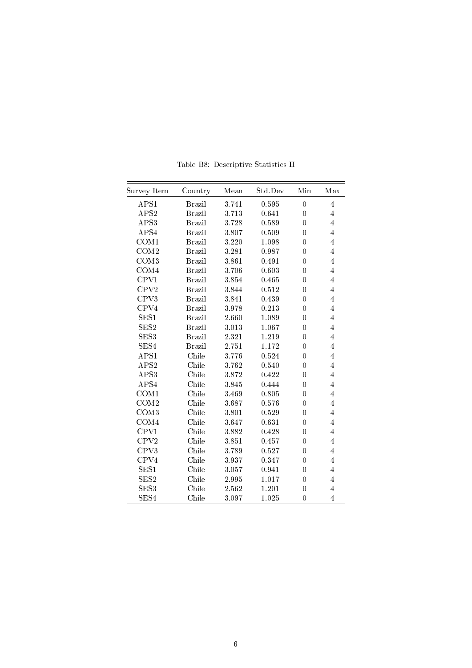| <b>Survey Item</b> | Country       | Mean      | Std.Dev | Min              | Max            |
|--------------------|---------------|-----------|---------|------------------|----------------|
| APS1               | <b>Brazil</b> | 3.741     | 0.595   | $\overline{0}$   | $\overline{4}$ |
| APS2               | <b>Brazil</b> | 3.713     | 0.641   | $\overline{0}$   | $\overline{4}$ |
| APS3               | <b>Brazil</b> | 3.728     | 0.589   | $\Omega$         | $\overline{4}$ |
| APS4               | <b>Brazil</b> | 3.807     | 0.509   | $\theta$         | $\overline{4}$ |
| COM1               | <b>Brazil</b> | 3.220     | 1.098   | $\theta$         | $\overline{4}$ |
| COM2               | <b>Brazil</b> | 3.281     | 0.987   | $\overline{0}$   | $\overline{4}$ |
| COM <sub>3</sub>   | <b>Brazil</b> | 3.861     | 0.491   | $\overline{0}$   | $\overline{4}$ |
| COM <sub>4</sub>   | <b>Brazil</b> | 3.706     | 0.603   | $\overline{0}$   | $\overline{4}$ |
| CPV1               | <b>Brazil</b> | 3.854     | 0.465   | $\overline{0}$   | $\overline{4}$ |
| CPV <sub>2</sub>   | <b>Brazil</b> | 3.844     | 0.512   | $\overline{0}$   | $\overline{4}$ |
| CPV3               | <b>Brazil</b> | 3.841     | 0.439   | $\overline{0}$   | $\overline{4}$ |
| CPV4               | <b>Brazil</b> | 3.978     | 0.213   | $\boldsymbol{0}$ | $\overline{4}$ |
| SES1               | <b>Brazil</b> | 2.660     | 1.089   | $\overline{0}$   | $\overline{4}$ |
| SES <sub>2</sub>   | <b>Brazil</b> | 3.013     | 1.067   | $\overline{0}$   | $\overline{4}$ |
| SES <sub>3</sub>   | <b>Brazil</b> | $2.321\,$ | 1.219   | $\overline{0}$   | $\overline{4}$ |
| SES4               | <b>Brazil</b> | 2.751     | 1.172   | $\overline{0}$   | $\overline{4}$ |
| APS1               | Chile         | 3.776     | 0.524   | $\overline{0}$   | $\overline{4}$ |
| APS2               | Chile         | 3.762     | 0.540   | $\Omega$         | $\overline{4}$ |
| APS3               | Chile         | 3.872     | 0.422   | $\overline{0}$   | $\overline{4}$ |
| ${\rm APS4}$       | Chile         | 3.845     | 0.444   | $\overline{0}$   | $\overline{4}$ |
| COM1               | Chile         | 3 4 6 9   | 0.805   | $\theta$         | $\overline{4}$ |
| COM2               | Chile         | 3.687     | 0.576   | $\overline{0}$   | $\overline{4}$ |
| COM <sub>3</sub>   | Chile         | 3.801     | 0.529   | $\theta$         | $\overline{4}$ |
| COM <sub>4</sub>   | Chile         | 3.647     | 0.631   | $\overline{0}$   | $\overline{4}$ |
| CPV1               | Chile         | 3.882     | 0.428   | $\overline{0}$   | $\overline{4}$ |
| CPV <sub>2</sub>   | Chile         | 3.851     | 0.457   | $\overline{0}$   | $\overline{4}$ |
| CPV3               | Chile         | 3.789     | 0.527   | $\overline{0}$   | $\overline{4}$ |
| CPV4               | Chile         | 3.937     | 0.347   | $\theta$         | $\overline{4}$ |
| SES1               | Chile         | 3.057     | 0.941   | $\overline{0}$   | $\overline{4}$ |
| SES <sub>2</sub>   | Chile         | 2.995     | 1.017   | $\theta$         | $\overline{4}$ |
| SES <sub>3</sub>   | Chile         | 2.562     | 1.201   | $\overline{0}$   | $\overline{4}$ |
| SES4               | Chile         | 3.097     | 1.025   | $\overline{0}$   | $\overline{4}$ |

Table B8: Descriptive Statistics II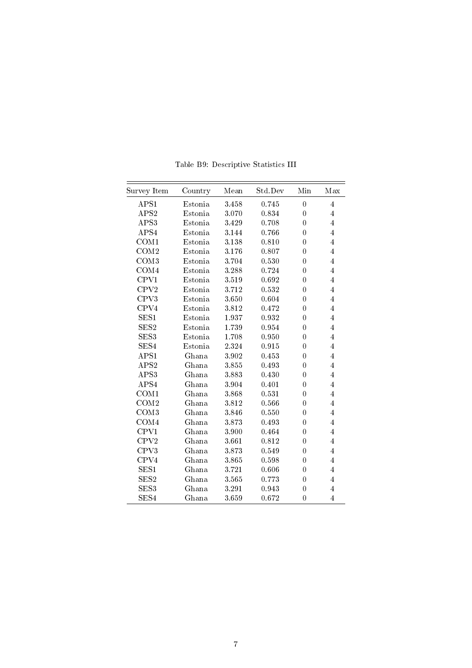| Survey Item      | Country | Mean  | Std.Dev | Min            | Max            |
|------------------|---------|-------|---------|----------------|----------------|
| APS1             | Estonia | 3.458 | 0.745   | $\overline{0}$ | $\overline{4}$ |
| APS2             | Estonia | 3.070 | 0.834   | $\Omega$       | $\overline{4}$ |
| APS3             | Estonia | 3.429 | 0.708   | $\Omega$       | $\overline{4}$ |
| APS4             | Estonia | 3.144 | 0.766   | $\Omega$       | $\overline{4}$ |
| COM1             | Estonia | 3.138 | 0.810   | $\Omega$       | $\overline{4}$ |
| COM2             | Estonia | 3.176 | 0.807   | $\overline{0}$ | $\overline{4}$ |
| COM <sub>3</sub> | Estonia | 3.704 | 0.530   | $\Omega$       | $\overline{4}$ |
| COM <sub>4</sub> | Estonia | 3.288 | 0.724   | $\overline{0}$ | $\overline{4}$ |
| CPV1             | Estonia | 3519  | 0.692   | $\theta$       | $\overline{4}$ |
| CPV <sub>2</sub> | Estonia | 3.712 | 0.532   | $\overline{0}$ | $\overline{4}$ |
| CPV3             | Estonia | 3.650 | 0.604   | $\Omega$       | $\overline{4}$ |
| CPV4             | Estonia | 3.812 | 0.472   | $\overline{0}$ | $\overline{4}$ |
| SES <sub>1</sub> | Estonia | 1.937 | 0.932   | $\Omega$       | $\overline{4}$ |
| SES <sub>2</sub> | Estonia | 1.739 | 0.954   | $\overline{0}$ | $\overline{4}$ |
| SES <sub>3</sub> | Estonia | 1.708 | 0.950   | $\overline{0}$ | $\overline{4}$ |
| SES4             | Estonia | 2.324 | 0.915   | $\overline{0}$ | $\overline{4}$ |
| APS1             | Ghana   | 3.902 | 0.453   | $\Omega$       | $\overline{4}$ |
| APS2             | Ghana   | 3.855 | 0.493   | $\Omega$       | $\overline{4}$ |
| APS3             | Ghana   | 3.883 | 0.430   | $\Omega$       | $\overline{4}$ |
| ${\rm APS4}$     | Ghana   | 3.904 | 0.401   | $\theta$       | $\overline{4}$ |
| COM1             | Ghana   | 3.868 | 0.531   | $\overline{0}$ | $\overline{4}$ |
| COM2             | Ghana   | 3.812 | 0.566   | $\overline{0}$ | $\overline{4}$ |
| COM <sub>3</sub> | Ghana   | 3.846 | 0.550   | $\overline{0}$ | $\overline{4}$ |
| COM4             | Ghana   | 3.873 | 0.493   | $\overline{0}$ | $\overline{4}$ |
| CPV1             | Ghana   | 3.900 | 0.464   | $\overline{0}$ | $\overline{4}$ |
| CPV <sub>2</sub> | Ghana   | 3.661 | 0.812   | $\overline{0}$ | $\overline{4}$ |
| CPV3             | Ghana   | 3.873 | 0.549   | $\overline{0}$ | $\overline{4}$ |
| CPV4             | Ghana   | 3.865 | 0.598   | $\overline{0}$ | $\overline{4}$ |
| SES1             | Ghana   | 3.721 | 0.606   | $\overline{0}$ | $\overline{4}$ |
| SES <sub>2</sub> | Ghana   | 3.565 | 0.773   | $\overline{0}$ | $\overline{4}$ |
| SES <sub>3</sub> | Ghana   | 3.291 | 0.943   | $\Omega$       | $\overline{4}$ |
| SES4             | Ghana   | 3.659 | 0.672   | $\overline{0}$ | $\overline{4}$ |

Table B9: Descriptive Statistics III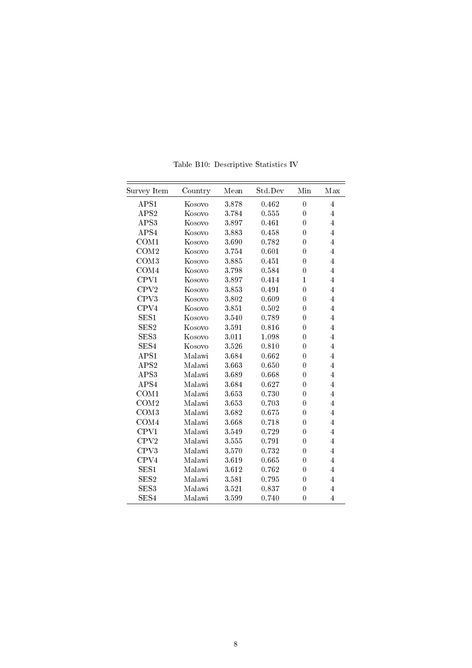| Survey Item      | Country | Mean      | Std.Dev | Min            | Max            |
|------------------|---------|-----------|---------|----------------|----------------|
| APS1             | Kosovo  | 3.878     | 0.462   | $\overline{0}$ | $\overline{4}$ |
| APS2             | Kosovo  | 3.784     | 0.555   | $\overline{0}$ | $\overline{4}$ |
| APS3             | Kosovo  | 3.897     | 0.461   | $\theta$       | $\overline{4}$ |
| APS4             | Kosovo  | 3.883     | 0.458   | $\overline{0}$ | $\overline{4}$ |
| COM1             | Kosovo  | 3.690     | 0.782   | $\overline{0}$ | 4              |
| COM2             | Kosovo  | 3.754     | 0.601   | $\overline{0}$ | $\overline{4}$ |
| COM <sub>3</sub> | Kosovo  | 3.885     | 0.451   | 0              | $\overline{4}$ |
| COM <sub>4</sub> | Kosovo  | 3.798     | 0.584   | $\overline{0}$ | 4              |
| CPV1             | Kosovo  | 3.897     | 0.414   | $\mathbf{1}$   | 4              |
| CPV <sub>2</sub> | Kosovo  | 3.853     | 0.491   | $\overline{0}$ | $\overline{4}$ |
| CPV3             | Kosovo  | 3.802     | 0.609   | 0              | $\overline{4}$ |
| CPV4             | Kosovo  | 3.851     | 0.502   | 0              | $\overline{4}$ |
| SES1             | Kosovo  | 3.540     | 0.789   | $\overline{0}$ | 4              |
| SES <sub>2</sub> | Kosovo  | 3.591     | 0.816   | $\overline{0}$ | $\overline{4}$ |
| SES <sub>3</sub> | Kosovo  | 3.011     | 1.098   | $\overline{0}$ | $\overline{4}$ |
| SES4             | Kosovo  | 3.526     | 0.810   | $\overline{0}$ | 4              |
| APS1             | Malawi  | 3.684     | 0.662   | $\overline{0}$ | $\overline{4}$ |
| APS2             | Malawi  | 3.663     | 0.650   | $\overline{0}$ | 4              |
| APS3             | Malawi  | 3.689     | 0.668   | $\overline{0}$ | $\overline{4}$ |
| APS4             | Malawi  | 3.684     | 0.627   | $\overline{0}$ | $\overline{4}$ |
| COM1             | Malawi  | 3.653     | 0.730   | $\overline{0}$ | $\overline{4}$ |
| COM2             | Malawi  | 3.653     | 0.703   | $\overline{0}$ | 4              |
| COM <sub>3</sub> | Malawi  | 3.682     | 0.675   | $\overline{0}$ | $\overline{4}$ |
| COM <sub>4</sub> | Malawi  | 3.668     | 0.718   | $\overline{0}$ | $\overline{4}$ |
| CPV1             | Malawi  | 3549      | 0.729   | $\overline{0}$ | $\overline{4}$ |
| CPV <sub>2</sub> | Malawi  | 3.555     | 0.791   | $\overline{0}$ | $\overline{4}$ |
| CPV3             | Malawi  | 3570      | 0.732   | $\overline{0}$ | $\overline{4}$ |
| CPV4             | Malawi  | 3.619     | 0.665   | $\overline{0}$ | 4              |
| SES1             | Malawi  | 3.612     | 0.762   | $\overline{0}$ | $\overline{4}$ |
| SES <sub>2</sub> | Malawi  | 3.581     | 0.795   | $\overline{0}$ | $\overline{4}$ |
| SES <sub>3</sub> | Malawi  | $3.521\,$ | 0.837   | $\overline{0}$ | $\overline{4}$ |
| SES <sub>4</sub> | Malawi  | 3599      | 0.740   | $\Omega$       | 4              |

Table B10: Descriptive Statistics IV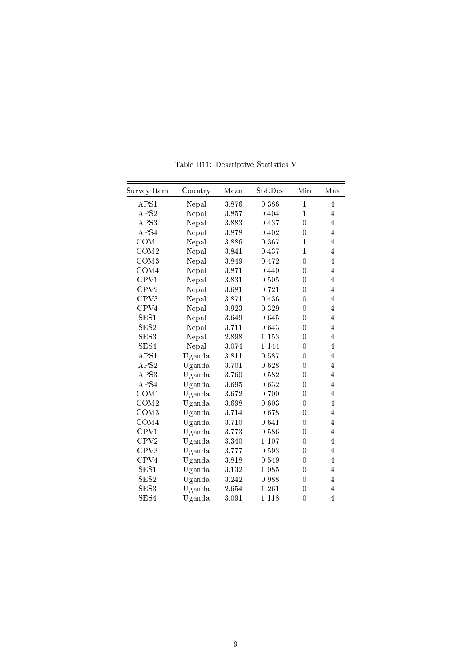| Survey Item      | Country | Mean  | Std.Dev | Min            | Max            |
|------------------|---------|-------|---------|----------------|----------------|
| APS1             | Nepal   | 3.876 | 0.386   | $\mathbf{1}$   | $\overline{4}$ |
| APS <sub>2</sub> | Nepal   | 3.857 | 0.404   | $\mathbf{1}$   | $\overline{4}$ |
| APS3             | Nepal   | 3.883 | 0.437   | $\overline{0}$ | $\overline{4}$ |
| APS4             | Nepal   | 3.878 | 0.402   | $\overline{0}$ | $\overline{4}$ |
| COM1             | Nepal   | 3.886 | 0.367   | $\mathbf{1}$   | 4              |
| COM2             | Nepal   | 3.841 | 0.437   | $\mathbf{1}$   | $\overline{4}$ |
| COM <sub>3</sub> | Nepal   | 3.849 | 0.472   | $\overline{0}$ | $\overline{4}$ |
| COM <sub>4</sub> | Nepal   | 3.871 | 0.440   | $\overline{0}$ | $\overline{4}$ |
| CPV1             | Nepal   | 3.831 | 0.505   | $\overline{0}$ | $\overline{4}$ |
| CPV2             | Nepal   | 3.681 | 0.721   | 0              | 4              |
| CPV3             | Nepal   | 3.871 | 0.436   | 0              | $\overline{4}$ |
| CPV4             | Nepal   | 3.923 | 0.329   | 0              | $\overline{4}$ |
| SES1             | Nepal   | 3.649 | 0.645   | 0              | $\overline{4}$ |
| SES <sub>2</sub> | Nepal   | 3.711 | 0.643   | $\overline{0}$ | $\overline{4}$ |
| SES <sub>3</sub> | Nepal   | 2.898 | 1.153   | 0              | $\overline{4}$ |
| SES <sub>4</sub> | Nepal   | 3.074 | 1.144   | 0              | 4              |
| APS1             | Uganda  | 3.811 | 0.587   | $\overline{0}$ | $\overline{4}$ |
| APS2             | Uganda  | 3.701 | 0.628   | $\overline{0}$ | $\overline{4}$ |
| APS3             | Uganda  | 3.760 | 0.582   | $\overline{0}$ | $\overline{4}$ |
| APS4             | Uganda  | 3.695 | 0.632   | $\overline{0}$ | 4              |
| COM1             | Uganda  | 3.672 | 0.700   | 0              | 4              |
| COM2             | Uganda  | 3.698 | 0.603   | 0              | $\overline{4}$ |
| COM <sub>3</sub> | Uganda  | 3.714 | 0.678   | $\overline{0}$ | $\overline{4}$ |
| COM4             | Uganda  | 3.710 | 0.641   | $\overline{0}$ | $\overline{4}$ |
| CPV1             | Uganda  | 3.773 | 0.586   | $\overline{0}$ | $\overline{4}$ |
| CPV <sub>2</sub> | Uganda  | 3.340 | 1.107   | $\overline{0}$ | $\overline{4}$ |
| CPV3             | Uganda  | 3.777 | 0.593   | 0              | $\overline{4}$ |
| CPV4             | Uganda  | 3.818 | 0.549   | $\overline{0}$ | $\overline{4}$ |
| SES1             | Uganda  | 3.132 | 1.085   | $\overline{0}$ | $\overline{4}$ |
| SES <sub>2</sub> | Uganda  | 3.242 | 0.988   | 0              | $\overline{4}$ |
| SES <sub>3</sub> | Uganda  | 2.654 | 1.261   | $\overline{0}$ | $\overline{4}$ |
| SES <sub>4</sub> | Uganda  | 3.091 | 1.118   | $\overline{0}$ | $\overline{4}$ |

Table B11: Descriptive Statistics V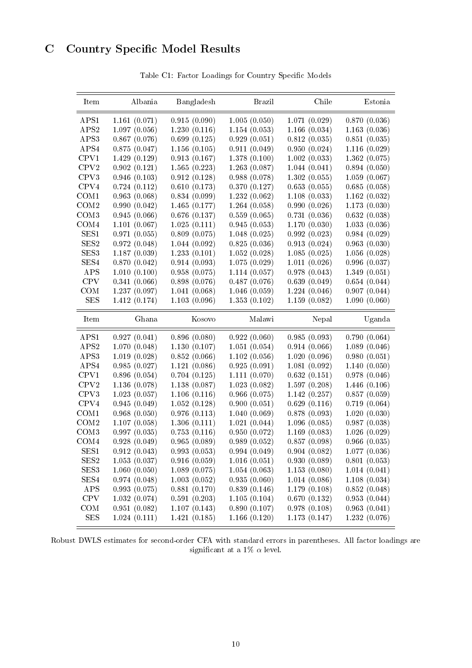# <span id="page-42-0"></span>C Country Specific Model Results

| Item             | Albania      | Bangladesh    | <b>Brazil</b>    | Chile        | Estonia      |
|------------------|--------------|---------------|------------------|--------------|--------------|
| APS1             | 1.161(0.071) | 0.915(0.090)  | 1.005(0.050)     | 1.071(0.029) | 0.870(0.036) |
| APS <sub>2</sub> | 1.097(0.056) | 1.230(0.116)  | 1.154(0.053)     | 1.166(0.034) | 1.163(0.036) |
| APS3             | 0.867(0.076) | 0.699(0.125)  | 0.929(0.051)     | 0.812(0.035) | 0.851(0.035) |
| APS4             | 0.875(0.047) | 1.156(0.105)  | (0.049)<br>0.911 | 0.950(0.024) | 1.116(0.029) |
| CPV1             | 1.429(0.129) | 0.913(0.167)  | 1.378<br>(0.100) | 1.002(0.033) | 1.362(0.075) |
| CPV2             | 0.902(0.121) | 1.565(0.223)  | 1.263<br>(0.087) | 1.044(0.041) | 0.894(0.050) |
| CPV3             | 0.946(0.103) | 0.912(0.128)  | 0.988<br>(0.078) | 1.302(0.055) | 1.059(0.067) |
| CPV4             | 0.724(0.112) | 0.610(0.173)  | 0.370<br>(0.127) | 0.653(0.055) | 0.685(0.058) |
| COM1             | 0.963(0.068) | 0.834(0.099)  | 1.232<br>(0.062) | 1.108(0.033) | 1.162(0.032) |
| COM <sub>2</sub> | 0.990(0.042) | 1.465 (0.177) | 1.264(0.058)     | 0.990(0.026) | 1.173(0.030) |
| COM <sub>3</sub> | 0.945(0.066) | 0.676(0.137)  | (0.065)<br>0.559 | 0.731(0.036) | 0.632(0.038) |
| COM <sub>4</sub> | 1.101(0.067) | 1.025(0.111)  | 0.945<br>(0.053) | 1.170(0.030) | 1.033(0.036) |
| SES1             | 0.971(0.055) | 0.809(0.075)  | (0.025)<br>1.048 | 0.992(0.023) | 0.984(0.029) |
| SES <sub>2</sub> | 0.972(0.048) | 1.044(0.092)  | 0.825<br>(0.036) | 0.913(0.024) | 0.963(0.030) |
| SES <sub>3</sub> | 1.187(0.039) | 1.233(0.101)  | 1.052<br>(0.028) | 1.085(0.025) | 1.056(0.028) |
| SES <sub>4</sub> | 0.870(0.042) | 0.914(0.093)  | (0.029)<br>1.075 | 1.011(0.026) | 0.996(0.037) |
| APS              | 1.010(0.100) | 0.958(0.075)  | 1.114(0.057)     | 0.978(0.043) | 1.349(0.051) |
| <b>CPV</b>       | 0.341(0.066) | 0.898(0.076)  | (0.076)<br>0.487 | 0.639(0.049) | 0.654(0.044) |
| COM              | 1.237(0.097) | 1.041(0.068)  | (0.059)<br>1.046 | 1.224(0.046) | 0.907(0.044) |
| <b>SES</b>       | 1.412(0.174) | 1.103(0.096)  | 1.353(0.102)     | 1.159(0.082) | 1.090(0.060) |
| Item             | Ghana        | Kosovo        | Malawi           | Nepal        | Uganda       |
| APS1             | 0.927(0.041) | 0.896(0.080)  | 0.922(0.060)     | 0.985(0.093) | 0.790(0.064) |
| ${\rm APS2}$     | 1.070(0.048) | 1.130(0.107)  | 1.051(0.054)     | 0.914(0.066) | 1.089(0.046) |
| APS3             | 1.019(0.028) | 0.852(0.066)  | 1.102(0.056)     | 1.020(0.096) | 0.980(0.051) |
| APS4             | 0.985(0.027) | 1.121(0.086)  | 0.925(0.091)     | 1.081(0.092) | 1.140(0.050) |
| CPV1             | 0.896(0.054) | 0.704(0.125)  | 1.111(0.070)     | 0.632(0.151) | 0.978(0.046) |
| CPV2             | 1.136(0.078) | 1.138(0.087)  | 1.023(0.082)     | 1.597(0.208) | 1.446(0.106) |
| CPV3             | 1.023(0.057) | 1.106(0.116)  | 0.966(0.075)     | 1.142(0.257) | 0.857(0.059) |
| CPV4             | 0.945(0.049) | 1.052(0.128)  | 0.900(0.051)     | 0.629(0.116) | 0.719(0.064) |
| COM1             | 0.968(0.050) | 0.976(0.113)  | 1.040(0.069)     | 0.878(0.093) | 1.020(0.030) |
| COM <sub>2</sub> | 1.107(0.058) | 1.306(0.111)  | 1.021(0.044)     | 1.096(0.085) | 0.987(0.038) |
| COM <sub>3</sub> | 0.997(0.035) | 0.753(0.116)  | 0.950(0.072)     | 1.169(0.083) | 1.026(0.029) |
| COM <sub>4</sub> | 0.928(0.049) | 0.965(0.089)  | 0.989(0.052)     | 0.857(0.098) | 0.966(0.035) |
| SES <sub>1</sub> | 0.912(0.043) | 0.993(0.053)  | 0.994(0.049)     | 0.904(0.082) | 1.077(0.036) |
| SES <sub>2</sub> | 1.053(0.037) | 0.916(0.059)  | 1.016(0.051)     | 0.930(0.089) | 0.801(0.053) |
| SES <sub>3</sub> | 1.060(0.050) | 1.089(0.075)  | 1.054(0.063)     | 1.153(0.080) | 1.014(0.041) |
| SES <sub>4</sub> | 0.974(0.048) | 1.003(0.052)  | 0.935(0.060)     | 1.014(0.086) | 1.108(0.034) |
| APS              | 0.993(0.075) | 0.881(0.170)  | 0.839(0.146)     | 1.179(0.108) | 0.852(0.048) |
| <b>CPV</b>       | 1.032(0.074) | 0.591(0.203)  | 1.105(0.104)     | 0.670(0.132) | 0.953(0.044) |
| COM              | 0.951(0.082) | 1.107(0.143)  | 0.890(0.107)     | 0.978(0.108) | 0.963(0.041) |
| <b>SES</b>       | 1.024(0.111) | 1.421(0.185)  | 1.166(0.120)     | 1.173(0.147) | 1.232(0.076) |

Table C1: Factor Loadings for Country Specific Models

Robust DWLS estimates for second-order CFA with standard errors in parentheses. All factor loadings are significant at a 1%  $\alpha$  level.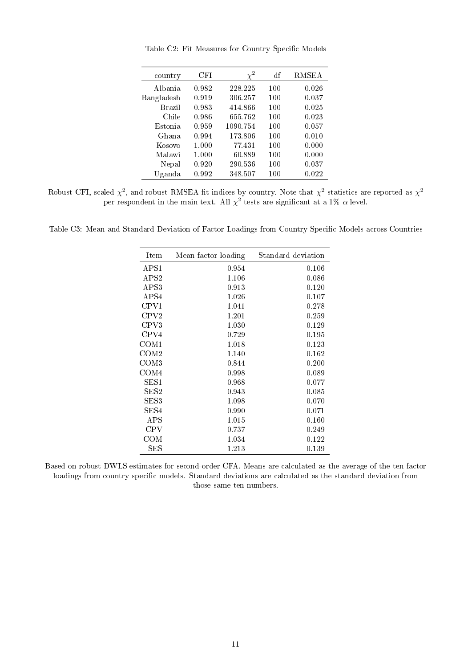| country       | CFI   | $\chi^2$ | df  | RMSEA |
|---------------|-------|----------|-----|-------|
| Albania       | 0.982 | 228.225  | 100 | 0.026 |
| Bangladesh    | 0.919 | 306.257  | 100 | 0.037 |
| <b>Brazil</b> | 0.983 | 414.866  | 100 | 0.025 |
| Chile         | 0.986 | 655.762  | 100 | 0.023 |
| Estonia       | 0.959 | 1090.754 | 100 | 0.057 |
| Ghana         | 0.994 | 173.806  | 100 | 0.010 |
| Kosovo        | 1.000 | 77.431   | 100 | 0.000 |
| Malawi        | 1.000 | 60.889   | 100 | 0.000 |
| Nepal         | 0.920 | 290.536  | 100 | 0.037 |
| Uganda        | 0.992 | 348.507  | 100 | 0.022 |

Table C2: Fit Measures for Country Specific Models

Robust CFI, scaled  $\chi^2$ , and robust RMSEA fit indices by country. Note that  $\chi^2$  statistics are reported as  $\chi^2$ per respondent in the main text. All  $\chi^2$  tests are significant at a 1%  $\alpha$  level.

Table C3: Mean and Standard Deviation of Factor Loadings from Country Specific Models across Countries

| $_{\rm Item}$    | Mean factor loading | Standard deviation |
|------------------|---------------------|--------------------|
| APS1             | 0.954               | 0.106              |
| APS <sub>2</sub> | 1.106               | 0.086              |
| APS3             | 0.913               | 0.120              |
| APS4             | 1.026               | 0.107              |
| CPV1             | 1.041               | 0.278              |
| CPV2             | 1.201               | 0.259              |
| CPV3             | 1.030               | 0.129              |
| CPV4             | 0.729               | 0.195              |
| COM1             | 1.018               | 0.123              |
| COM <sub>2</sub> | 1.140               | 0.162              |
| COM <sub>3</sub> | 0.844               | 0.200              |
| COM4             | 0.998               | 0.089              |
| $_{\rm SES1}$    | 0.968               | 0.077              |
| SES2             | 0.943               | 0.085              |
| SES3             | 1.098               | 0.070              |
| ${\rm SES4}$     | 0.990               | 0.071              |
| APS              | 1.015               | 0.160              |
| CPV              | 0.737               | 0.249              |
| COM              | 1.034               | 0.122              |
| $_{\rm SES}$     | 1.213               | 0.139              |

Based on robust DWLS estimates for second-order CFA. Means are calculated as the average of the ten factor loadings from country specific models. Standard deviations are calculated as the standard deviation from those same ten numbers.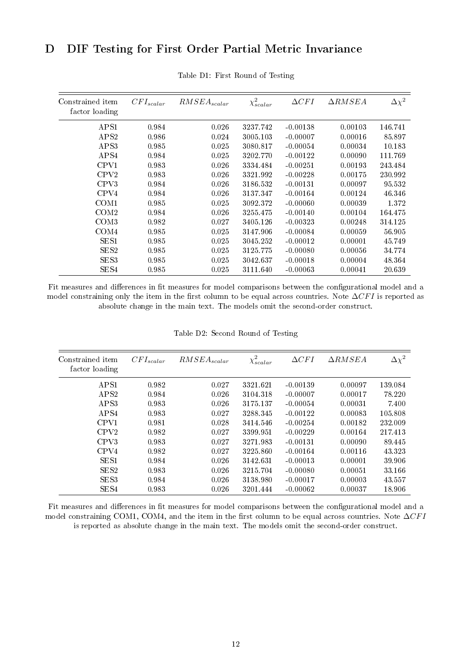# <span id="page-44-0"></span>D DIF Testing for First Order Partial Metric Invariance

| Constrained item<br>factor loading | $CFI_{scalar}$ | $RMSEA_{scalar}$ | $\chi^2_{scalar}$ | $\Delta CFI$ | $\Delta RMSEA$ | $\Delta\chi^2$ |
|------------------------------------|----------------|------------------|-------------------|--------------|----------------|----------------|
| APS <sub>1</sub>                   | 0.984          | 0.026            | 3237.742          | $-0.00138$   | 0.00103        | 146.741        |
| APS <sub>2</sub>                   | 0.986          | 0.024            | 3005.103          | $-0.00007$   | 0.00016        | 85.897         |
| APS3                               | 0.985          | 0.025            | 3080.817          | $-0.00054$   | 0.00034        | 10.183         |
| APS4                               | 0.984          | 0.025            | 3202.770          | $-0.00122$   | 0.00090        | 111.769        |
| CPV1                               | 0.983          | 0.026            | 3334.484          | $-0.00251$   | 0.00193        | 243.484        |
| CPV <sub>2</sub>                   | 0.983          | 0.026            | 3321.992          | $-0.00228$   | 0.00175        | 230.992        |
| CPV3                               | 0.984          | 0.026            | 3186.532          | $-0.00131$   | 0.00097        | 95.532         |
| CPV4                               | 0.984          | 0.026            | 3137.347          | $-0.00164$   | 0.00124        | 46.346         |
| COM <sub>1</sub>                   | 0.985          | 0.025            | 3092.372          | $-0.00060$   | 0.00039        | 1.372          |
| COM <sub>2</sub>                   | 0.984          | 0.026            | 3255.475          | $-0.00140$   | 0.00104        | 164.475        |
| COM <sub>3</sub>                   | 0.982          | 0.027            | 3405.126          | $-0.00323$   | 0.00248        | 314.125        |
| COM <sub>4</sub>                   | 0.985          | 0.025            | 3147.906          | $-0.00084$   | 0.00059        | 56.905         |
| SES <sub>1</sub>                   | 0.985          | 0.025            | 3045.252          | $-0.00012$   | 0.00001        | 45.749         |
| SES <sub>2</sub>                   | 0.985          | 0.025            | 3125.775          | $-0.00080$   | 0.00056        | 34.774         |
| SES <sub>3</sub>                   | 0.985          | 0.025            | 3042.637          | $-0.00018$   | 0.00004        | 48.364         |
| SES <sub>4</sub>                   | 0.985          | 0.025            | 3111.640          | $-0.00063$   | 0.00041        | 20.639         |

Table D1: First Round of Testing

Fit measures and differences in fit measures for model comparisons between the configurational model and a model constraining only the item in the first column to be equal across countries. Note  $\Delta CFI$  is reported as absolute change in the main text. The models omit the second-order construct.

| Table D2: Second Round of Testing |  |  |
|-----------------------------------|--|--|
|-----------------------------------|--|--|

| Constrained item<br>factor loading | $CFI_{scalar}$ | $RMSEA_{scalar}$ | $\chi^2_{scalar}$ | $\triangle CFI$ | $\triangle RMSEA$ | $\Delta\chi^2$ |
|------------------------------------|----------------|------------------|-------------------|-----------------|-------------------|----------------|
| APS <sub>1</sub>                   | 0.982          | 0.027            | 3321.621          | $-0.00139$      | 0.00097           | 139.084        |
| APS <sub>2</sub>                   | 0.984          | 0.026            | 3104.318          | $-0.00007$      | 0.00017           | 78.220         |
| APS3                               | 0.983          | 0.026            | 3175.137          | $-0.00054$      | 0.00031           | 7.400          |
| APS4                               | 0.983          | 0.027            | 3288.345          | $-0.00122$      | 0.00083           | 105.808        |
| CPV1                               | 0.981          | 0.028            | 3414.546          | $-0.00254$      | 0.00182           | 232.009        |
| CPV2                               | 0.982          | 0.027            | 3399.951          | $-0.00229$      | 0.00164           | 217.413        |
| CPV3                               | 0.983          | 0.027            | 3271.983          | $-0.00131$      | 0.00090           | 89.445         |
| CPV4                               | 0.982          | 0.027            | 3225.860          | $-0.00164$      | 0.00116           | 43.323         |
| SES <sub>1</sub>                   | 0.984          | 0.026            | 3142.631          | $-0.00013$      | 0.00001           | 39.906         |
| SES2                               | 0.983          | 0.026            | 3215.704          | $-0.00080$      | 0.00051           | 33.166         |
| SES <sub>3</sub>                   | 0.984          | 0.026            | 3138.980          | $-0.00017$      | 0.00003           | 43.557         |
| SES <sub>4</sub>                   | 0.983          | 0.026            | 3201.444          | $-0.00062$      | 0.00037           | 18.906         |

Fit measures and differences in fit measures for model comparisons between the configurational model and a model constraining COM1, COM4, and the item in the first column to be equal across countries. Note  $\Delta CFI$ is reported as absolute change in the main text. The models omit the second-order construct.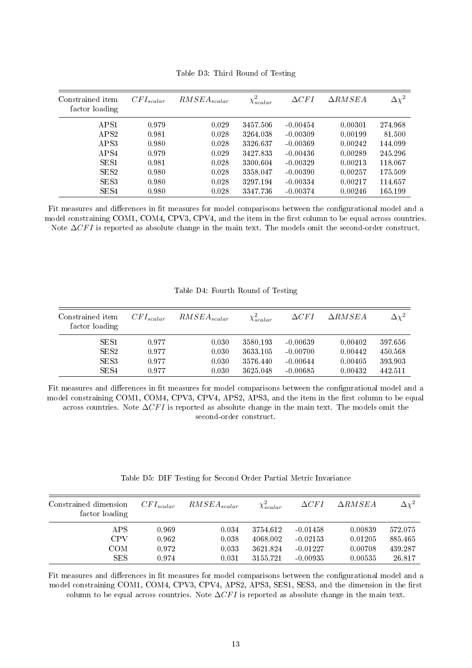| Constrained item<br>factor loading | $CFI_{scalar}$ | $RMSEA_{scalar}$ | $\chi^2_{scalar}$ | $\Delta CFI$ | $\Delta RMSEA$ | $\Delta\chi^2$ |
|------------------------------------|----------------|------------------|-------------------|--------------|----------------|----------------|
| APS1                               | 0.979          | 0.029            | 3457.506          | $-0.00454$   | 0.00301        | 274.968        |
| APS2                               | 0.981          | 0.028            | 3264.038          | $-0.00309$   | 0.00199        | 81.500         |
| APS3                               | 0.980          | 0.028            | 3326.637          | $-0.00369$   | 0.00242        | 144.099        |
| APS4                               | 0.979          | 0.029            | 3427.833          | $-0.00436$   | 0.00289        | 245.296        |
| SES <sub>1</sub>                   | 0.981          | 0.028            | 3300.604          | $-0.00329$   | 0.00213        | 118.067        |
| SES <sub>2</sub>                   | 0.980          | 0.028            | 3358.047          | $-0.00390$   | 0.00257        | 175.509        |
| SES <sub>3</sub>                   | 0.980          | 0.028            | 3297.194          | $-0.00334$   | 0.00217        | 114.657        |
| SES <sub>4</sub>                   | 0.980          | 0.028            | 3347.736          | $-0.00374$   | 0.00246        | 165.199        |

Table D3: Third Round of Testing

Fit measures and differences in fit measures for model comparisons between the configurational model and a model constraining COM1, COM4, CPV3, CPV4, and the item in the first column to be equal across countries. Note  $\Delta CFI$  is reported as absolute change in the main text. The models omit the second-order construct.

| Constrained item<br>factor loading | $CFI_{scalar}$ | $RMSEA_{scalar}$ | $\chi^2_{scalar}$ | $\Delta CFI$ | $\Delta RMSEA$ | $\Delta\chi^2$ |
|------------------------------------|----------------|------------------|-------------------|--------------|----------------|----------------|
| SES <sub>1</sub>                   | 0.977          | 0.030            | 3580.193          | $-0.00639$   | 0.00402        | 397.656        |
| SES <sub>2</sub>                   | 0.977          | 0.030            | 3633.105          | $-0.00700$   | 0.00442        | 450.568        |
| SES <sub>3</sub>                   | 0.977          | 0.030            | 3576.440          | $-0.00644$   | 0.00405        | 393.903        |
| SES <sub>4</sub>                   | 0.977          | 0.030            | 3625.048          | $-0.00685$   | 0.00432        | 442.511        |

Table D4: Fourth Round of Testing

Fit measures and differences in fit measures for model comparisons between the configurational model and a model constraining COM1, COM4, CPV3, CPV4, APS2, APS3, and the item in the first column to be equal across countries. Note  $\Delta CFI$  is reported as absolute change in the main text. The models omit the second-order construct.

| Table D5: DIF Testing for Second Order Partial Metric Invariance |  |  |  |  |  |  |
|------------------------------------------------------------------|--|--|--|--|--|--|
|------------------------------------------------------------------|--|--|--|--|--|--|

| Constrained dimension<br>factor loading | $CFI_{scalar}$ | $RMSEA_{scalar}$ | $\chi^2_{scalar}$ | $\Delta CFI$ | $\triangle RMStA$ | $\Delta\chi^2$ |
|-----------------------------------------|----------------|------------------|-------------------|--------------|-------------------|----------------|
| A PS                                    | 0.969          | 0.034            | 3754.612          | $-0.01458$   | 0.00839           | 572.075        |
| <b>CPV</b>                              | 0.962          | 0.038            | 4068.002          | $-0.02153$   | 0.01205           | 885.465        |
| COM                                     | 0.972          | 0.033            | 3621.824          | $-0.01227$   | 0.00708           | 439.287        |
| <b>SES</b>                              | 0.974          | $0.031\,$        | 3155.721          | $-0.00935$   | 0.00535           | 26.817         |

Fit measures and differences in fit measures for model comparisons between the configurational model and a model constraining COM1, COM4, CPV3, CPV4, APS2, APS3, SES1, SES3, and the dimension in the first column to be equal across countries. Note  $\Delta CFI$  is reported as absolute change in the main text.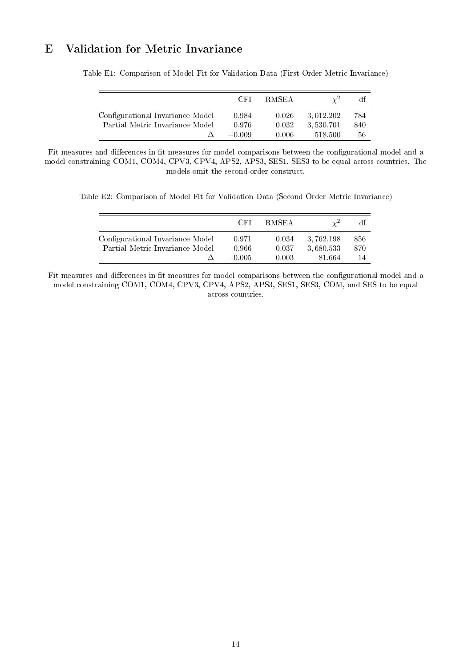# <span id="page-46-0"></span>E Validation for Metric Invariance

|                                  | CFL      | -RMSEA | $\sqrt{2}$ | df  |
|----------------------------------|----------|--------|------------|-----|
| Configurational Invariance Model | 0.984    | 0.026  | 3, 012.202 | 784 |
| Partial Metric Invariance Model  | 0.976    | 0.032  | 3,530.701  | 840 |
|                                  | $-0.009$ | 0.006  | 518.500    | 56  |

Table E1: Comparison of Model Fit for Validation Data (First Order Metric Invariance)

Fit measures and differences in fit measures for model comparisons between the configurational model and a model constraining COM1, COM4, CPV3, CPV4, APS2, APS3, SES1, SES3 to be equal across countries. The models omit the second-order construct.

Table E2: Comparison of Model Fit for Validation Data (Second Order Metric Invariance)

|                                  | CFL    | <b>RMSEA</b> |           |     |
|----------------------------------|--------|--------------|-----------|-----|
| Configurational Invariance Model | 0.971  | 0.034        | 3,762.198 | 856 |
| Partial Metric Invariance Model  | 0.966  | 0.037        | 3,680.533 | 870 |
|                                  | -0.005 | 0.003        | 81.664    | 14  |

Fit measures and differences in fit measures for model comparisons between the configurational model and a model constraining COM1, COM4, CPV3, CPV4, APS2, APS3, SES1, SES3, COM, and SES to be equal across countries.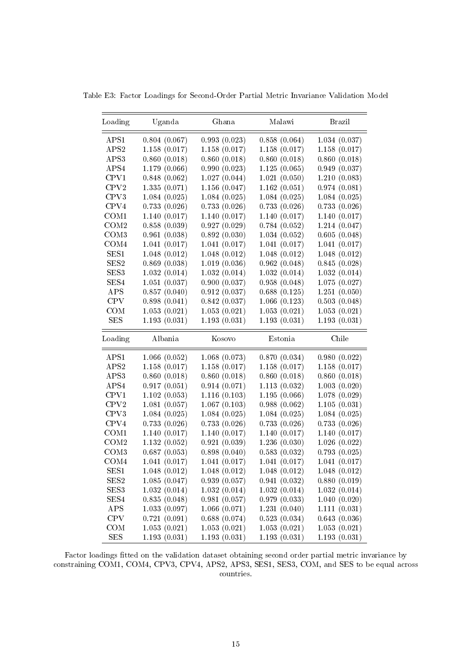Table E3: Factor Loadings for Second-Order Partial Metric Invariance Validation Model

| Loading          | Uganda        | Ghana         | Malawi       | <b>Brazil</b> |
|------------------|---------------|---------------|--------------|---------------|
| APS1             | 0.804(0.067)  | 0.993(0.023)  | 0.858(0.064) | 1.034(0.037)  |
| APS <sub>2</sub> | 1.158(0.017)  | 1.158(0.017)  | 1.158(0.017) | 1.158(0.017)  |
| APS3             | 0.860(0.018)  | 0.860(0.018)  | 0.860(0.018) | 0.860(0.018)  |
| APS4             | 1.179 (0.066) | 0.990(0.023)  | 1.125(0.065) | 0.949(0.037)  |
| CPV1             | 0.848(0.062)  | 1.027(0.044)  | 1.021(0.050) | 1.210(0.083)  |
| CPV <sub>2</sub> | 1.335(0.071)  | 1.156 (0.047) | 1.162(0.051) | 0.974(0.081)  |
| CPV3             | 1.084(0.025)  | 1.084(0.025)  | 1.084(0.025) | 1.084(0.025)  |
| CPV4             | 0.733(0.026)  | 0.733(0.026)  | 0.733(0.026) | 0.733(0.026)  |
| COM1             | 1.140(0.017)  | 1.140(0.017)  | 1.140(0.017) | 1.140(0.017)  |
| COM2             | 0.858(0.039)  | 0.927(0.029)  | 0.784(0.052) | 1.214(0.047)  |
| COM <sub>3</sub> | 0.961(0.038)  | 0.892(0.030)  | 1.034(0.052) | 0.605(0.048)  |
| COM4             | 1.041(0.017)  | 1.041(0.017)  | 1.041(0.017) | 1.041(0.017)  |
| SES <sub>1</sub> | 1.048(0.012)  | 1.048(0.012)  | 1.048(0.012) | 1.048(0.012)  |
| SES <sub>2</sub> | 0.869(0.038)  | 1.019(0.036)  | 0.962(0.048) | 0.845(0.028)  |
| SES <sub>3</sub> | 1.032(0.014)  | 1.032(0.014)  | 1.032(0.014) | 1.032(0.014)  |
| SES <sub>4</sub> | 1.051(0.037)  | 0.900(0.037)  | 0.958(0.048) | 1.075(0.027)  |
| APS              | 0.857(0.040)  | 0.912(0.037)  | 0.688(0.125) | 1.251(0.050)  |
| <b>CPV</b>       | 0.898(0.041)  | 0.842(0.037)  | 1.066(0.123) | 0.503(0.048)  |
| COM              | 1.053(0.021)  | 1.053(0.021)  | 1.053(0.021) | 1.053(0.021)  |
| <b>SES</b>       | 1.193(0.031)  | 1.193(0.031)  | 1.193(0.031) | 1.193(0.031)  |
| Loading          | Albania       | Kosovo        | Estonia      | Chile         |
| APS1             | 1.066(0.052)  | 1.068(0.073)  | 0.870(0.034) | 0.980(0.022)  |
| APS <sub>2</sub> | 1.158(0.017)  | 1.158(0.017)  | 1.158(0.017) | 1.158(0.017)  |
| APS3             | 0.860(0.018)  | 0.860(0.018)  | 0.860(0.018) | 0.860(0.018)  |
| APS4             | 0.917(0.051)  | 0.914(0.071)  | 1.113(0.032) | 1.003(0.020)  |
| CPV1             | 1.102(0.053)  | 1.116(0.103)  | 1.195(0.066) | 1.078(0.029)  |
| CPV2             | 1.081(0.057)  | 1.067(0.103)  | 0.988(0.062) | 1.105(0.031)  |
| CPV3             | 1.084(0.025)  | 1.084(0.025)  | 1.084(0.025) | 1.084(0.025)  |
| CPV4             | 0.733(0.026)  | 0.733(0.026)  | 0.733(0.026) | 0.733(0.026)  |
| COM1             | 1.140(0.017)  | 1.140(0.017)  | 1.140(0.017) | 1.140(0.017)  |
| COM2             | 1.132(0.052)  | 0.921(0.039)  | 1.236(0.030) | 1.026(0.022)  |
| COM <sub>3</sub> | 0.687(0.053)  | 0.898(0.040)  | 0.583(0.032) | 0.793(0.025)  |
| COM4             | 1.041(0.017)  | 1.041(0.017)  | 1.041(0.017) | 1.041(0.017)  |
| SES <sub>1</sub> | 1.048(0.012)  | 1.048(0.012)  | 1.048(0.012) | 1.048(0.012)  |
| SES <sub>2</sub> | 1.085(0.047)  | 0.939(0.057)  | 0.941(0.032) | 0.880(0.019)  |
| SES <sub>3</sub> | 1.032(0.014)  | 1.032(0.014)  | 1.032(0.014) | 1.032(0.014)  |
| SES <sub>4</sub> | 0.835(0.048)  | 0.981(0.057)  | 0.979(0.033) | 1.040(0.020)  |
| <b>APS</b>       | 1.033(0.097)  | 1.066(0.071)  | 1.231(0.040) | 1.111(0.031)  |
| <b>CPV</b>       | 0.721(0.091)  | 0.688(0.074)  | 0.523(0.034) | 0.643(0.036)  |
| COM              | 1.053(0.021)  | 1.053(0.021)  | 1.053(0.021) | 1.053(0.021)  |
| <b>SES</b>       | 1.193(0.031)  | 1.193(0.031)  | 1.193(0.031) | 1.193(0.031)  |

Factor loadings fitted on the validation dataset obtaining second order partial metric invariance by constraining COM1, COM4, CPV3, CPV4, APS2, APS3, SES1, SES3, COM, and SES to be equal across countries.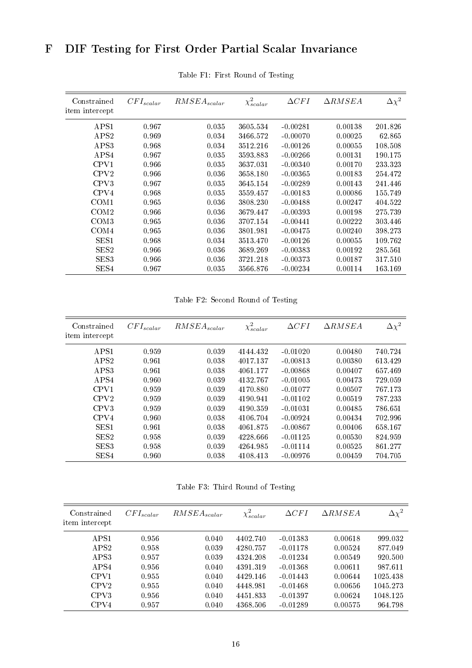# <span id="page-48-0"></span>F DIF Testing for First Order Partial Scalar Invariance

| Constrained<br>item intercept | $CFI_{scalar}$ | $RMSEA_{scalar}$ | $\chi^2_{scalar}$ | $\Delta CFI$ | $\triangle RMSEA$ | $\Delta \chi^2$ |
|-------------------------------|----------------|------------------|-------------------|--------------|-------------------|-----------------|
| APS1                          | 0.967          | 0.035            | 3605 534          | $-0.00281$   | 0.00138           | 201.826         |
| APS <sub>2</sub>              | 0.969          | 0.034            | 3466.572          | $-0.00070$   | 0.00025           | 62.865          |
| APS3                          | 0.968          | 0.034            | 3512.216          | $-0.00126$   | 0.00055           | 108.508         |
| APS4                          | 0.967          | 0.035            | 3593.883          | $-0.00266$   | 0.00131           | 190.175         |
| CPV1                          | 0.966          | 0.035            | 3637.031          | $-0.00340$   | 0.00170           | 233.323         |
| CPV2                          | 0.966          | 0.036            | 3658.180          | $-0.00365$   | 0.00183           | 254.472         |
| CPV <sub>3</sub>              | 0.967          | 0.035            | 3645.154          | $-0.00289$   | 0.00143           | 241.446         |
| CPV4                          | 0.968          | 0.035            | 3559.457          | $-0.00183$   | 0.00086           | 155.749         |
| COM <sub>1</sub>              | 0.965          | 0.036            | 3808.230          | $-0.00488$   | 0.00247           | 404.522         |
| COM <sub>2</sub>              | 0.966          | 0.036            | 3679.447          | $-0.00393$   | 0.00198           | 275.739         |
| COM3                          | 0.965          | 0.036            | 3707.154          | $-0.00441$   | 0.00222           | 303.446         |
| COM4                          | 0.965          | 0.036            | 3801.981          | $-0.00475$   | 0.00240           | 398.273         |
| SES <sub>1</sub>              | 0.968          | 0.034            | 3513.470          | $-0.00126$   | 0.00055           | 109.762         |
| SES <sub>2</sub>              | 0.966          | 0.036            | 3689.269          | $-0.00383$   | 0.00192           | 285.561         |
| SES <sub>3</sub>              | 0.966          | 0.036            | 3721.218          | $-0.00373$   | 0.00187           | 317.510         |
| SES <sub>4</sub>              | 0.967          | 0.035            | 3566.876          | $-0.00234$   | 0.00114           | 163.169         |

Table F1: First Round of Testing

Table F2: Second Round of Testing

| Constrained<br>item intercept | $CFI_{scalar}$ | $RMSEA_{scalar}$ | $\chi^2_{scalar}$ | $\triangle CFI$ | $\triangle RMSEA$ | $\Delta\chi^2$ |
|-------------------------------|----------------|------------------|-------------------|-----------------|-------------------|----------------|
| APS1                          | 0.959          | 0.039            | 4144 432          | $-0.01020$      | 0.00480           | 740.724        |
| APS <sub>2</sub>              | 0.961          | 0.038            | 4017.137          | $-0.00813$      | 0.00380           | 613.429        |
| APS3                          | 0.961          | 0.038            | 4061.177          | $-0.00868$      | 0.00407           | 657.469        |
| APS4                          | 0.960          | 0.039            | 4132.767          | $-0.01005$      | 0.00473           | 729.059        |
| CPV1                          | 0.959          | 0.039            | 4170.880          | $-0.01077$      | 0.00507           | 767.173        |
| CPV2                          | 0.959          | 0.039            | 4190.941          | $-0.01102$      | 0.00519           | 787.233        |
| CPV <sub>3</sub>              | 0.959          | 0.039            | 4190.359          | $-0.01031$      | 0.00485           | 786.651        |
| CPV4                          | 0.960          | 0.038            | 4106.704          | $-0.00924$      | 0.00434           | 702.996        |
| SES <sub>1</sub>              | 0.961          | 0.038            | 4061.875          | $-0.00867$      | 0.00406           | 658.167        |
| SES <sub>2</sub>              | 0.958          | 0.039            | 4228.666          | $-0.01125$      | 0.00530           | 824.959        |
| SES <sub>3</sub>              | 0.958          | 0.039            | 4264.985          | $-0.01114$      | 0.00525           | 861.277        |
| SES <sub>4</sub>              | 0.960          | 0.038            | 4108.413          | $-0.00976$      | 0.00459           | 704.705        |

Table F3: Third Round of Testing

| Constrained<br>item intercept | $CFI_{scalar}$ | $RMSEA_{scalar}$ | $\chi^2_{scalar}$ | $\Delta CFI$ | $\triangle RMSEA$ | $\Delta\chi^2$ |
|-------------------------------|----------------|------------------|-------------------|--------------|-------------------|----------------|
| APS1                          | 0.956          | 0.040            | 4402.740          | $-0.01383$   | 0.00618           | 999.032        |
| APS <sub>2</sub>              | 0.958          | 0.039            | 4280.757          | $-0.01178$   | 0.00524           | 877.049        |
| APS3                          | 0.957          | 0.039            | 4324.208          | $-0.01234$   | 0.00549           | 920.500        |
| APS4                          | 0.956          | 0.040            | 4391.319          | $-0.01368$   | 0.00611           | 987.611        |
| CPV1                          | 0.955          | 0.040            | 4429.146          | $-0.01443$   | 0.00644           | 1025.438       |
| CPV2                          | 0.955          | 0.040            | 4448.981          | $-0.01468$   | 0.00656           | 1045.273       |
| CPV3                          | 0.956          | 0.040            | 4451.833          | $-0.01397$   | 0.00624           | 1048.125       |
| CPV4                          | 0.957          | 0.040            | 4368.506          | $-0.01289$   | 0.00575           | 964.798        |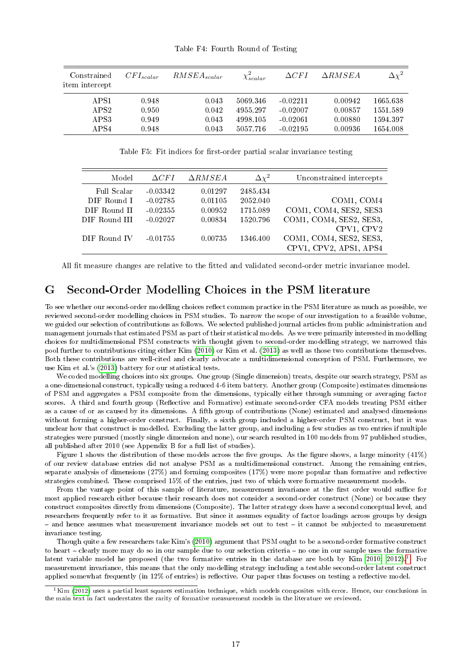<span id="page-49-0"></span>

| Constrained<br>item intercept | $CFI_{scalar}$ | $RMSEA_{scalar}$ | $\chi^2_{scalar}$ | $\Delta CFI$ | $\triangle RMSEA$ | $\Delta\chi^2$ |
|-------------------------------|----------------|------------------|-------------------|--------------|-------------------|----------------|
| APS1                          | 0.948          | 0.043            | 5069.346          | $-0.02211$   | 0.00942           | 1665.638       |
| APS <sub>2</sub>              | 0.950          | 0.042            | 4955.297          | $-0.02007$   | 0.00857           | 1551.589       |
| APS3                          | 0.949          | 0.043            | 4998.105          | $-0.02061$   | 0.00880           | 1594.397       |
| APS4                          | 0.948          | 0.043            | 5057.716          | $-0.02195$   | 0.00936           | 1654.008       |

Table F4: Fourth Round of Testing

Table F5: Fit indices for first-order partial scalar invariance testing

| Model         | $\Delta CFI$ | $\triangle RMSEA$ | $\Delta\chi^2$ | Unconstrained intercepts |
|---------------|--------------|-------------------|----------------|--------------------------|
| Full Scalar   | $-0.03342$   | 0.01297           | 2485.434       |                          |
| DIF Round I   | $-0.02785$   | 0.01105           | 2052.040       | COM1, COM4               |
| DIF Round II  | $-0.02355$   | 0.00952           | 1715.089       | COM1, COM4, SES2, SES3   |
| DIF Round III | $-0.02027$   | 0.00834           | 1520.796       | COM1, COM4, SES2, SES3,  |
|               |              |                   |                | CPV1, CPV2               |
| DIF Round IV  | $-0.01755$   | 0.00735           | 1346.400       | COM1, COM4, SES2, SES3,  |
|               |              |                   |                | CPV1, CPV2, APS1, APS4   |

All fit measure changes are relative to the fitted and validated second-order metric invariance model.

# G Second-Order Modelling Choices in the PSM literature

To see whether our second-order modelling choices reflect common practice in the PSM literature as much as possible, we reviewed second-order modelling choices in PSM studies. To narrow the scope of our investigation to a feasible volume, we guided our selection of contributions as follows. We selected published journal articles from public administration and management journals that estimated PSM as part of their statistical models. As we were primarily interested in modelling choices for multidimensional PSM constructs with thought given to second-order modelling strategy, we narrowed this pool further to contributions citing either Kim [\(2010\)](#page-52-0) or Kim et al. [\(2013\)](#page-52-0) as well as those two contributions themselves. Both these contributions are well-cited and clearly advocate a multidimensional conception of PSM. Furthermore, we use Kim et al.'s [\(2013\)](#page-52-0) battery for our statistical tests.

We coded modelling choices into six groups. One group (Single dimension) treats, despite our search strategy, PSM as a one-dimensional construct, typically using a reduced 4-6 item battery. Another group (Composite) estimates dimensions of PSM and aggregates a PSM composite from the dimensions, typically either through summing or averaging factor scores. A third and fourth group (Reflective and Formative) estimate second-order CFA models treating PSM either as a cause of or as caused by its dimensions. A fth group of contributions (None) estimated and analysed dimensions without forming a higher-order construct. Finally, a sixth group included a higher-order PSM construct, but it was unclear how that construct is modelled. Excluding the latter group, and including a few studies as two entries if multiple strategies were pursued (mostly single dimension and none), our search resulted in 100 models from 97 published studies, all published after 2010 (see Appendix B for a full list of studies).

Figure 1 shows the distribution of these models across the five groups. As the figure shows, a large minority (41%) of our review database entries did not analyse PSM as a multidimensional construct. Among the remaining entries, separate analysis of dimensions  $(27%)$  and forming composites  $(17%)$  were more popular than formative and reflective strategies combined. These comprised 15% of the entries, just two of which were formative measurement models.

From the vantage point of this sample of literature, measurement invariance at the first order would suffice for most applied research either because their research does not consider a second-order construct (None) or because they construct composites directly from dimensions (Composite). The latter strategy does have a second conceptual level, and researchers frequently refer to it as formative. But since it assumes equality of factor loadings across groups by design - and hence assumes what measurement invariance models set out to test - it cannot be subjected to measurement invariance testing.

Though quite a few researchers take Kim's [\(2010\)](#page-52-0) argument that PSM ought to be a second-order formative construct to heart - clearly more may do so in our sample due to our selection criteria - no one in our sample uses the formative latent variable model he proposed (the two formative entries in the database are both by Kim [2010; 2012\)](#page-52-0).<sup>[1](#page-33-0)</sup> For measurement invariance, this means that the only modelling strategy including a testable second-order latent construct applied somewhat frequently (in 12% of entries) is reflective. Our paper thus focuses on testing a reflective model.

 $1$ Kim [\(2012\)](#page-52-0) uses a partial least squares estimation technique, which models composites with error. Hence, our conclusions in the main text in fact understates the rarity of formative measurement models in the literature we reviewed.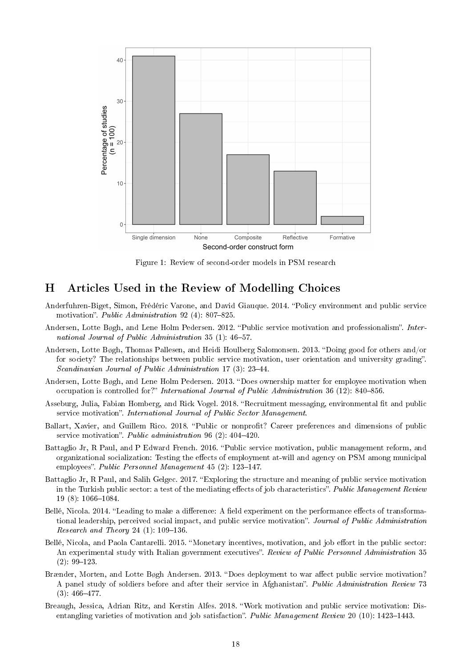<span id="page-50-0"></span>

Figure 1: Review of second-order models in PSM research

# H Articles Used in the Review of Modelling Choices

- Anderfuhren-Biget, Simon, Frédéric Varone, and David Giauque. 2014. Policy environment and public service motivation". Public Administration 92 (4): 807-825.
- Andersen, Lotte Bøgh, and Lene Holm Pedersen. 2012. "Public service motivation and professionalism". International Journal of Public Administration  $35(1)$ :  $46-57$ .
- Andersen, Lotte Bøgh, Thomas Pallesen, and Heidi Houlberg Salomonsen. 2013. "Doing good for others and/or for society? The relationships between public service motivation, user orientation and university grading". Scandinavian Journal of Public Administration 17 (3): 23-44.
- Andersen, Lotte Bøgh, and Lene Holm Pedersen. 2013. "Does ownership matter for employee motivation when occupation is controlled for?" International Journal of Public Administration 36 (12): 840–856.
- Asseburg, Julia, Fabian Homberg, and Rick Vogel. 2018. "Recruitment messaging, environmental fit and public service motivation". International Journal of Public Sector Management.
- Ballart, Xavier, and Guillem Rico. 2018. "Public or nonprofit? Career preferences and dimensions of public service motivation". Public administration  $96$  (2):  $404-420$ .
- Battaglio Jr, R Paul, and P Edward French. 2016. "Public service motivation, public management reform, and organizational socialization: Testing the effects of employment at-will and agency on PSM among municipal employees". Public Personnel Management  $45$  (2): 123-147.
- Battaglio Jr, R Paul, and Salih Gelgec. 2017. Exploring the structure and meaning of public service motivation in the Turkish public sector: a test of the mediating effects of job characteristics". Public Management Review 19 (8): 1066-1084.
- Bellé, Nicola. 2014. "Leading to make a difference: A field experiment on the performance effects of transformational leadership, perceived social impact, and public service motivation". Journal of Public Administration Research and Theory 24  $(1)$ : 109-136.
- Bellé, Nicola, and Paola Cantarelli. 2015. "Monetary incentives, motivation, and job effort in the public sector: An experimental study with Italian government executives". Review of Public Personnel Administration 35  $(2): 99-123.$
- Brænder, Morten, and Lotte Bøgh Andersen. 2013. "Does deployment to war affect public service motivation? A panel study of soldiers before and after their service in Afghanistan". Public Administration Review 73  $(3): 466 - 477.$
- Breaugh, Jessica, Adrian Ritz, and Kerstin Alfes. 2018. Work motivation and public service motivation: Disentangling varieties of motivation and job satisfaction". Public Management Review 20 (10): 1423–1443.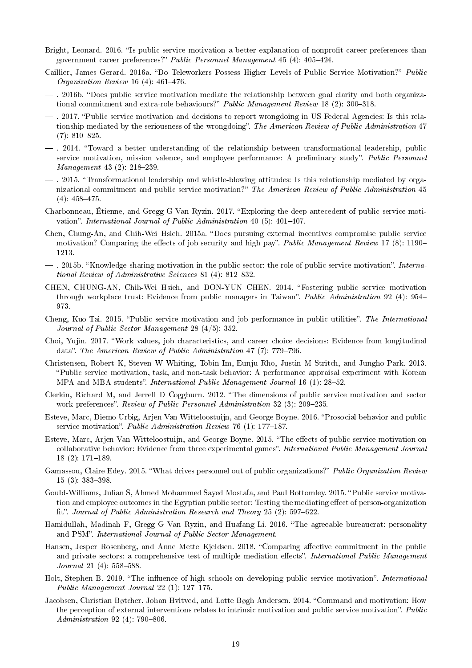- Bright, Leonard. 2016. "Is public service motivation a better explanation of nonprofit career preferences than government career preferences?" Public Personnel Management  $45$  (4):  $405-424$ .
- Caillier, James Gerard. 2016a. "Do Teleworkers Possess Higher Levels of Public Service Motivation?" Public Organization Review 16  $(4)$ : 461-476.
- -. 2016b. "Does public service motivation mediate the relationship between goal clarity and both organizational commitment and extra-role behaviours?" *Public Management Review* 18 (2):  $300-318$ .
- . 2017. "Public service motivation and decisions to report wrongdoing in US Federal Agencies: Is this relationship mediated by the seriousness of the wrongdoing". The American Review of Public Administration 47  $(7): 810 - 825.$
- . 2014. Toward a better understanding of the relationship between transformational leadership, public service motivation, mission valence, and employee performance: A preliminary study". Public Personnel  $Management 43 (2): 218-239.$
- $-$ . 2015. "Transformational leadership and whistle-blowing attitudes: Is this relationship mediated by organizational commitment and public service motivation?" The American Review of Public Administration 45  $(4): 458 - 475.$
- Charbonneau, Étienne, and Gregg G Van Ryzin. 2017. Exploring the deep antecedent of public service motivation". International Journal of Public Administration 40 (5): 401-407.
- Chen, Chung-An, and Chih-Wei Hsieh. 2015a. "Does pursuing external incentives compromise public service motivation? Comparing the effects of job security and high pay". Public Management Review 17 (8): 1190-1213.
- . 2015b. "Knowledge sharing motivation in the public sector: the role of public service motivation". International Review of Administrative Sciences 81 (4):  $812-832$ .
- CHEN, CHUNG-AN, Chih-Wei Hsieh, and DON-YUN CHEN. 2014. "Fostering public service motivation through workplace trust: Evidence from public managers in Taiwan". Public Administration 92 (4): 954– 973.
- Cheng, Kuo-Tai. 2015. "Public service motivation and job performance in public utilities". The International Journal of Public Sector Management 28 (4/5): 352.
- Choi, Yujin. 2017. Work values, job characteristics, and career choice decisions: Evidence from longitudinal data". The American Review of Public Administration 47 (7): 779-796.
- Christensen, Robert K, Steven W Whiting, Tobin Im, Eunju Rho, Justin M Stritch, and Jungho Park. 2013. Public service motivation, task, and non-task behavior: A performance appraisal experiment with Korean MPA and MBA students". International Public Management Journal 16 (1): 28-52.
- Clerkin, Richard M, and Jerrell D Coggburn. 2012. "The dimensions of public service motivation and sector work preferences". Review of Public Personnel Administration 32 (3): 209–235.
- Esteve, Marc, Diemo Urbig, Arjen Van Witteloostuijn, and George Boyne. 2016. "Prosocial behavior and public service motivation". Public Administration Review 76 (1): 177-187.
- Esteve, Marc, Arjen Van Witteloostuijn, and George Boyne. 2015. "The effects of public service motivation on collaborative behavior: Evidence from three experimental games". International Public Management Journal  $18(2): 171-189.$
- Gamassou, Claire Edey. 2015. "What drives personnel out of public organizations?" Public Organization Review  $15(3): 383 - 398.$
- Gould-Williams, Julian S, Ahmed Mohammed Sayed Mostafa, and Paul Bottomley. 2015. Public service motivation and employee outcomes in the Egyptian public sector: Testing the mediating effect of person-organization fit". Journal of Public Administration Research and Theory 25 (2): 597-622.
- Hamidullah, Madinah F, Gregg G Van Ryzin, and Huafang Li. 2016. "The agreeable bureaucrat: personality and PSM. International Journal of Public Sector Management.
- Hansen, Jesper Rosenberg, and Anne Mette Kjeldsen. 2018. "Comparing affective commitment in the public and private sectors: a comprehensive test of multiple mediation effects". International Public Management Journal 21 (4):  $558-588$ .
- Holt, Stephen B. 2019. "The influence of high schools on developing public service motivation". International Public Management Journal  $22(1): 127-175$ .
- Jacobsen, Christian Bøtcher, Johan Hvitved, and Lotte Bøgh Andersen. 2014. "Command and motivation: How the perception of external interventions relates to intrinsic motivation and public service motivation". Public  $Administration$  92 (4): 790-806.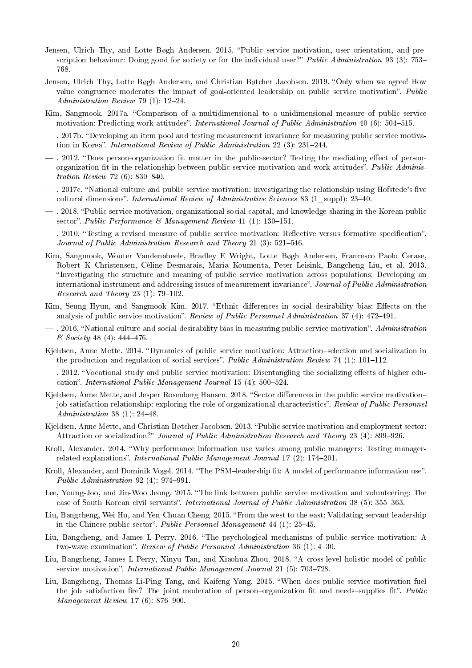- <span id="page-52-0"></span>Jensen, Ulrich Thy, and Lotte Bøgh Andersen. 2015. "Public service motivation, user orientation, and prescription behaviour: Doing good for society or for the individual user?" Public Administration 93 (3): 753– 768.
- Jensen, Ulrich Thy, Lotte Bøgh Andersen, and Christian Bøtcher Jacobsen. 2019. "Only when we agree! How value congruence moderates the impact of goal-oriented leadership on public service motivation". Public Administration Review 79  $(1)$ : 12-24.
- Kim, Sangmook. 2017a. "Comparison of a multidimensional to a unidimensional measure of public service motivation: Predicting work attitudes". International Journal of Public Administration 40 (6): 504-515.
- . 2017b. Developing an item pool and testing measurement invariance for measuring public service motivation in Korea". International Review of Public Administration 22 (3):  $231-244$ .
- $-$ . 2012. "Does person-organization fit matter in the public-sector? Testing the mediating effect of personorganization fit in the relationship between public service motivation and work attitudes". Public Administration Review 72 (6):  $830 - 840$ .
- $-$ . 2017c. "National culture and public service motivation: investigating the relationship using Hofstede's five cultural dimensions". International Review of Administrative Sciences 83 (1 suppl): 23-40.
- . 2018. Public service motivation, organizational social capital, and knowledge sharing in the Korean public sector". Public Performance & Management Review 41 (1): 130-151.
- $-$ . 2010. "Testing a revised measure of public service motivation: Reflective versus formative specification". Journal of Public Administration Research and Theory 21  $(3)$ : 521-546.
- Kim, Sangmook, Wouter Vandenabeele, Bradley E Wright, Lotte Bøgh Andersen, Francesco Paolo Cerase, Robert K Christensen, Céline Desmarais, Maria Koumenta, Peter Leisink, Bangcheng Liu, et al. 2013. "Investigating the structure and meaning of public service motivation across populations: Developing an international instrument and addressing issues of measurement invariance". Journal of Public Administration Research and Theory 23  $(1)$ : 79–102.
- Kim, Seung Hyun, and Sangmook Kim. 2017. "Ethnic differences in social desirability bias: Effects on the analysis of public service motivation". Review of Public Personnel Administration  $37$  (4):  $472-491$ .
- . 2016. "National culture and social desirability bias in measuring public service motivation". Administration  $& Society\ 48\ (4):\ 444-476.$
- Kjeldsen, Anne Mette. 2014. "Dynamics of public service motivation: Attraction-selection and socialization in the production and regulation of social services". Public Administration Review 74 (1): 101–112.
- . 2012. "Vocational study and public service motivation: Disentangling the socializing effects of higher education". International Public Management Journal 15 (4): 500-524.
- Kjeldsen, Anne Mette, and Jesper Rosenberg Hansen. 2018. "Sector differences in the public service motivationjob satisfaction relationship: exploring the role of organizational characteristics". Review of Public Personnel Administration 38 (1):  $24-48$ .
- Kjeldsen, Anne Mette, and Christian Bøtcher Jacobsen. 2013. "Public service motivation and employment sector: Attraction or socialization?" Journal of Public Administration Research and Theory 23 (4): 899–926.
- Kroll, Alexander. 2014. Why performance information use varies among public managers: Testing managerrelated explanations". International Public Management Journal 17 (2): 174-201.
- Kroll, Alexander, and Dominik Vogel. 2014. "The PSM-leadership fit: A model of performance information use". Public Administration 92 (4): 974-991.
- Lee, Young-Joo, and Jin-Woo Jeong. 2015. "The link between public service motivation and volunteering: The case of South Korean civil servants". International Journal of Public Administration 38 (5): 355–363.
- Liu, Bangcheng, Wei Hu, and Yen-Chuan Cheng. 2015. "From the west to the east: Validating servant leadership in the Chinese public sector". Public Personnel Management  $44$  (1): 25-45.
- Liu, Bangcheng, and James L Perry. 2016. "The psychological mechanisms of public service motivation: A two-wave examination". Review of Public Personnel Administration 36 (1):  $4-30$ .
- Liu, Bangcheng, James L Perry, Xinyu Tan, and Xiaohua Zhou. 2018. "A cross-level holistic model of public service motivation". International Public Management Journal 21 (5): 703-728.
- Liu, Bangcheng, Thomas Li-Ping Tang, and Kaifeng Yang. 2015. When does public service motivation fuel the job satisfaction fire? The joint moderation of person-organization fit and needs-supplies fit". Public *Management Review* 17  $(6)$ : 876-900.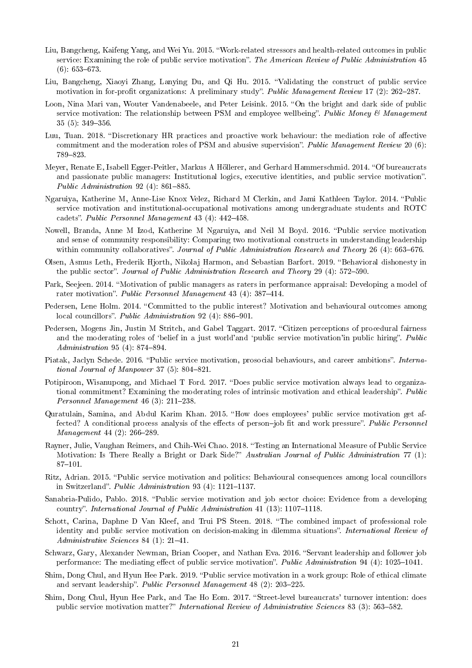- Liu, Bangcheng, Kaifeng Yang, and Wei Yu. 2015. Work-related stressors and health-related outcomes in public service: Examining the role of public service motivation". The American Review of Public Administration 45  $(6)$ : 653-673.
- Liu, Bangcheng, Xiaoyi Zhang, Lanying Du, and Qi Hu. 2015. Validating the construct of public service motivation in for-profit organizations: A preliminary study". Public Management Review 17 (2): 262-287.
- Loon, Nina Mari van, Wouter Vandenabeele, and Peter Leisink. 2015. "On the bright and dark side of public service motivation: The relationship between PSM and employee wellbeing". Public Money & Management 35 (5): 349-356.
- Luu, Tuan. 2018. "Discretionary HR practices and proactive work behaviour: the mediation role of affective commitment and the moderation roles of PSM and abusive supervision". Public Management Review 20 (6): 789-823.
- Meyer, Renate E, Isabell Egger-Peitler, Markus A Höllerer, and Gerhard Hammerschmid. 2014. "Of bureaucrats and passionate public managers: Institutional logics, executive identities, and public service motivation". Public Administration 92 (4):  $861-885$ .
- Ngaruiya, Katherine M, Anne-Lise Knox Velez, Richard M Clerkin, and Jami Kathleen Taylor. 2014. "Public service motivation and institutional-occupational motivations among undergraduate students and ROTC cadets". Public Personnel Management  $43$  (4):  $442-458$ .
- Nowell, Branda, Anne M Izod, Katherine M Ngaruiya, and Neil M Boyd. 2016. Public service motivation and sense of community responsibility: Comparing two motivational constructs in understanding leadership within community collaboratives". Journal of Public Administration Research and Theory 26 (4):  $663-676$ .
- Olsen, Asmus Leth, Frederik Hjorth, Nikolaj Harmon, and Sebastian Barfort. 2019. "Behavioral dishonesty in the public sector". Journal of Public Administration Research and Theory 29  $(4)$ : 572-590.
- Park, Seejeen. 2014. "Motivation of public managers as raters in performance appraisal: Developing a model of rater motivation". Public Personnel Management 43 (4): 387-414.
- Pedersen, Lene Holm. 2014. "Committed to the public interest? Motivation and behavioural outcomes among local councillors". Public Administration  $92$  (4): 886-901.
- Pedersen, Mogens Jin, Justin M Stritch, and Gabel Taggart. 2017. "Citizen perceptions of procedural fairness and the moderating roles of 'belief in a just world'and 'public service motivation'in public hiring". Public Administration 95 (4):  $874 - 894$ .
- Piatak, Jaclyn Schede. 2016. "Public service motivation, prosocial behaviours, and career ambitions". International Journal of Manpower 37  $(5)$ : 804-821.
- Potipiroon, Wisanupong, and Michael T Ford. 2017. "Does public service motivation always lead to organizational commitment? Examining the moderating roles of intrinsic motivation and ethical leadership". Public Personnel Management  $46$  (3):  $211-238$ .
- Quratulain, Samina, and Abdul Karim Khan. 2015. How does employees' public service motivation get affected? A conditional process analysis of the effects of person-job fit and work pressure". Public Personnel  $Management 44 (2): 266–289.$
- Rayner, Julie, Vaughan Reimers, and Chih-Wei Chao. 2018. Testing an International Measure of Public Service Motivation: Is There Really a Bright or Dark Side?" Australian Journal of Public Administration 77 (1):  $87 - 101$ .
- Ritz, Adrian. 2015. "Public service motivation and politics: Behavioural consequences among local councillors in Switzerland". *Public Administration* 93 $(4)$ : 1121-1137.
- Sanabria-Pulido, Pablo. 2018. "Public service motivation and job sector choice: Evidence from a developing country". International Journal of Public Administration 41 (13): 1107-1118.
- Schott, Carina, Daphne D Van Kleef, and Trui PS Steen. 2018. "The combined impact of professional role identity and public service motivation on decision-making in dilemma situations". International Review of Administrative Sciences 84 (1):  $21-41$ .
- Schwarz, Gary, Alexander Newman, Brian Cooper, and Nathan Eva. 2016. "Servant leadership and follower job performance: The mediating effect of public service motivation". Public Administration 94 (4):  $1025-1041$ .
- Shim, Dong Chul, and Hyun Hee Park. 2019. "Public service motivation in a work group: Role of ethical climate and servant leadership". Public Personnel Management  $48$  (2): 203-225.
- Shim, Dong Chul, Hyun Hee Park, and Tae Ho Eom. 2017. "Street-level bureaucrats' turnover intention: does public service motivation matter?" International Review of Administrative Sciences 83 (3): 563–582.